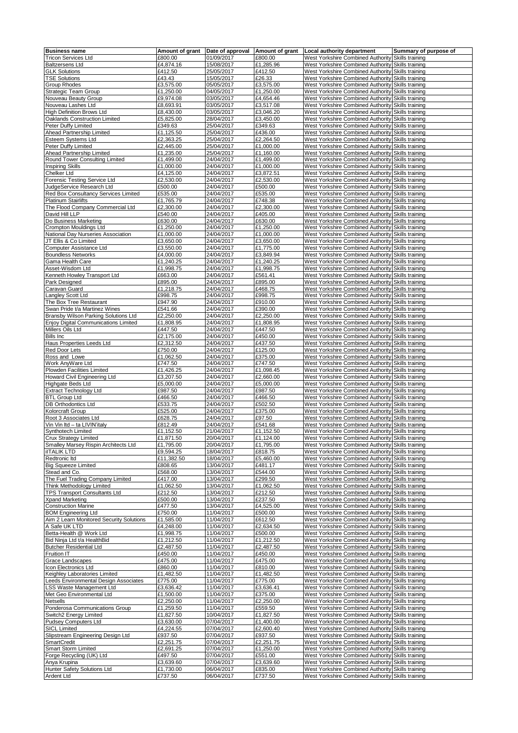| <b>Business name</b>                     |                    | Amount of grant Date of approval Amount of grant |                    | Local authority department                                                                             | Summary of purpose of |
|------------------------------------------|--------------------|--------------------------------------------------|--------------------|--------------------------------------------------------------------------------------------------------|-----------------------|
| <b>Tricon Services Ltd</b>               | £800.00            | 01/09/2017                                       | £800.00            | West Yorkshire Combined Authority Skills training                                                      |                       |
| <b>Baltzersens Ltd</b>                   | £4,874.16          | 15/08/2017                                       | £1,285.96          | West Yorkshire Combined Authority Skills training                                                      |                       |
| <b>GLK Solutions</b>                     | £412.50            | 25/05/2017                                       | £412.50            | West Yorkshire Combined Authority Skills training                                                      |                       |
| <b>TSE Solutions</b>                     | £43.43             | 15/05/2017                                       | £26.33             | West Yorkshire Combined Authority                                                                      | Skills training       |
| Group Rhodes                             | £3,575.00          | 05/05/2017                                       | £3,575.00          | West Yorkshire Combined Authority Skills training                                                      |                       |
| <b>Strategic Team Group</b>              | £1,250.00          | 04/05/2017                                       | £1,250.00          | West Yorkshire Combined Authority Skills training                                                      |                       |
|                                          |                    |                                                  |                    |                                                                                                        |                       |
| Nouveau Beauty Group                     | £9,974.08          | 03/05/2017                                       | £4,654.46          | West Yorkshire Combined Authority Skills training                                                      |                       |
| Nouveau Lashes Ltd                       | £8,693.91          | 03/05/2017                                       | £3,517.08          | West Yorkshire Combined Authority Skills training                                                      |                       |
| <b>High Definition Brows Ltd</b>         | £8,430.00          | 03/05/2017                                       | £3,046.20          | West Yorkshire Combined Authority Skills training                                                      |                       |
| Oaklands Construction Limited            | £5,825.00          | 28/04/2017                                       | £3,450.00          | West Yorkshire Combined Authority Skills training                                                      |                       |
| Peter Duffy Limited                      | £349.63            | 25/04/2017                                       | £349.63            | West Yorkshire Combined Authority Skills training                                                      |                       |
| Ahead Partnership Limited                | £1,125.50          | 25/04/2017                                       | £436.00            | West Yorkshire Combined Authority Skills training                                                      |                       |
| Esteem Systems Ltd                       | £2,363.25          | 25/04/2017                                       | £2,264.50          | West Yorkshire Combined Authority Skills training                                                      |                       |
| Peter Duffy Limited                      | £2,445.00          | 25/04/2017                                       | £1,000.00          | West Yorkshire Combined Authority Skills training                                                      |                       |
| Ahead Partnership Limited                | £1,235.00          | 25/04/2017                                       | £1,160.00          | West Yorkshire Combined Authority Skills training                                                      |                       |
| Round Tower Consulting Limited           | £1,499.00          | 24/04/2017                                       | £1,499.00          | West Yorkshire Combined Authority Skills training                                                      |                       |
| <b>Inspiring Skills</b>                  | £1,000.00          | 24/04/2017                                       | £1,000.00          | West Yorkshire Combined Authority Skills training                                                      |                       |
| Chelker Ltd                              | £4,125.00          | 24/04/2017                                       | £3,872.51          | West Yorkshire Combined Authority Skills training                                                      |                       |
| Forensic Testing Service Ltd             | £2,530.00          | 24/04/2017                                       | £2,530.00          | West Yorkshire Combined Authority Skills training                                                      |                       |
| JudgeService Research Ltd                | £500.00            | 24/04/2017                                       | £500.00            | West Yorkshire Combined Authority Skills training                                                      |                       |
| Red Box Consultancy Services Limited     | £535.00            | 24/04/2017                                       | £535.00            | West Yorkshire Combined Authority Skills training                                                      |                       |
| <b>Platinum Stairlifts</b>               | £1,765.79          | 24/04/2017                                       | £748.38            | West Yorkshire Combined Authority Skills training                                                      |                       |
| The Flood Company Commercial Ltd         | £2,300.00          | 24/04/2017                                       | £2,300.00          | West Yorkshire Combined Authority Skills training                                                      |                       |
| David Hill LLP                           | £540.00            | 24/04/2017                                       | £405.00            | West Yorkshire Combined Authority Skills training                                                      |                       |
| Do Business Marketing                    | £630.00            | 24/04/2017                                       | £630.00            | West Yorkshire Combined Authority Skills training                                                      |                       |
| Crompton Mouldings Ltd                   | £1,250.00          | 24/04/2017                                       | £1,250.00          | West Yorkshire Combined Authority Skills training                                                      |                       |
| National Day Nurseries Association       | £1,000.00          | 24/04/2017                                       | £1,000.00          | West Yorkshire Combined Authority Skills training                                                      |                       |
| JT Ellis & Co Limited                    | £3,650.00          | 24/04/2017                                       | £3,650.00          | West Yorkshire Combined Authority Skills training                                                      |                       |
| Computer Assistance Ltd                  | £3,550.00          | 24/04/2017                                       | £1,775.00          | West Yorkshire Combined Authority Skills training                                                      |                       |
| <b>Boundless Networks</b>                | £4,000.00          | 24/04/2017                                       | £3,849.94          | West Yorkshire Combined Authority Skills training                                                      |                       |
| Gama Health Care                         | £1,240.25          | 24/04/2017                                       | £1,240.25          | West Yorkshire Combined Authority Skills training                                                      |                       |
| Asset-Wisdom Ltd                         | £1,998.75          | 24/04/2017                                       | £1,998.75          | West Yorkshire Combined Authority Skills training                                                      |                       |
| Kenneth Howley Transport Ltd             | £663.00            | 24/04/2017                                       | £561.41            | West Yorkshire Combined Authority Skills training                                                      |                       |
| Park Designed                            | £895.00            | 24/04/2017                                       | £895.00            | West Yorkshire Combined Authority Skills training                                                      |                       |
| Caravan Guard                            | £1,218.75          | 24/04/2017                                       | £468.75            | West Yorkshire Combined Authority Skills training                                                      |                       |
| Langley Scott Ltd                        | £998.75            | 24/04/2017                                       | £998.75            | West Yorkshire Combined Authority Skills training                                                      |                       |
| The Box Tree Restaurant                  | £947.90            | 24/04/2017                                       | £910.00            | West Yorkshire Combined Authority Skills training                                                      |                       |
|                                          | £541.66            | 24/04/2017                                       | £390.00            |                                                                                                        |                       |
| Swan Pride t/a Martinez Wines            |                    |                                                  |                    | West Yorkshire Combined Authority Skills training                                                      |                       |
| Bransby Wilson Parking Solutions Ltd     | £2,250.00          | 24/04/2017                                       | £2,250.00          | West Yorkshire Combined Authority Skills training                                                      |                       |
| Enjoy Digital Communications Limited     | £1,808.95          | 24/04/2017                                       | £1,808.95          | West Yorkshire Combined Authority Skills training                                                      |                       |
| Millers Oils Ltd                         | £447.50            | 24/04/2017                                       | £447.50            | West Yorkshire Combined Authority Skills training                                                      |                       |
| <b>Bills Inc</b>                         | £2,175.00          | 24/04/2017                                       | £450.00            | West Yorkshire Combined Authority Skills training                                                      |                       |
| Haus Properties Leeds Ltd                | £2,312.50          | 24/04/2017                                       | £437.50            | West Yorkshire Combined Authority Skills training                                                      |                       |
| Red Door Lets                            | £750.00            | 24/04/2017                                       | £125.00            | West Yorkshire Combined Authority Skills training                                                      |                       |
| Ross and Lowe                            | £1,062.50          | 24/04/2017                                       | £375.00            | West Yorkshire Combined Authority Skills training                                                      |                       |
| Work AnyWare Ltd                         | £747.50            | 24/04/2017                                       | £747.50            | West Yorkshire Combined Authority Skills training                                                      |                       |
| Plowden Facilities Limited               | £1,426.25          | 24/04/2017                                       | £1,098.45          | West Yorkshire Combined Authority Skills training                                                      |                       |
| Howard Civil Engineering Ltd             | £3,207.50          | 24/04/2017                                       | £2,660.00          | West Yorkshire Combined Authority Skills training                                                      |                       |
| <b>Highgate Beds Ltd</b>                 | £5,000.00          | 24/04/2017                                       | £5,000.00          | West Yorkshire Combined Authority Skills training                                                      |                       |
| <b>Extract Technology Ltd</b>            | £987.50            | 24/04/2017                                       | £987.50            | West Yorkshire Combined Authority Skills training                                                      |                       |
| <b>BTL Group Ltd</b>                     | £466.50            | 24/04/2017                                       | £466.50            | West Yorkshire Combined Authority Skills training                                                      |                       |
| DB Orthodontics Ltd                      | £533.75            | 24/04/2017                                       | £502.50            | West Yorkshire Combined Authority Skills training                                                      |                       |
| Kolorcraft Group                         | £525.00            | 24/04/2017                                       | £375.00            | West Yorkshire Combined Authority Skills training                                                      |                       |
| Root 3 Associates Ltd                    | £628.75            | 24/04/2017                                       | £97.50             | West Yorkshire Combined Authority Skills training                                                      |                       |
| Vin Vin Itd - ta LIVIN'italy             | £812.49            | 24/04/2017                                       | £541.68            | West Yorkshire Combined Authority Skills training                                                      |                       |
| Synthotech Limited                       | £1,152.50          | 21/04/2017                                       | £1,152.50          | West Yorkshire Combined Authority Skills training                                                      |                       |
| <b>Crux Strategy Limited</b>             | £1,871.50          | 20/04/2017                                       | £1,124.00          | West Yorkshire Combined Authority Skills training                                                      |                       |
| Smalley Marsey Rispin Architects Ltd     | £1,795.00          | 20/04/2017                                       | £1,795.00          | West Yorkshire Combined Authority Skills training                                                      |                       |
| <b>iITALIK LTD</b>                       | £9,594.25          | 18/04/2017                                       | £818.75            | West Yorkshire Combined Authority Skills training                                                      |                       |
| Redtronic Itd                            | £11,382.50         | 18/04/2017                                       | £5,460.00          | West Yorkshire Combined Authority Skills training                                                      |                       |
| <b>Big Squeeze Limited</b>               | £808.65            | 13/04/2017                                       | £481.17            | West Yorkshire Combined Authority Skills training                                                      |                       |
| Stead and Co.                            | £568.00            | 13/04/2017                                       | £544.00            | West Yorkshire Combined Authority Skills training                                                      |                       |
| The Fuel Trading Company Limited         | £417.00            | 13/04/2017                                       | £299.50            |                                                                                                        |                       |
| Think Methodology Limited                | £1,062.50          | 13/04/2017                                       | £1,062.50          | West Yorkshire Combined Authority Skills training<br>West Yorkshire Combined Authority Skills training |                       |
| <b>TPS Transport Consultants Ltd</b>     |                    | 13/04/2017                                       |                    | West Yorkshire Combined Authority Skills training                                                      |                       |
| Xpand Marketing                          | £212.50<br>£500.00 | 13/04/2017                                       | £212.50<br>£237.50 | West Yorkshire Combined Authority Skills training                                                      |                       |
| <b>Construction Marine</b>               | £477.50            |                                                  |                    |                                                                                                        |                       |
|                                          | £750.00            | 13/04/2017                                       | £4,525.00          | West Yorkshire Combined Authority Skills training                                                      |                       |
| <b>BOM Engineering Ltd</b>               | £1,585.00          | 11/04/2017                                       | £500.00            | West Yorkshire Combined Authority Skills training<br>West Yorkshire Combined Authority Skills training |                       |
| Aim 2 Learn Monitored Security Solutions |                    | 11/04/2017                                       | £612.50            |                                                                                                        |                       |
| A Safe UK LTD                            | £4,248.00          | 11/04/2017                                       | £2,634.50          | West Yorkshire Combined Authority Skills training                                                      |                       |
| Betta-Health @ Work Ltd                  | £1,998.75          | 11/04/2017                                       | £500.00            | West Yorkshire Combined Authority Skills training                                                      |                       |
| Bid Ninja Ltd t/a HealthBid              | £1,212.50          | 11/04/2017                                       | £1,212.50          | West Yorkshire Combined Authority Skills training                                                      |                       |
| <b>Butcher Residential Ltd</b>           | £2,487.50          | 11/04/2017                                       | £2,487.50          | West Yorkshire Combined Authority Skills training                                                      |                       |
| Fruition IT                              | £450.00            | 11/04/2017                                       | £450.00            | West Yorkshire Combined Authority Skills training                                                      |                       |
| Grace Landscapes                         | £475.00            | 11/04/2017                                       | £475.00            | West Yorkshire Combined Authority Skills training                                                      |                       |
| Icon Electronics Ltd                     | £860.00            | 11/04/2017                                       | £810.00            | West Yorkshire Combined Authority Skills training                                                      |                       |
| Keighley Laboratories Limited            | £1,482.50          | 11/04/2017                                       | £1,482.50          | West Yorkshire Combined Authority Skills training                                                      |                       |
| Leeds Environmental Design Associates    | £775.00            | 11/04/2017                                       | £775.00            | West Yorkshire Combined Authority Skills training                                                      |                       |
| LSS Waste Management Ltd                 | £3,636.42          | 11/04/2017                                       | £3,636.41          | West Yorkshire Combined Authority Skills training                                                      |                       |
| Met Geo Environmental Ltd                | £1,500.00          | 11/04/2017                                       | £375.00            | West Yorkshire Combined Authority Skills training                                                      |                       |
| <b>Netsells</b>                          | £2,250.00          | 11/04/2017                                       | £2,250.00          | West Yorkshire Combined Authority Skills training                                                      |                       |
| Ponderosa Communications Group           | £1,259.50          | 11/04/2017                                       | £559.50            | West Yorkshire Combined Authority Skills training                                                      |                       |
| Switch2 Energy Limited                   | £1,827.50          | 10/04/2017                                       | £1,827.50          | West Yorkshire Combined Authority Skills training                                                      |                       |
| Pudsey Computers Ltd                     | £3,630.00          | 07/04/2017                                       | £1,400.00          | West Yorkshire Combined Authority Skills training                                                      |                       |
| <b>SICL Limited</b>                      | £4,224.55          | 07/04/2017                                       | £2,600.40          | West Yorkshire Combined Authority Skills training                                                      |                       |
| Slipstream Engineering Design Ltd        | £937.50            | 07/04/2017                                       | £937.50            | West Yorkshire Combined Authority Skills training                                                      |                       |
| SmartCredit                              | £2,251.75          | 07/04/2017                                       | £2,251.75          | West Yorkshire Combined Authority Skills training                                                      |                       |
| <b>Smart Storm Limited</b>               | £2,691.25          | 07/04/2017                                       | £1,250.00          | West Yorkshire Combined Authority Skills training                                                      |                       |
| Forge Recycling (UK) Ltd                 | £497.50            | 07/04/2017                                       | £551.00            | West Yorkshire Combined Authority Skills training                                                      |                       |
| Anya Krupina                             | £3,639.60          | 07/04/2017                                       | £3,639.60          | West Yorkshire Combined Authority Skills training                                                      |                       |
| Hunter Safety Solutions Ltd              | £1,730.00          | 06/04/2017                                       | £835.00            | West Yorkshire Combined Authority Skills training                                                      |                       |
| <b>Ardent Ltd</b>                        | £737.50            | 06/04/2017                                       | £737.50            | West Yorkshire Combined Authority Skills training                                                      |                       |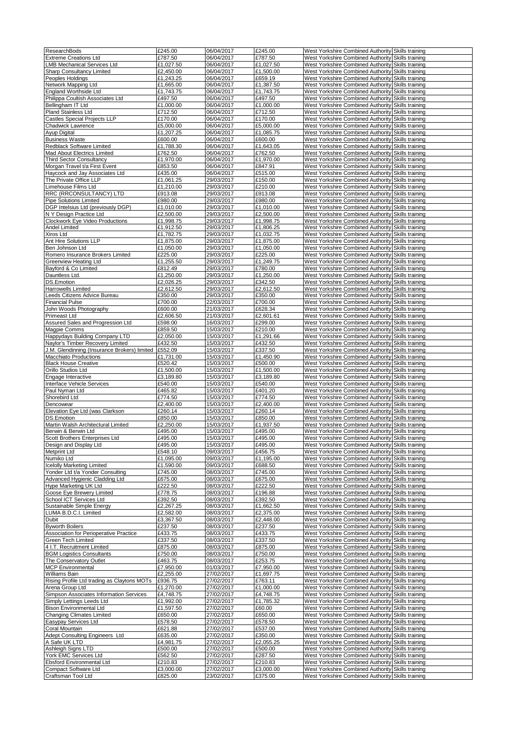| <b>ResearchBods</b>                          | £245.00              | 06/04/2017               | £245.00              | West Yorkshire Combined Authority Skills training                                                      |  |
|----------------------------------------------|----------------------|--------------------------|----------------------|--------------------------------------------------------------------------------------------------------|--|
| <b>Extreme Creations Ltd</b>                 | £787.50              | 06/04/2017               | £787.50              | West Yorkshire Combined Authority Skills training                                                      |  |
|                                              |                      |                          |                      |                                                                                                        |  |
| <b>LMB Mechanical Services Ltd</b>           | £1,027.50            | 06/04/2017               | £1,027.50            | West Yorkshire Combined Authority Skills training                                                      |  |
| <b>Sharp Consultancy Limited</b>             | £2,450.00            | 06/04/2017               | £1,500.00            | West Yorkshire Combined Authority Skills training                                                      |  |
| Peoples Holdings                             | £1,243.25            | 06/04/2017               | £659.19              | West Yorkshire Combined Authority Skills training                                                      |  |
| Network Mapping Ltd                          | £1,665.00            | 06/04/2017               | £1,387.50            | West Yorkshire Combined Authority Skills training                                                      |  |
| England Worthside Ltd                        | £1,743.75            | 06/04/2017               | £1,743.75            | West Yorkshire Combined Authority Skills training                                                      |  |
| Philippa Coultish Associates Ltd             | £497.50              | 06/04/2017               | £497.50              | West Yorkshire Combined Authority Skills training                                                      |  |
| Bellingham IT Ltd                            | £1,000.00            | 06/04/2017               | £1,000.00            | West Yorkshire Combined Authority Skills training                                                      |  |
|                                              |                      |                          |                      |                                                                                                        |  |
| Pland Stainless Ltd                          | £712.50              | 06/04/2017               | £712.50              | West Yorkshire Combined Authority Skills training                                                      |  |
| Castles Special Projects LLP                 | £170.00              | 06/04/2017               | £170.00              | West Yorkshire Combined Authority Skills training                                                      |  |
| Chadwick Lawrence                            | £5,000.00            | 06/04/2017               | £5,000.00            | West Yorkshire Combined Authority Skills training                                                      |  |
| Ayup Digital                                 | £1,207.25            | 06/04/2017               | £1,085.75            | West Yorkshire Combined Authority Skills training                                                      |  |
| <b>Business Waste</b>                        | £600.00              | 06/04/2017               | £600.00              | West Yorkshire Combined Authority Skills training                                                      |  |
| Redblack Software Limited                    | £1,788.30            | 06/04/2017               | £1,643.05            | West Yorkshire Combined Authority Skills training                                                      |  |
| Mad About Electrics Limited                  | £762.50              | 06/04/2017               | £762.50              | West Yorkshire Combined Authority Skills training                                                      |  |
|                                              |                      |                          |                      |                                                                                                        |  |
| <b>Third Sector Consultancy</b>              | £1,970.00            | 06/04/2017               | £1,970.00            | West Yorkshire Combined Authority Skills training                                                      |  |
| Morgan Travel t/a First Event                | £853.50              | 06/04/2017               | £847.91              | West Yorkshire Combined Authority Skills training                                                      |  |
| Haycock and Jay Associates Ltd               | £435.00              | 06/04/2017               | £515.00              | West Yorkshire Combined Authority Skills training                                                      |  |
| The Private Office LLP                       | £1,061.25            | 29/03/2017               | £150.00              | West Yorkshire Combined Authority Skills training                                                      |  |
| Limehouse Films Ltd                          | £1,210.00            | 29/03/2017               | £210.00              | West Yorkshire Combined Authority Skills training                                                      |  |
| RRC (RRCONSULTANCY) LTD                      | £913.08              | 29/03/2017               | £913.08              | West Yorkshire Combined Authority Skills training                                                      |  |
| <b>Pipe Solutions Limited</b>                | £980.00              | 29/03/2017               | £980.00              | West Yorkshire Combined Authority Skills training                                                      |  |
|                                              |                      |                          |                      |                                                                                                        |  |
| DGP Intelsius Ltd (previously DGP)           | £1,010.00            | 29/03/2017               | £1,010.00            | West Yorkshire Combined Authority Skills training                                                      |  |
| N Y Design Practice Ltd                      | £2,500.00            | 29/03/2017               | £2,500.00            | West Yorkshire Combined Authority Skills training                                                      |  |
| Clockwork Eye Video Productions              | £1,998.75            | 29/03/2017               | £1,998.75            | West Yorkshire Combined Authority Skills training                                                      |  |
| Andel Limited                                | £1,912.50            | 29/03/2017               | £1,806.25            | West Yorkshire Combined Authority Skills training                                                      |  |
| Xiros Ltd                                    | £1,782.75            | 29/03/2017               | £1,032.75            | West Yorkshire Combined Authority Skills training                                                      |  |
| Ant Hire Solutions LLP                       | £1,875.00            | 29/03/2017               | £1,875.00            | West Yorkshire Combined Authority Skills training                                                      |  |
|                                              |                      |                          |                      |                                                                                                        |  |
| Ben Johnson Ltd                              | £1,050.00            | 29/03/2017               | £1,050.00            | West Yorkshire Combined Authority Skills training                                                      |  |
| Romero Insurance Brokers Limited             | £225.00              | 29/03/2017               | £225.00              | West Yorkshire Combined Authority Skills training                                                      |  |
| <b>Greenview Heating Ltd</b>                 | £1,255.50            | 29/03/2017               | £1,249.75            | West Yorkshire Combined Authority Skills training                                                      |  |
| Bayford & Co Limited                         | £812.49              | 29/03/2017               | £780.00              | West Yorkshire Combined Authority Skills training                                                      |  |
| Dauntless Ltd.                               | £1,250.00            | 29/03/2017               | £1,250.00            | West Yorkshire Combined Authority Skills training                                                      |  |
| <b>DS.Emotion</b>                            | £2,026.25            | 29/03/2017               | £342.50              | West Yorkshire Combined Authority Skills training                                                      |  |
| Harrowells Limited                           | £2.612.50            | 29/03/2017               |                      | West Yorkshire Combined Authority Skills training                                                      |  |
|                                              |                      |                          | £2,612.50            |                                                                                                        |  |
| Leeds Citizens Advice Bureau                 | £350.00              | 29/03/2017               | £350.00              | West Yorkshire Combined Authority Skills training                                                      |  |
| <b>Financial Pulse</b>                       | £700.00              | 22/03/2017               | £700.00              | West Yorkshire Combined Authority Skills training                                                      |  |
| John Woods Photography                       | £600.00              | 21/03/2017               | £628.34              | West Yorkshire Combined Authority Skills training                                                      |  |
| Primeast Ltd                                 | £2,606.50            | 21/03/2017               | £2,601.61            | West Yorkshire Combined Authority Skills training                                                      |  |
| Assured Sales and Progression Ltd            | £598.00              | 16/03/2017               | £299.00              | West Yorkshire Combined Authority Skills training                                                      |  |
| Magpie Comms                                 | £859.50              | 15/03/2017               | £210.00              | West Yorkshire Combined Authority Skills training                                                      |  |
|                                              |                      |                          |                      |                                                                                                        |  |
| Happydays Building Company LTD               | £2,050.00            | 15/03/2017               | £1,291.66            | West Yorkshire Combined Authority Skills training                                                      |  |
| Naylor's Timber Recovery Limited             | £432.50              | 15/03/2017               | £432.50              | West Yorkshire Combined Authority Skills training                                                      |  |
| J.M. Glendinning (Insurance Brokers) limited | £552.09              | 15/03/2017               | £337.50              | West Yorkshire Combined Authority Skills training                                                      |  |
| <b>Macchiato Productions</b>                 | £1,731.00            | 15/03/2017               | £1,450.90            | West Yorkshire Combined Authority Skills training                                                      |  |
| <b>Black House Creative</b>                  | £520.42              | 15/03/2017               | £500.00              | West Yorkshire Combined Authority Skills training                                                      |  |
| Orillo Studios Ltd                           | £1,500.00            | 15/03/2017               | £1,500.00            | West Yorkshire Combined Authority Skills training                                                      |  |
|                                              |                      |                          |                      |                                                                                                        |  |
| Engage Interactive                           | £3,189.80            | 15/03/2017               | £3,189.80            | West Yorkshire Combined Authority Skills training                                                      |  |
| Interface Vehicle Services                   | £540.00              | 15/03/2017               | £540.00              | West Yorkshire Combined Authority Skills training                                                      |  |
| Paul Nyman Ltd                               | £465.82              | 15/03/2017               | £401.20              | West Yorkshire Combined Authority Skills training                                                      |  |
| Shorebird Ltd                                | £774.50              | 15/03/2017               | £774.50              | West Yorkshire Combined Authority Skills training                                                      |  |
| Dencowear                                    | £2,400.00            | 15/03/2017               | £2,400.00            | West Yorkshire Combined Authority Skills training                                                      |  |
| Elevation Eye Ltd (was Clarkson              | £260.14              | 15/03/2017               | £260.14              | West Yorkshire Combined Authority Skills training                                                      |  |
|                                              |                      |                          |                      |                                                                                                        |  |
| DS.Emotion                                   | £850.00              | 15/03/2017               | £850.00              |                                                                                                        |  |
|                                              |                      |                          |                      | West Yorkshire Combined Authority Skills training                                                      |  |
| Martin Walsh Architectural Limited           | £2,250.00            | 15/03/2017               | £1,937.50            | West Yorkshire Combined Authority Skills training                                                      |  |
| Berwin & Berwin Ltd                          | £495.00              | 15/03/2017               | £495.00              | West Yorkshire Combined Authority Skills training                                                      |  |
| Scott Brothers Enterprises Ltd               | £495.00              | 15/03/2017               | £495.00              | West Yorkshire Combined Authority Skills training                                                      |  |
| Design and Display Ltd                       | £495.00              | 15/03/2017               | £495.00              | West Yorkshire Combined Authority Skills training                                                      |  |
|                                              |                      |                          |                      |                                                                                                        |  |
| <b>Metprint Ltd</b>                          | £548.10              | 09/03/2017               | £456.75              | West Yorkshire Combined Authority Skills training                                                      |  |
| Numiko Ltd                                   | £1,095.00            | 09/03/2017               | £1,195.00            | West Yorkshire Combined Authority Skills training                                                      |  |
| <b>Icelolly Marketing Limited</b>            | £1,590.00            | 09/03/2017               | £688.50              | West Yorkshire Combined Authority Skills training                                                      |  |
| Yonder Ltd t/a Yonder Consulting             | £745.00              | 08/03/2017               | £745.00              | West Yorkshire Combined Authority Skills training                                                      |  |
| Advanced Hygienic Cladding Ltd               | £675.00              | 08/03/2017               | £675.00              | West Yorkshire Combined Authority Skills training                                                      |  |
| Hype Marketing UK Ltd                        | £222.50              | 08/03/2017               | £222.50              | West Yorkshire Combined Authority Skills training                                                      |  |
| Goose Eye Brewery Limited                    | £778.75              | 08/03/2017               | £196.88              | West Yorkshire Combined Authority Skills training                                                      |  |
|                                              |                      | 08/03/2017               |                      |                                                                                                        |  |
| School ICT Services Ltd                      | £392.50              |                          | £392.50              | West Yorkshire Combined Authority Skills training                                                      |  |
| Sustainable Simple Energy                    | £2,267.25            | 08/03/2017               | £1,662.50            | West Yorkshire Combined Authority Skills training                                                      |  |
| LUMA B.D.C.I. Limited                        | £2,582.00            | 08/03/2017               | £2,375.00            | West Yorkshire Combined Authority Skills training                                                      |  |
| Dubit                                        | £3,367.50            | 08/03/2017               | £2,448.00            | West Yorkshire Combined Authority Skills training                                                      |  |
| <b>Byworth Boilers</b>                       | £237.50              | 08/03/2017               | £237.50              | West Yorkshire Combined Authority Skills training                                                      |  |
| Association for Perioperative Practice       | £433.75              | 08/03/2017               | £433.75              | West Yorkshire Combined Authority Skills training                                                      |  |
| Green Tech Limited                           | £337.50              | 08/03/2017               | £337.50              | West Yorkshire Combined Authority Skills training                                                      |  |
| 4 I.T. Recruitment Limited                   | £875.00              | 08/03/2017               | £875.00              | West Yorkshire Combined Authority Skills training                                                      |  |
|                                              |                      |                          |                      |                                                                                                        |  |
| <b>BGM Logistics Consultants</b>             | £750.00              | 08/03/2017               | £750.00              | West Yorkshire Combined Authority Skills training                                                      |  |
| The Conservatory Outlet                      | £463.75              | 08/03/2017               | £253.75              | West Yorkshire Combined Authority Skills training                                                      |  |
| <b>MCP Environmental</b>                     | £7,950.00            | 01/03/2017               | £7,950.00            | West Yorkshire Combined Authority Skills training                                                      |  |
| Williams Bain                                | £2,255.00            | 27/02/2017               | £1,697.75            | West Yorkshire Combined Authority Skills training                                                      |  |
| Rising Profile Ltd trading as Claytons MOTs  | £936.75              | 27/02/2017               | £763.11              | West Yorkshire Combined Authority Skills training                                                      |  |
| Arena Group Ltd                              | £1,270.00            | 27/02/2017               | £1,000.00            | West Yorkshire Combined Authority Skills training                                                      |  |
| Simpson Associates Information Services      | £4,748.75            | 27/02/2017               | £4,748.75            | West Yorkshire Combined Authority Skills training                                                      |  |
|                                              |                      |                          |                      |                                                                                                        |  |
| Simply Lettings Leeds Ltd                    | £1,992.00            | 27/02/2017               | £1,785.32            | West Yorkshire Combined Authority Skills training                                                      |  |
| <b>Bison Environmental Ltd</b>               | £1,597.50            | 27/02/2017               | £60.00               | West Yorkshire Combined Authority Skills training                                                      |  |
| <b>Changing Climates Limited</b>             | £650.00              | 27/02/2017               | £650.00              | West Yorkshire Combined Authority Skills training                                                      |  |
| Easypay Services Ltd                         | £578.50              | 27/02/2017               | £578.50              | West Yorkshire Combined Authority Skills training                                                      |  |
| Coral Mountain                               | £621.88              | 27/02/2017               | £537.00              | West Yorkshire Combined Authority Skills training                                                      |  |
| Adept Consulting Engineers Ltd               | £635.00              | 27/02/2017               | £350.00              | West Yorkshire Combined Authority Skills training                                                      |  |
|                                              |                      |                          |                      |                                                                                                        |  |
| A Safe UK LTD                                | £4,981.75            | 27/02/2017               | £2,055.25            | West Yorkshire Combined Authority Skills training                                                      |  |
| Ashleigh Signs LTD                           | £500.00              | 27/02/2017               | £500.00              | West Yorkshire Combined Authority Skills training                                                      |  |
| York EMC Services Ltd                        | £562.50              | 27/02/2017               | £287.50              | West Yorkshire Combined Authority Skills training                                                      |  |
| Ebsford Environmental Ltd                    | £210.83              | 27/02/2017               | £210.83              | West Yorkshire Combined Authority Skills training                                                      |  |
| Compact Software Ltd<br>Craftsman Tool Ltd   | £3,000.00<br>£825.00 | 27/02/2017<br>23/02/2017 | £3,000.00<br>£375.00 | West Yorkshire Combined Authority Skills training<br>West Yorkshire Combined Authority Skills training |  |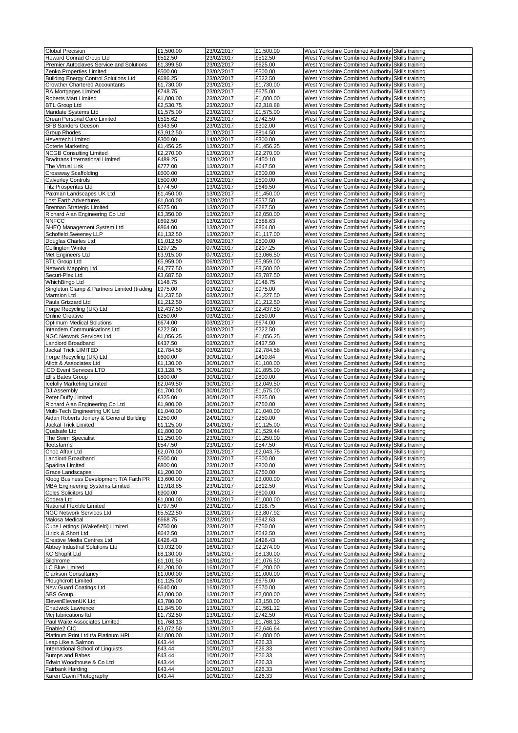| <b>Global Precision</b>                      | £1,500.00 | 23/02/2017 | £1,500.00 | West Yorkshire Combined Authority Skills training |  |
|----------------------------------------------|-----------|------------|-----------|---------------------------------------------------|--|
| Howard Conrad Group Ltd                      | £512.50   | 23/02/2017 | £512.50   | West Yorkshire Combined Authority Skills training |  |
|                                              |           |            |           |                                                   |  |
| Premier Autoclaves Service and Solutions     | £1,399.50 | 23/02/2017 | £625.00   | West Yorkshire Combined Authority Skills training |  |
| Zenko Properties Limited                     | £500.00   | 23/02/2017 | £500.00   | West Yorkshire Combined Authority Skills training |  |
| <b>Building Energy Control Solutions Ltd</b> | £686.25   | 23/02/2017 | £522.50   | West Yorkshire Combined Authority Skills training |  |
| <b>Crowther Chartered Accountants</b>        | £1,730.00 | 23/02/2017 | £1,730.00 | West Yorkshire Combined Authority Skills training |  |
| RA Mortgages Limited                         | £748.75   | 23/02/2017 | £675.00   | West Yorkshire Combined Authority Skills training |  |
| Roberts Mart Limited                         | £1,000.00 | 23/02/2017 | £1,000.00 | West Yorkshire Combined Authority Skills training |  |
| <b>BTL Group Ltd</b>                         | £2,530.75 | 23/02/2017 | £2,318.88 |                                                   |  |
|                                              |           |            |           | West Yorkshire Combined Authority Skills training |  |
| Mandate Systems Ltd                          | £1,575.00 | 23/02/2017 | £1,575.00 | West Yorkshire Combined Authority Skills training |  |
| Orean Personal Care Limited                  | £515.62   | 23/02/2017 | £742.50   | West Yorkshire Combined Authority Skills training |  |
| SFB Sanders Geeson                           | £343.50   | 23/02/2017 | £302.00   | West Yorkshire Combined Authority Skills training |  |
| Group Rhodes                                 | £3,912.50 | 21/02/2017 | £814.50   | West Yorkshire Combined Authority Skills training |  |
| Hevertech Limited                            | £300.00   | 14/02/2017 | £300.00   | West Yorkshire Combined Authority Skills training |  |
| <b>Coterie Marketing</b>                     | £1,456.25 | 13/02/2017 | £1,456.25 | West Yorkshire Combined Authority Skills training |  |
| <b>NCGB Consulting Limited</b>               | £2,270.00 | 13/02/2017 | £2,270.00 | West Yorkshire Combined Authority Skills training |  |
|                                              |           |            |           |                                                   |  |
| <b>Bradtrans International Limited</b>       | £489.25   | 13/02/2017 | £450.10   | West Yorkshire Combined Authority Skills training |  |
| The Virtual Link                             | £777.00   | 13/02/2017 | £647.50   | West Yorkshire Combined Authority Skills training |  |
| <b>Crossway Scaffolding</b>                  | £600.00   | 13/02/2017 | £600.00   | West Yorkshire Combined Authority Skills training |  |
| <b>Calverley Controls</b>                    | £500.00   | 13/02/2017 | £500.00   | West Yorkshire Combined Authority Skills training |  |
| Tilz Prosperitas Ltd                         | £774.50   | 13/02/2017 | £649.50   | West Yorkshire Combined Authority Skills training |  |
| Paxman Landscapes UK Ltd                     | £1,450.00 | 13/02/2017 | £1,450.00 | West Yorkshire Combined Authority Skills training |  |
| Lost Earth Adventures                        | £1,040.00 | 13/02/2017 | £537.50   | West Yorkshire Combined Authority Skills training |  |
|                                              |           |            |           |                                                   |  |
| Brennan Strategic Limited                    | £575.00   | 13/02/2017 | £287.50   | West Yorkshire Combined Authority Skills training |  |
| Richard Alan Engineering Co Ltd              | £3,350.00 | 13/02/2017 | £2,050.00 | West Yorkshire Combined Authority Skills training |  |
| <b>NNFCC</b>                                 | £692.50   | 13/02/2017 | £588.63   | West Yorkshire Combined Authority Skills training |  |
| SHEQ Management System Ltd                   | £864.00   | 13/02/2017 | £864.00   | West Yorkshire Combined Authority Skills training |  |
| Schofield Sweeney LLP                        | £1,132.50 | 13/02/2017 | £1,117.00 | West Yorkshire Combined Authority Skills training |  |
| Douglas Charles Ltd                          | £1,012.50 | 09/02/2017 | £500.00   | West Yorkshire Combined Authority Skills training |  |
| <b>Collington Winter</b>                     | £297.25   | 07/02/2017 | £207.25   | West Yorkshire Combined Authority Skills training |  |
|                                              |           |            |           |                                                   |  |
| Met Engineers Ltd                            | £3,915.00 | 07/02/2017 | £3,066.50 | West Yorkshire Combined Authority Skills training |  |
| <b>BTL Group Ltd</b>                         | £5,959.00 | 06/02/2017 | £5,959.00 | West Yorkshire Combined Authority Skills training |  |
| Network Mapping Ltd                          | £4,777.50 | 03/02/2017 | £3,500.00 | West Yorkshire Combined Authority Skills training |  |
| Securi-Plex Ltd                              | £3,687.50 | 03/02/2017 | £3,787.50 | West Yorkshire Combined Authority Skills training |  |
| WhichBingo Ltd                               | £148.75   | 03/02/2017 | £148.75   | West Yorkshire Combined Authority Skills training |  |
| Singleton Clamp & Partners Limited (trading  | £975.00   | 03/02/2017 | £975.00   | West Yorkshire Combined Authority Skills training |  |
|                                              |           |            |           |                                                   |  |
| Marmion Ltd                                  | £1,237.50 | 03/02/2017 | £1,227.50 | West Yorkshire Combined Authority Skills training |  |
| Paula Grizzard Ltd                           | £1,212.50 | 03/02/2017 | £1,212.50 | West Yorkshire Combined Authority Skills training |  |
| Forge Recycling (UK) Ltd                     | £2,437.50 | 03/02/2017 | £2,437.50 | West Yorkshire Combined Authority Skills training |  |
| Online Creative                              | £250.00   | 03/02/2017 | £250.00   | West Yorkshire Combined Authority Skills training |  |
| <b>Optimum Medical Solutions</b>             | £674.00   | 03/02/2017 | £674.00   | West Yorkshire Combined Authority Skills training |  |
| Intandem Communications Ltd                  | £222.50   | 03/02/2017 | £222.50   | West Yorkshire Combined Authority Skills training |  |
| NGC Network Services Ltd                     | £1,056.25 | 03/02/2017 | £1,056.25 | West Yorkshire Combined Authority Skills training |  |
|                                              |           |            |           |                                                   |  |
| Landlord Broadband                           | £437.50   | 03/02/2017 | £437.50   | West Yorkshire Combined Authority Skills training |  |
| Jackal Trick LIMITED                         | £2,784.58 | 03/02/2017 | £2,784.58 | West Yorkshire Combined Authority Skills training |  |
| Forge Recycling (UK) Ltd                     | £600.00   | 30/01/2017 | £410.84   | West Yorkshire Combined Authority Skills training |  |
| Allott & Associates Ltd                      | £1,130.00 | 30/01/2017 | £1,100.00 | West Yorkshire Combined Authority Skills training |  |
| iCO Event Services LTD                       | £3,128.75 | 30/01/2017 | £1,895.00 | West Yorkshire Combined Authority Skills training |  |
| Ellis Bates Group                            | £800.00   | 30/01/2017 | £800.00   | West Yorkshire Combined Authority Skills training |  |
|                                              |           |            |           |                                                   |  |
| <b>Icelolly Marketing Limited</b>            | £2,049.50 | 30/01/2017 | £2,049.50 | West Yorkshire Combined Authority Skills training |  |
| DJ Assembly                                  | £1,700.00 | 30/01/2017 | £1,575.00 | West Yorkshire Combined Authority Skills training |  |
| Peter Duffy Limited                          | £325.00   | 30/01/2017 | £325.00   | West Yorkshire Combined Authority Skills training |  |
| Richard Alan Engineering Co Ltd              | £1,900.00 | 30/01/2017 | £750.00   | West Yorkshire Combined Authority Skills training |  |
| Multi-Tech Engineering UK Ltd                | £1,040.00 | 24/01/2017 | £1,040.00 | West Yorkshire Combined Authority Skills training |  |
| Aidan Roberts Joinery & General Building     | £250.00   | 24/01/2017 | £250.00   | West Yorkshire Combined Authority Skills training |  |
| Jackal Trick Limited                         | £1,125.00 | 24/01/2017 | £1,125.00 | West Yorkshire Combined Authority Skills training |  |
|                                              |           |            |           |                                                   |  |
| Qualsafe Ltd                                 | £1,800.00 | 24/01/2017 | £1,529.44 | West Yorkshire Combined Authority Skills training |  |
| The Swim Specialist                          | £1,250.00 | 23/01/2017 | £1,250.00 | West Yorkshire Combined Authority Skills training |  |
| fleetsfarms                                  | £547.50   | 23/01/2017 | £547.50   | West Yorkshire Combined Authority Skills training |  |
| Choc Affair Ltd                              | £2,070.00 | 23/01/2017 | £2,043.75 | West Yorkshire Combined Authority Skills training |  |
| Landlord Broadband                           | £500.00   | 23/01/2017 | £500.00   | West Yorkshire Combined Authority Skills training |  |
| Spadina Limited                              | £800.00   | 23/01/2017 | £800.00   | West Yorkshire Combined Authority Skills training |  |
| Grace Landscapes                             | £1,200.00 | 23/01/2017 | £750.00   | West Yorkshire Combined Authority Skills training |  |
|                                              |           |            |           |                                                   |  |
| Kloog Business Development T/A Faith PR      | £3,600.00 | 23/01/2017 | £3,000.00 | West Yorkshire Combined Authority Skills training |  |
| <b>MBA Engineering Systems Limited</b>       | £1,918.85 | 23/01/2017 | £812.50   | West Yorkshire Combined Authority Skills training |  |
| Coles Solicitors Ltd                         | £900.00   | 23/01/2017 | £600.00   | West Yorkshire Combined Authority Skills training |  |
| Codera Ltd                                   | £1,000.00 | 23/01/2017 | £1,000.00 | West Yorkshire Combined Authority Skills training |  |
| National Flexible Limited                    | £797.50   | 23/01/2017 | £398.75   | West Yorkshire Combined Authority Skills training |  |
| NGC Network Services Ltd                     | £5,522.50 | 23/01/2017 | £3,807.92 | West Yorkshire Combined Authority Skills training |  |
| Malosa Medical                               | £668.75   | 23/01/2017 | £642.63   | West Yorkshire Combined Authority Skills training |  |
| Cube Lettings (Wakefield) Limited            | £750.00   | 23/01/2017 | £750.00   | West Yorkshire Combined Authority Skills training |  |
|                                              |           |            |           |                                                   |  |
| Ulrick & Short Ltd                           | £642.50   | 23/01/2017 | £642.50   | West Yorkshire Combined Authority Skills training |  |
| Creative Media Centres Ltd                   | £426.43   | 18/01/2017 | £426.43   | West Yorkshire Combined Authority Skills training |  |
| Abbey Industrial Solutions Ltd               | £3,032.00 | 16/01/2017 | £2,274.00 | West Yorkshire Combined Authority Skills training |  |
| <b>KC Shopfit Ltd</b>                        | £8,130.00 | 16/01/2017 | £8,130.00 | West Yorkshire Combined Authority Skills training |  |
| Silchrome                                    | £1,101.50 | 16/01/2017 | £1,076.50 | West Yorkshire Combined Authority Skills training |  |
| I C Blue Limited                             | £1,200.00 | 16/01/2017 | £1,200.00 | West Yorkshire Combined Authority Skills training |  |
| <b>Clarkson Consultancy</b>                  | £1,000.00 | 16/01/2017 | £1,000.00 | West Yorkshire Combined Authority Skills training |  |
| Ploughcroft Limited                          | £1,125.00 | 16/01/2017 | £675.00   | West Yorkshire Combined Authority Skills training |  |
|                                              |           |            |           |                                                   |  |
| New Guard Coatings Ltd                       | £640.00   | 16/01/2017 | £570.00   | West Yorkshire Combined Authority Skills training |  |
| SBS Group                                    | £3,000.00 | 13/01/2017 | £2,000.00 | West Yorkshire Combined Authority Skills training |  |
| ElevenElevenUK Ltd                           | £3,780.00 | 13/01/2017 | £3,150.00 | West Yorkshire Combined Authority Skills training |  |
| Chadwick Lawrence                            | £1,845.00 | 13/01/2017 | £1,561.12 | West Yorkshire Combined Authority Skills training |  |
| Mcj fabrications Itd                         | £1,732.50 | 13/01/2017 | £742.50   | West Yorkshire Combined Authority Skills training |  |
| Paul Waite Associates Limited                | £1,768.13 | 13/01/2017 | £1,768.13 | West Yorkshire Combined Authority Skills training |  |
|                                              |           |            |           |                                                   |  |
| Enable2 CIC                                  | £3,072.50 | 13/01/2017 | £2,646.64 | West Yorkshire Combined Authority Skills training |  |
| Platinum Print Ltd t/a Platinum HPL          | £1,000.00 | 13/01/2017 | £1,000.00 | West Yorkshire Combined Authority Skills training |  |
| Leap Like a Salmon                           | £43.44    | 10/01/2017 | £26.33    | West Yorkshire Combined Authority Skills training |  |
| International School of Linguists            | £43.44    | 10/01/2017 | £26.33    | West Yorkshire Combined Authority Skills training |  |
| <b>Bumps and Babes</b>                       | £43.44    | 10/01/2017 | £26.33    | West Yorkshire Combined Authority Skills training |  |
| Edwin Woodhouse & Co Ltd                     | £43.44    | 10/01/2017 | £26.33    | West Yorkshire Combined Authority Skills training |  |
| Fairbank Harding                             | £43.44    | 10/01/2017 | £26.33    | West Yorkshire Combined Authority Skills training |  |
| Karen Gavin Photography                      | £43.44    | 10/01/2017 | £26.33    | West Yorkshire Combined Authority Skills training |  |
|                                              |           |            |           |                                                   |  |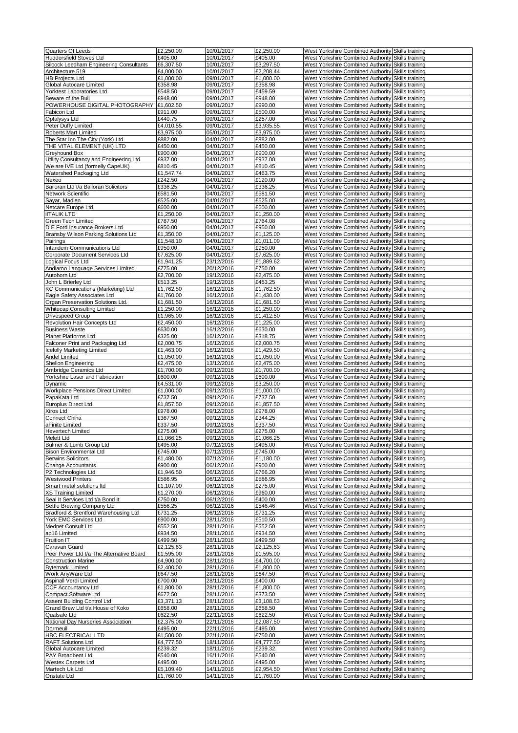| Quarters Of Leeds                        | £2,250.00 | 10/01/2017 | £2,250.00 | West Yorkshire Combined Authority Skills training |  |
|------------------------------------------|-----------|------------|-----------|---------------------------------------------------|--|
| Huddersfield Stoves Ltd                  | £405.00   | 10/01/2017 | £405.00   | West Yorkshire Combined Authority Skills training |  |
| Silcock Leedham Engineering Consultants  | £6,307.50 | 10/01/2017 | £3,297.50 | West Yorkshire Combined Authority Skills training |  |
| Architecture 519                         | £4,000.00 | 10/01/2017 | £2,208.44 | West Yorkshire Combined Authority Skills training |  |
| <b>HB Projects Ltd</b>                   | £1,000.00 | 09/01/2017 |           | West Yorkshire Combined Authority Skills training |  |
|                                          |           |            | £1,000.00 |                                                   |  |
| Global Autocare Limited                  | £358.98   | 09/01/2017 | £358.98   | West Yorkshire Combined Authority Skills training |  |
| Yorktest Laboratories Ltd                | £548.50   | 09/01/2017 | £459.59   | West Yorkshire Combined Authority Skills training |  |
| Beware of the Bull                       | £948.00   | 09/01/2017 | £948.00   | West Yorkshire Combined Authority Skills training |  |
| POWERHOUSE DIGITAL PHOTOGRAPHY           | £1,602.50 | 09/01/2017 | £990.00   | West Yorkshire Combined Authority Skills training |  |
| Fabicon Ltd                              | £911.00   | 09/01/2017 | £500.00   | West Yorkshire Combined Authority Skills training |  |
| Optalysys Ltd                            | £440.75   | 09/01/2017 | £257.00   | West Yorkshire Combined Authority Skills training |  |
| Peter Duffy Limited                      | £4,010.55 | 09/01/2017 | £3,935.55 | West Yorkshire Combined Authority Skills training |  |
| Roberts Mart Limited                     | £3,975.00 |            |           | West Yorkshire Combined Authority Skills training |  |
|                                          |           | 05/01/2017 | £3,975.00 |                                                   |  |
| The Star Inn The City (York) Ltd         | £882.00   | 04/01/2017 | £882.00   | West Yorkshire Combined Authority Skills training |  |
| THE VITAL ELEMENT (UK) LTD               | £450.00   | 04/01/2017 | £450.00   | West Yorkshire Combined Authority Skills training |  |
| Greyhound Box                            | £900.00   | 04/01/2017 | £900.00   | West Yorkshire Combined Authority Skills training |  |
| Utility Consultancy and Engineering Ltd  | £937.00   | 04/01/2017 | £937.00   | West Yorkshire Combined Authority Skills training |  |
| We are IVE Ltd (formelly CapeUK)         | £810.45   | 04/01/2017 | £810.45   | West Yorkshire Combined Authority Skills training |  |
| Watershed Packaging Ltd                  | £1,547.74 | 04/01/2017 | £463.75   | West Yorkshire Combined Authority Skills training |  |
|                                          |           | 04/01/2017 |           |                                                   |  |
| Nexeo                                    | £242.50   |            | £120.00   | West Yorkshire Combined Authority Skills training |  |
| Bailoran Ltd t/a Bailoran Solicitors     | £336.25   | 04/01/2017 | £336.25   | West Yorkshire Combined Authority Skills training |  |
| Network Scientific                       | £581.50   | 04/01/2017 | £581.50   | West Yorkshire Combined Authority Skills training |  |
| Sayar, Madlen                            | £525.00   | 04/01/2017 | £525.00   | West Yorkshire Combined Authority Skills training |  |
| Netcare Europe Ltd                       | £600.00   | 04/01/2017 | £600.00   | West Yorkshire Combined Authority Skills training |  |
| <b>ilTALIK LTD</b>                       | £1,250.00 | 04/01/2017 | £1,250.00 | West Yorkshire Combined Authority Skills training |  |
| <b>Green Tech Limited</b>                | £787.50   | 04/01/2017 | £764.08   | West Yorkshire Combined Authority Skills training |  |
| D E Ford Insurance Brokers Ltd           | £950.00   | 04/01/2017 | £950.00   |                                                   |  |
|                                          |           |            |           | West Yorkshire Combined Authority Skills training |  |
| Bransby Wilson Parking Solutions Ltd     | £1,350.00 | 04/01/2017 | £1,125.00 | West Yorkshire Combined Authority Skills training |  |
| Pairings                                 | £1,548.10 | 04/01/2017 | £1,011.09 | West Yorkshire Combined Authority Skills training |  |
| Intandem Communications Ltd              | £950.00   | 04/01/2017 | £950.00   | West Yorkshire Combined Authority Skills training |  |
| Corporate Document Services Ltd          | £7,625.00 | 04/01/2017 | £7,625.00 | West Yorkshire Combined Authority Skills training |  |
| Logical Focus Ltd                        | £1,941.25 | 23/12/2016 | £1,889.62 | West Yorkshire Combined Authority Skills training |  |
| Andiamo Language Services Limited        | £775.00   | 20/12/2016 | £750.00   | West Yorkshire Combined Authority Skills training |  |
| Autohorn Ltd                             | £2,700.00 |            |           |                                                   |  |
|                                          |           | 19/12/2016 | £2,475.00 | West Yorkshire Combined Authority Skills training |  |
| John L Brierley Ltd                      | £513.25   | 19/12/2016 | £453.25   | West Yorkshire Combined Authority Skills training |  |
| KC Communications (Marketing) Ltd        | £1,762.50 | 16/12/2016 | £1,762.50 | West Yorkshire Combined Authority Skills training |  |
| Eagle Safety Associates Ltd              | £1,760.00 | 16/12/2016 | £1,430.00 | West Yorkshire Combined Authority Skills training |  |
| Organ Preservation Solutions Ltd.        | £1,681.50 | 16/12/2016 | £1,681.50 | West Yorkshire Combined Authority Skills training |  |
| <b>Whitecap Consulting Limited</b>       | £1,250.00 | 16/12/2016 | £1,250.00 | West Yorkshire Combined Authority Skills training |  |
| Drivespeed Group                         | £1,965.00 | 16/12/2016 | £1,412.50 | West Yorkshire Combined Authority Skills training |  |
|                                          |           |            |           |                                                   |  |
| Revolution Hair Concepts Ltd             | £2,450.00 | 16/12/2016 | £1,225.00 | West Yorkshire Combined Authority Skills training |  |
| <b>Business Waste</b>                    | £630.00   | 16/12/2016 | £630.00   | West Yorkshire Combined Authority Skills training |  |
| Planet Platforms Ltd                     | £325.00   | 16/12/2016 | £318.75   | West Yorkshire Combined Authority Skills training |  |
| Falconer Print and Packaging Ltd         | £2,000.75 | 16/12/2016 | £2,000.75 | West Yorkshire Combined Authority Skills training |  |
| <b>Icelolly Marketing Limited</b>        | £1,463.00 | 16/12/2016 | £1,429.50 | West Yorkshire Combined Authority Skills training |  |
| Andel Limited                            | £1,050.00 | 16/12/2016 | £1,050.00 | West Yorkshire Combined Authority Skills training |  |
| Shellon Engineering                      | £2,475.00 |            |           |                                                   |  |
|                                          |           | 13/12/2016 | £2,475.00 | West Yorkshire Combined Authority Skills training |  |
| Ambridge Ceramics Ltd                    | £1,700.00 | 09/12/2016 | £1,700.00 | West Yorkshire Combined Authority Skills training |  |
| Yorkshire Laser and Fabrication          | £600.00   | 09/12/2016 | £600.00   | West Yorkshire Combined Authority Skills training |  |
| Dynamic                                  | £4,531.00 | 09/12/2016 | £3,250.00 | West Yorkshire Combined Authority Skills training |  |
| <b>Workplace Pensions Direct Limited</b> | £1,000.00 | 09/12/2016 | £1,000.00 | West Yorkshire Combined Authority Skills training |  |
| PapaKata Ltd                             | £737.50   | 09/12/2016 | £737.50   | West Yorkshire Combined Authority Skills training |  |
| Europlus Direct Ltd                      | £1,857.50 | 09/12/2016 | £1,857.50 | West Yorkshire Combined Authority Skills training |  |
|                                          |           |            |           |                                                   |  |
| Xiros Ltd                                | £978.00   | 09/12/2016 | £978.00   | West Yorkshire Combined Authority Skills training |  |
| Connect China                            | £367.50   | 09/12/2016 | £344.25   | West Yorkshire Combined Authority Skills training |  |
| aFinite Limited                          | £337.50   | 09/12/2016 | £337.50   | West Yorkshire Combined Authority Skills training |  |
| <b>Hevertech Limited</b>                 | £275.00   | 09/12/2016 | £275.00   | West Yorkshire Combined Authority Skills training |  |
| Melett Ltd                               | £1,066.25 | 09/12/2016 | £1,066.25 | West Yorkshire Combined Authority Skills training |  |
| Bulmer & Lumb Group Ltd                  | £495.00   | 07/12/2016 | £495.00   | West Yorkshire Combined Authority Skills training |  |
| Bison Environmental Ltd                  | £745.00   | 07/12/2016 | £745.00   | West Yorkshire Combined Authority Skills training |  |
|                                          |           |            |           | West Yorkshire Combined Authority Skills training |  |
| <b>Berwins Solicitors</b>                | £1,480.00 | 07/12/2016 | £1,180.00 |                                                   |  |
| <b>Change Accountants</b>                | £900.00   | 06/12/2016 | £900.00   | West Yorkshire Combined Authority Skills training |  |
| P2 Technologies Ltd                      | £1,946.50 | 06/12/2016 | £766.20   | West Yorkshire Combined Authority Skills training |  |
| <b>Westwood Printers</b>                 | £586.95   | 06/12/2016 | £586.95   | West Yorkshire Combined Authority Skills training |  |
| Smart metal solutions Itd                | £1,107.00 | 06/12/2016 | £275.00   | West Yorkshire Combined Authority Skills training |  |
| XS Training Limited                      | £1,270.00 | 06/12/2016 | £960.00   | West Yorkshire Combined Authority Skills training |  |
| Seal It Services Ltd t/a Bond It         | £750.00   | 06/12/2016 | £400.00   | West Yorkshire Combined Authority Skills training |  |
| Settle Brewing Company Ltd               | £556.25   | 06/12/2016 | £546.46   | West Yorkshire Combined Authority Skills training |  |
| Bradford & Brentford Warehousing Ltd     | £731.25   | 06/12/2016 | £731.25   | West Yorkshire Combined Authority Skills training |  |
|                                          |           |            |           |                                                   |  |
| York EMC Services Ltd                    | £900.00   | 28/11/2016 | £510.50   | West Yorkshire Combined Authority Skills training |  |
| Mednet Consult Ltd                       | £552.50   | 28/11/2016 | £552.50   | West Yorkshire Combined Authority Skills training |  |
| ap16 Limited                             | £934.50   | 28/11/2016 | £934.50   | West Yorkshire Combined Authority Skills training |  |
| Fruition IT                              | £499.50   | 28/11/2016 | £499.50   | West Yorkshire Combined Authority Skills training |  |
| Caravan Guard                            | £2,125.63 | 28/11/2016 | £2,125.63 | West Yorkshire Combined Authority Skills training |  |
| Peer Power Ltd t/a The Alternative Board | £1,595.00 | 28/11/2016 | £1,595.00 | West Yorkshire Combined Authority Skills training |  |
| <b>Construction Marine</b>               | £4,900.00 | 28/11/2016 | £4,700.00 | West Yorkshire Combined Authority Skills training |  |
| <b>Bytemark Limited</b>                  | £2,400.00 | 28/11/2016 | £1,800.00 | West Yorkshire Combined Authority Skills training |  |
|                                          |           |            |           |                                                   |  |
| Work AnyWare Ltd                         | £647.50   | 28/11/2016 | £647.50   | West Yorkshire Combined Authority Skills training |  |
| Aspinall Verdi Limited                   | £700.00   | 28/11/2016 | £400.00   | West Yorkshire Combined Authority Skills training |  |
| <b>CCF Accountancy Ltd</b>               | £1,800.00 | 28/11/2016 | £1,800.00 | West Yorkshire Combined Authority Skills training |  |
| Compact Software Ltd                     | £672.50   | 28/11/2016 | £373.50   | West Yorkshire Combined Authority Skills training |  |
| Assent Building Control Ltd              | £3,371.13 | 28/11/2016 | £3,108.63 | West Yorkshire Combined Authority Skills training |  |
| Grand Brew Ltd t/a House of Koko         | £658.00   | 28/11/2016 | £658.50   | West Yorkshire Combined Authority Skills training |  |
| Qualsafe Ltd                             | £622.50   | 22/11/2016 | £622.50   | West Yorkshire Combined Authority Skills training |  |
|                                          |           |            |           |                                                   |  |
| National Day Nurseries Association       | £2,375.00 | 22/11/2016 | £2,087.50 | West Yorkshire Combined Authority Skills training |  |
| Dormeuil                                 | £495.00   | 22/11/2016 | £495.00   | West Yorkshire Combined Authority Skills training |  |
| HBC ELECTRICAL LTD                       | £1,500.00 | 22/11/2016 | £750.00   | West Yorkshire Combined Authority Skills training |  |
| <b>RAFT Solutions Ltd</b>                | £4,777.50 | 18/11/2016 | £4,777.50 | West Yorkshire Combined Authority Skills training |  |
| Global Autocare Limited                  | £239.32   | 18/11/2016 | £239.32   | West Yorkshire Combined Authority Skills training |  |
| PAY Broadbent Ltd                        | £540.00   | 16/11/2016 | £540.00   | West Yorkshire Combined Authority Skills training |  |
| <b>Westex Carpets Ltd</b>                | £495.00   | 16/11/2016 | £495.00   | West Yorkshire Combined Authority Skills training |  |
|                                          |           |            |           |                                                   |  |
| Martech Uk Ltd                           | £5,109.40 | 14/11/2016 | £2,954.50 | West Yorkshire Combined Authority Skills training |  |
| Onstate Ltd                              | £1,760.00 | 14/11/2016 | £1,760.00 | West Yorkshire Combined Authority Skills training |  |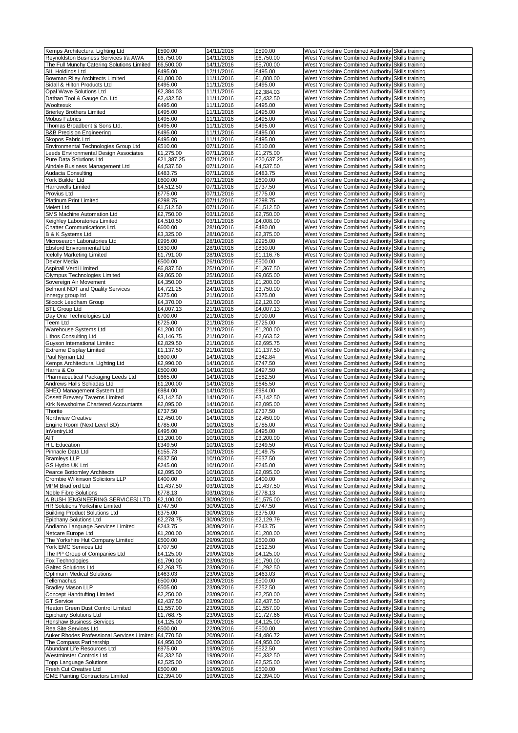| Kemps Architectural Lighting Ltd           | £590.00              | 14/11/2016 | £590.00    | West Yorkshire Combined Authority Skills training |  |
|--------------------------------------------|----------------------|------------|------------|---------------------------------------------------|--|
| Reynoldston Business Services t/a AWA      | £6,750.00            | 14/11/2016 | £6,750.00  | West Yorkshire Combined Authority Skills training |  |
| The Full Munchy Catering Solutions Limited | £6,500.00            | 14/11/2016 | £5,700.00  | West Yorkshire Combined Authority Skills training |  |
| SIL Holdings Ltd                           | £495.00              | 12/11/2016 | £495.00    | West Yorkshire Combined Authority Skills training |  |
| <b>Bowman Riley Architects Limited</b>     | £1,000.00            | 11/11/2016 | £1.000.00  | West Yorkshire Combined Authority Skills training |  |
| Sidall & Hilton Products Ltd               | £495.00              | 11/11/2016 | £495.00    | West Yorkshire Combined Authority Skills training |  |
|                                            |                      | 11/11/2016 | £2,384.03  |                                                   |  |
| Opal Wave Solutions Ltd                    | £2,384.03            |            |            | West Yorkshire Combined Authority Skills training |  |
| Dathan Tool & Gauge Co. Ltd                | £2,432.50            | 11/11/2016 | £2,432.50  | West Yorkshire Combined Authority Skills training |  |
| Wooltexuk                                  | £495.00              | 11/11/2016 | £495.00    | West Yorkshire Combined Authority Skills training |  |
| <b>Brierley Brothers Limited</b>           | £495.00              | 11/11/2016 | £495.00    | West Yorkshire Combined Authority Skills training |  |
| <b>Mobus Fabrics</b>                       | £495.00              | 11/11/2016 | £495.00    | West Yorkshire Combined Authority Skills training |  |
| Thomas Broadbent & Sons Ltd.               | £495.00              | 11/11/2016 | £495.00    | West Yorkshire Combined Authority Skills training |  |
| <b>B&amp;B Precision Engineering</b>       | £495.00              | 11/11/2016 | £495.00    | West Yorkshire Combined Authority Skills training |  |
| Skopos Fabric Ltd                          | £495.00              | 11/11/2016 | £495.00    | West Yorkshire Combined Authority Skills training |  |
| Environmental Technologies Group Ltd       | £510.00              | 07/11/2016 | £510.00    | West Yorkshire Combined Authority Skills training |  |
| Leeds Environmental Design Associates      | £1,275.00            | 07/11/2016 | £1,275.00  | West Yorkshire Combined Authority Skills training |  |
| Pure Data Solutions Ltd                    | £21,387.25           | 07/11/2016 | £20,637.25 | West Yorkshire Combined Authority Skills training |  |
| Aindale Business Management Ltd            | £4,537.50            | 07/11/2016 | £4,537.50  | West Yorkshire Combined Authority Skills training |  |
| Audacia Consulting                         | £483.75              | 07/11/2016 | £483.75    | West Yorkshire Combined Authority Skills training |  |
| York Builder Ltd                           | £600.00              | 07/11/2016 | £600.00    | West Yorkshire Combined Authority Skills training |  |
| Harrowells Limited                         | £4,512.50            | 07/11/2016 | £737.50    | West Yorkshire Combined Authority Skills training |  |
| Provius Ltd                                | £775.00              | 07/11/2016 | £775.00    | West Yorkshire Combined Authority Skills training |  |
| <b>Platinum Print Limited</b>              | £298.75              | 07/11/2016 | £298.75    | West Yorkshire Combined Authority Skills training |  |
| <b>Melett Ltd</b>                          | £1,512.50            | 07/11/2016 | £1,512.50  | West Yorkshire Combined Authority Skills training |  |
| SMS Machine Automation Ltd                 | £2,750.00            | 03/11/2016 | £2,750.00  | West Yorkshire Combined Authority Skills training |  |
| Keighley Laboratories Limited              | £4,510.50            | 03/11/2016 | £4,008.00  | West Yorkshire Combined Authority Skills training |  |
| Chatter Communications Ltd.                | £600.00              | 28/10/2016 | £480.00    | West Yorkshire Combined Authority Skills training |  |
| B & K Systems Ltd                          | £3,325.00            | 28/10/2016 | £2,375.00  | West Yorkshire Combined Authority Skills training |  |
| Microsearch Laboratories Ltd               | £995.00              | 28/10/2016 | £995.00    | West Yorkshire Combined Authority Skills training |  |
| <b>Ebsford Environmental Ltd</b>           |                      | 28/10/2016 |            | West Yorkshire Combined Authority Skills training |  |
|                                            | £830.00<br>£1.791.00 |            | £830.00    |                                                   |  |
| <b>Icelolly Marketing Limited</b>          |                      | 28/10/2016 | £1,116.76  | West Yorkshire Combined Authority Skills training |  |
| Dexter Media                               | £500.00              | 26/10/2016 | £500.00    | West Yorkshire Combined Authority Skills training |  |
| Aspinall Verdi Limited                     | £6,837.50            | 25/10/2016 | £1,367.50  | West Yorkshire Combined Authority Skills training |  |
| <b>Olympus Technologies Limited</b>        | £9,065.00            | 25/10/2016 | £9,065.00  | West Yorkshire Combined Authority Skills training |  |
| Sovereign Air Movement                     | £4,350.00            | 25/10/2016 | £1,200.00  | West Yorkshire Combined Authority Skills training |  |
| Belmont NDT and Quality Services           | £4,721.25            | 24/10/2016 | £3,750.00  | West Yorkshire Combined Authority Skills training |  |
| innergy group Itd                          | £375.00              | 21/10/2016 | £375.00    | West Yorkshire Combined Authority Skills training |  |
| Silcock Leedham Group                      | £4,370.00            | 21/10/2016 | £2,120.00  | West Yorkshire Combined Authority Skills training |  |
| <b>BTL Group Ltd</b>                       | £4,007.13            | 21/10/2016 | £4,007.13  | West Yorkshire Combined Authority Skills training |  |
| Day One Technologies Ltd                   | £700.00              | 21/10/2016 | £700.00    | West Yorkshire Combined Authority Skills training |  |
| Teem Ltd                                   | £725.00              | 21/10/2016 | £725.00    | West Yorkshire Combined Authority Skills training |  |
| Warehouse Systems Ltd                      | £1,200.00            | 21/10/2016 | £1,200.00  | West Yorkshire Combined Authority Skills training |  |
| Lithos Consulting Ltd                      | £3,146.75            | 21/10/2016 | £2,663.52  | West Yorkshire Combined Authority Skills training |  |
| Guyson International Limited               | £2,829.50            | 21/10/2016 | £2,695.75  | West Yorkshire Combined Authority Skills training |  |
| <b>Extreme Display Limited</b>             | £1,137.50            | 21/10/2016 | £1,137.50  | West Yorkshire Combined Authority Skills training |  |
| Paul Nyman Ltd                             | £600.00              | 14/10/2016 | £342.84    | West Yorkshire Combined Authority Skills training |  |
| Kemps Architectural Lighting Ltd           | £2,990.00            | 14/10/2016 | £747.50    | West Yorkshire Combined Authority Skills training |  |
| Harris & Co                                | £500.00              | 14/10/2016 | £497.50    | West Yorkshire Combined Authority Skills training |  |
| Pharmaceutical Packaging Leeds Ltd         | £665.00              | 14/10/2016 | £582.50    | West Yorkshire Combined Authority Skills training |  |
| Andrews Halls Schiadas Ltd                 | £1,200.00            | 14/10/2016 | £645.50    | West Yorkshire Combined Authority Skills training |  |
| SHEQ Management System Ltd                 | £984.00              |            | £984.00    |                                                   |  |
|                                            |                      | 14/10/2016 |            | West Yorkshire Combined Authority Skills training |  |
| <b>Ossett Brewery Taverns Limited</b>      | £3,142.50            | 14/10/2016 | £3,142.50  | West Yorkshire Combined Authority Skills training |  |
| Kirk Newsholme Chartered Accountants       | £2,095.00            | 14/10/2016 | £2,095.00  | West Yorkshire Combined Authority Skills training |  |
| Thorite                                    | £737.50              | 14/10/2016 | £737.50    | West Yorkshire Combined Authority Skills training |  |
| Northview Creative                         | £2,450.00            | 14/10/2016 | £2,450.00  | West Yorkshire Combined Authority Skills training |  |
| Engine Room (Next Level BD)                | £785.00              | 10/10/2016 | £785.00    | West Yorkshire Combined Authority Skills training |  |
| InVentryLtd                                | £495.00              | 10/10/2016 | £495.00    | West Yorkshire Combined Authority Skills training |  |
| AII                                        | £3,200.00            | 10/10/2016 | £3,200.00  |                                                   |  |
| H L Education                              |                      |            |            | West Yorkshire Combined Authority Skills training |  |
|                                            | £349.50              | 10/10/2016 | £349.50    | West Yorkshire Combined Authority Skills training |  |
| Pinnacle Data Ltd                          | £155.73              | 10/10/2016 | £149.75    | West Yorkshire Combined Authority Skills training |  |
| <b>Bramleys LLP</b>                        | £637.50              | 10/10/2016 | £637.50    | West Yorkshire Combined Authority Skills training |  |
| GS Hydro UK Ltd                            | £245.00              | 10/10/2016 | £245.00    | West Yorkshire Combined Authority Skills training |  |
| Pearce Bottomley Architects                | £2,095.00            | 10/10/2016 | £2,095.00  | West Yorkshire Combined Authority Skills training |  |
| Crombie Wilkinson Solicitors LLP           | £400.00              | 10/10/2016 | £400.00    | West Yorkshire Combined Authority Skills training |  |
| <b>MPM Bradford Ltd</b>                    | £1,437.50            | 03/10/2016 | £1,437.50  | West Yorkshire Combined Authority Skills training |  |
| Noble Fibre Solutions                      | £778.13              | 03/10/2016 | £778.13    | West Yorkshire Combined Authority Skills training |  |
| A BUSH [ENGINEERING SERVICES] LTD          | £2,100.00            | 30/09/2016 | £1,575.00  | West Yorkshire Combined Authority Skills training |  |
| HR Solutions Yorkshire Limited             | £747.50              | 30/09/2016 | £747.50    | West Yorkshire Combined Authority Skills training |  |
| <b>Building Product Solutions Ltd</b>      | £375.00              | 30/09/2016 | £375.00    | West Yorkshire Combined Authority Skills training |  |
| <b>Epiphany Solutions Ltd</b>              | £2,278.75            | 30/09/2016 | £2,129.79  | West Yorkshire Combined Authority Skills training |  |
|                                            |                      |            |            |                                                   |  |
| Andiamo Language Services Limited          | £243.75              | 30/09/2016 | £243.75    | West Yorkshire Combined Authority Skills training |  |
| Netcare Europe Ltd                         | £1,200.00            | 30/09/2016 | £1,200.00  | West Yorkshire Combined Authority Skills training |  |
| The Yorkshire Hut Company Limited          | £500.00              | 29/09/2016 | £500.00    | West Yorkshire Combined Authority Skills training |  |
| York EMC Services Ltd                      | £707.50              | 29/09/2016 | £512.50    | West Yorkshire Combined Authority Skills training |  |
| The PP Group of Companies Ltd              | £4,125.00            | 29/09/2016 | £4,125.00  | West Yorkshire Combined Authority Skills training |  |
| Fox Technologies                           | £1,790.00            | 23/09/2016 | £1,790.00  | West Yorkshire Combined Authority Skills training |  |
| Galtec Solutions Ltd                       | £2,268.75            | 23/09/2016 | £1,292.50  | West Yorkshire Combined Authority Skills training |  |
| <b>Optimum Medical Solutions</b>           | £463.03              | 23/09/2016 | £463.03    | West Yorkshire Combined Authority Skills training |  |
| Tellemachus                                | £500.00              | 23/09/2016 | £500.00    | West Yorkshire Combined Authority Skills training |  |
| <b>Bradley Mason LLP</b>                   | £505.00              | 23/09/2016 | £252.50    | West Yorkshire Combined Authority Skills training |  |
| Concept Handtufting Limited                | £2,250.00            | 23/09/2016 | £2,250.00  | West Yorkshire Combined Authority Skills training |  |
| <b>GT</b> Service                          | £2,437.50            | 23/09/2016 | £2,437.50  | West Yorkshire Combined Authority Skills training |  |
| Heaton Green Dust Control Limited          | £1,557.00            | 23/09/2016 | £1,557.00  | West Yorkshire Combined Authority Skills training |  |
| Epiphany Solutions Ltd                     | £1,768.75            | 23/09/2016 | £1,727.66  | West Yorkshire Combined Authority Skills training |  |
| <b>Henshaw Business Services</b>           | £4,125.00            | 23/09/2016 | £4,125.00  | West Yorkshire Combined Authority Skills training |  |
| Rea Site Services Ltd                      | £500.00              | 22/09/2016 | £500.00    | West Yorkshire Combined Authority Skills training |  |
| Auker Rhodes Professional Services Limited | £4,770.50            | 20/09/2016 | £4,486.72  | West Yorkshire Combined Authority Skills training |  |
| The Compass Partnership                    | £4,950.00            | 20/09/2016 | £4,950.00  | West Yorkshire Combined Authority Skills training |  |
| Abundant Life Resources Ltd                | £975.00              | 19/09/2016 | £522.50    | West Yorkshire Combined Authority Skills training |  |
| Westminster Controls Ltd                   | £6,332.50            | 19/09/2016 | £6,332.50  | West Yorkshire Combined Authority Skills training |  |
| Topp Language Solutions                    | £2,525.00            | 19/09/2016 | £2,525.00  | West Yorkshire Combined Authority Skills training |  |
| Fresh Cut Creative Ltd                     | £500.00              | 19/09/2016 | £500.00    | West Yorkshire Combined Authority Skills training |  |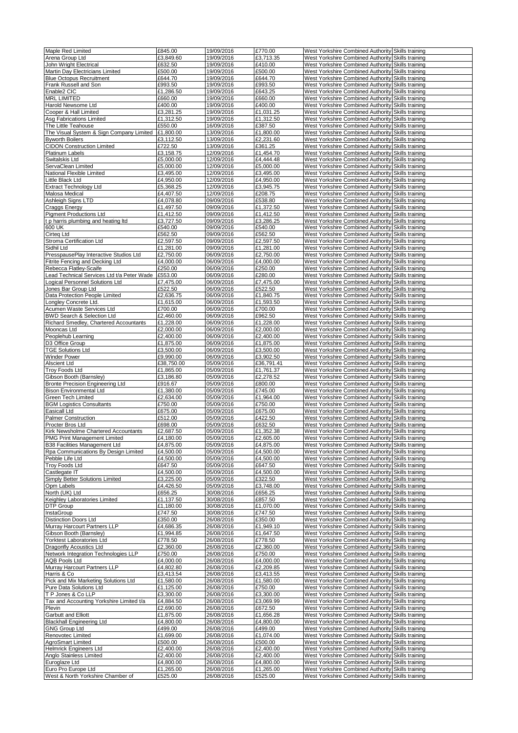| Maple Red Limited                                                    | £845.00                | 19/09/2016               | £770.00                | West Yorkshire Combined Authority Skills training                                                      |  |
|----------------------------------------------------------------------|------------------------|--------------------------|------------------------|--------------------------------------------------------------------------------------------------------|--|
| Arena Group Ltd                                                      | £3,849.60              | 19/09/2016               | £3,713.35              | West Yorkshire Combined Authority Skills training                                                      |  |
| John Wright Electrical                                               | £632.50                | 19/09/2016               | £410.00                | West Yorkshire Combined Authority Skills training                                                      |  |
| Martin Day Electricians Limited                                      | £500.00                | 19/09/2016               | £500.00                | West Yorkshire Combined Authority Skills training                                                      |  |
| <b>Blue Octopus Recruitment</b>                                      | £644.70                | 19/09/2016               | £644.70                | West Yorkshire Combined Authority Skills training                                                      |  |
| Frank Russell and Son                                                | £993.50                | 19/09/2016               | £993.50                | West Yorkshire Combined Authority Skills training                                                      |  |
| Enable2 CIC                                                          | £1,286.50              | 19/09/2016               | £643.25                | West Yorkshire Combined Authority Skills training                                                      |  |
| <b>MRL LIMITED</b><br>Harold Newsome Ltd                             | £660.00<br>£400.00     | 19/09/2016<br>19/09/2016 | £660.00<br>£400.00     | West Yorkshire Combined Authority Skills training<br>West Yorkshire Combined Authority Skills training |  |
| Cooper & Hall Limited                                                | £3,281.25              | 19/09/2016               | £1,031.25              | West Yorkshire Combined Authority Skills training                                                      |  |
| Asg Fabrications Limited                                             | £1,312.50              | 19/09/2016               | £1,312.50              | West Yorkshire Combined Authority Skills training                                                      |  |
| The Little Teahouse                                                  | £550.00                | 16/09/2016               | £387.50                | West Yorkshire Combined Authority Skills training                                                      |  |
| The Visual System & Sign Company Limited                             | £1,800.00              | 13/09/2016               | £1,800.00              | West Yorkshire Combined Authority Skills training                                                      |  |
| <b>Byworth Boilers</b>                                               | £3,112.50              | 13/09/2016               | £2,231.60              | West Yorkshire Combined Authority Skills training                                                      |  |
| <b>CIDON Construction Limited</b>                                    | £722.50                | 13/09/2016               | £361.25                | West Yorkshire Combined Authority Skills training                                                      |  |
| <b>Platinum Labels</b>                                               | £3,158.75              | 12/09/2016               | £1,454.70              | West Yorkshire Combined Authority Skills training                                                      |  |
| Switalskis Ltd                                                       | £5,000.00              | 12/09/2016               | £4,444.48              | West Yorkshire Combined Authority Skills training                                                      |  |
| ServaClean Limited                                                   | £5,000.00              | 12/09/2016               | £5,000.00              | West Yorkshire Combined Authority Skills training                                                      |  |
| National Flexible Limited                                            | £3,495.00              | 12/09/2016               | £3,495.00              | West Yorkshire Combined Authority Skills training                                                      |  |
| Little Black Ltd                                                     | £4,950.00              | 12/09/2016               | £4,950.00              | West Yorkshire Combined Authority Skills training                                                      |  |
| <b>Extract Technology Ltd</b><br>Malosa Medical                      | £5,368.25<br>£4,407.50 | 12/09/2016<br>12/09/2016 | £3,945.75<br>£208.75   | West Yorkshire Combined Authority Skills training<br>West Yorkshire Combined Authority Skills training |  |
| Ashleigh Signs LTD                                                   | £4,078.80              | 09/09/2016               | £538.80                | West Yorkshire Combined Authority Skills training                                                      |  |
| Craggs Energy                                                        | £1,497.50              | 09/09/2016               | £1,372.50              | West Yorkshire Combined Authority Skills training                                                      |  |
| <b>Pigment Productions Ltd</b>                                       | £1,412.50              | 09/09/2016               | £1,412.50              | West Yorkshire Combined Authority Skills training                                                      |  |
| t p harris plumbing and heating Itd                                  | £3.727.50              | 09/09/2016               | £3,286.25              | West Yorkshire Combined Authority Skills training                                                      |  |
| 600 UK                                                               | £540.00                | 09/09/2016               | £540.00                | West Yorkshire Combined Authority Skills training                                                      |  |
| Cirteg Ltd                                                           | £562.50                | 09/09/2016               | £562.50                | West Yorkshire Combined Authority Skills training                                                      |  |
| Stroma Certification Ltd                                             | £2,597.50              | 09/09/2016               | £2,597.50              | West Yorkshire Combined Authority Skills training                                                      |  |
| Sidhil Ltd                                                           | £1,281.00              | 09/09/2016               | £1,281.00              | West Yorkshire Combined Authority Skills training                                                      |  |
| PresspausePlay Interactive Studios Ltd                               | £2,750.00              | 06/09/2016               | £2,750.00              | West Yorkshire Combined Authority Skills training                                                      |  |
| Fitrite Fencing and Decking Ltd                                      | £4,000.00<br>£250.00   | 06/09/2016<br>06/09/2016 | £4,000.00<br>£250.00   | West Yorkshire Combined Authority Skills training                                                      |  |
| Rebecca Flatley-Scaife<br>Lead Technical Services Ltd t/a Peter Wade | £553.00                | 06/09/2016               | £280.00                | West Yorkshire Combined Authority Skills training<br>West Yorkshire Combined Authority Skills training |  |
| Logical Personnel Solutions Ltd                                      | £7,475.00              | 06/09/2016               | £7,475.00              | West Yorkshire Combined Authority Skills training                                                      |  |
| Jones Bar Group Ltd                                                  | £522.50                | 06/09/2016               | £522.50                | West Yorkshire Combined Authority Skills training                                                      |  |
| Data Protection People Limited                                       | £2,636.75              | 06/09/2016               | £1,840.75              | West Yorkshire Combined Authority Skills training                                                      |  |
| Longley Concrete Ltd.                                                | £1,615.00              | 06/09/2016               | £1,593.50              | West Yorkshire Combined Authority Skills training                                                      |  |
| Acumen Waste Services Ltd                                            | £700.00                | 06/09/2016               | £700.00                | West Yorkshire Combined Authority Skills training                                                      |  |
| BWD Search & Selection Ltd                                           | £2,460.00              | 06/09/2016               | £962.50                | West Yorkshire Combined Authority Skills training                                                      |  |
| Richard Smedley, Chartered Accountants                               | £1,228.00              | 06/09/2016               | £1,228.00              | West Yorkshire Combined Authority Skills training                                                      |  |
| Mooncas Ltd                                                          | £2,000.00              | 06/09/2016               | £2,000.00              | West Yorkshire Combined Authority Skills training                                                      |  |
| Peoplehub Learning                                                   | £2,400.00              | 06/09/2016               | £2,400.00              | West Yorkshire Combined Authority Skills training                                                      |  |
| D3 Office Group<br><b>TGE Solutions Ltd</b>                          | £1,875.00<br>£3,500.00 | 06/09/2016<br>06/09/2016 | £1,875.00<br>£3,500.00 | West Yorkshire Combined Authority Skills training<br>West Yorkshire Combined Authority Skills training |  |
| <b>Winder Power</b>                                                  | £9,990.00              | 06/09/2016               | £3,902.50              | West Yorkshire Combined Authority Skills training                                                      |  |
| Alscient Ltd                                                         | £38,750.00             | 05/09/2016               | £36,791.41             | West Yorkshire Combined Authority Skills training                                                      |  |
| <b>Troy Foods Ltd</b>                                                | £1,865.00              | 05/09/2016               | £1,761.37              | West Yorkshire Combined Authority Skills training                                                      |  |
| Gibson Booth (Barnsley)                                              | £3,186.80              | 05/09/2016               | £2,278.52              | West Yorkshire Combined Authority Skills training                                                      |  |
| Bronte Precision Engineering Ltd                                     | £916.67                | 05/09/2016               | £800.00                | West Yorkshire Combined Authority Skills training                                                      |  |
| <b>Bison Environmental Ltd</b>                                       | £1,380.00              | 05/09/2016               | £745.00                | West Yorkshire Combined Authority Skills training                                                      |  |
| Green Tech Limited                                                   | £2,634.00              | 05/09/2016               | £1,964.00              | West Yorkshire Combined Authority Skills training                                                      |  |
| <b>BGM Logistics Consultants</b>                                     | £750.00                | 05/09/2016               | £750.00                | West Yorkshire Combined Authority Skills training                                                      |  |
| Easicall Ltd<br>Palmer Construction                                  | £675.00<br>£512.00     | 05/09/2016<br>05/09/2016 | £675.00<br>£422.50     | West Yorkshire Combined Authority Skills training<br>West Yorkshire Combined Authority Skills training |  |
| Procter Bros Ltd                                                     | £698.00                | 05/09/2016               | £632.50                | West Yorkshire Combined Authority Skills training                                                      |  |
| Kirk Newsholme Chartered Accountants                                 | £2,687.50              | 05/09/2016               | £1,352.38              | West Yorkshire Combined Authority Skills training                                                      |  |
| PMG Print Management Limited                                         | £4,180.00              | 05/09/2016               | £2,605.00              | West Yorkshire Combined Authority Skills training                                                      |  |
| B38 Facilities Management Ltd                                        | £4,875.00              | 05/09/2016               | £4,875.00              | West Yorkshire Combined Authority Skills training                                                      |  |
| Rpa Communications By Design Limited                                 | £4,500.00              | 05/09/2016               | £4,500.00              | West Yorkshire Combined Authority Skills training                                                      |  |
| Pebble Life Ltd                                                      | £4,500.00              | 05/09/2016               | £4,500.00              | West Yorkshire Combined Authority Skills training                                                      |  |
| <b>Troy Foods Ltd</b>                                                | £647.50                | 05/09/2016               | £647.50                | West Yorkshire Combined Authority Skills training                                                      |  |
| Castlegate IT                                                        | £4,500.00              | 05/09/2016               | £4,500.00              | West Yorkshire Combined Authority Skills training                                                      |  |
| <b>Simply Better Solutions Limited</b>                               | £3,225.00              | 05/09/2016               | £322.50                | West Yorkshire Combined Authority Skills training                                                      |  |
| Opm Labels<br>North (UK) Ltd                                         | £4,426.50<br>£656.25   | 05/09/2016<br>30/08/2016 | £3,748.00<br>£656.25   | West Yorkshire Combined Authority Skills training<br>West Yorkshire Combined Authority Skills training |  |
| Keighley Laboratories Limited                                        | £1,137.50              | 30/08/2016               | £857.50                | West Yorkshire Combined Authority Skills training                                                      |  |
| <b>DTP Group</b>                                                     | £1,180.00              | 30/08/2016               | £1,070.00              | West Yorkshire Combined Authority Skills training                                                      |  |
| InstaGroup                                                           | £747.50                | 30/08/2016               | £747.50                | West Yorkshire Combined Authority Skills training                                                      |  |
| <b>Distinction Doors Ltd</b>                                         | £350.00                | 26/08/2016               | £350.00                | West Yorkshire Combined Authority Skills training                                                      |  |
| Murray Harcourt Partners LLP                                         | £4,686.35              | 26/08/2016               | £1,949.10              | West Yorkshire Combined Authority Skills training                                                      |  |
| Gibson Booth (Barnsley)                                              | £1,994.85              | 26/08/2016               | £1,647.50              | West Yorkshire Combined Authority Skills training                                                      |  |
| Yorktest Laboratories Ltd                                            | £778.50                | 26/08/2016               | £778.50                | West Yorkshire Combined Authority Skills training                                                      |  |
| Dragonfly Acoustics Ltd                                              | £2,360.00              | 26/08/2016               | £2,360.00              | West Yorkshire Combined Authority Skills training                                                      |  |
| Network Integration Technologies LLP                                 | £750.00                | 26/08/2016               | £750.00                | West Yorkshire Combined Authority Skills training                                                      |  |
| <b>AQB Pools Ltd</b><br>Murray Harcourt Partners LLP                 | £4,000.00<br>£4,802.80 | 26/08/2016<br>26/08/2016 | £4,000.00<br>£2,209.85 | West Yorkshire Combined Authority Skills training<br>West Yorkshire Combined Authority Skills training |  |
| Harris & Co                                                          | £3,413.54              | 26/08/2016               | £3,413.55              | West Yorkshire Combined Authority Skills training                                                      |  |
| Pick and Mix Marketing Solutions Ltd                                 | £1,580.00              | 26/08/2016               | £1,580.00              | West Yorkshire Combined Authority Skills training                                                      |  |
| Pure Data Solutions Ltd                                              | £1,125.00              | 26/08/2016               | £750.00                | West Yorkshire Combined Authority Skills training                                                      |  |
| T P Jones & Co LLP                                                   | £3,300.00              | 26/08/2016               | £3,300.00              | West Yorkshire Combined Authority Skills training                                                      |  |
| Tax and Accounting Yorkshire Limited t/a                             | £4,884.50              | 26/08/2016               | £3,069.99              | West Yorkshire Combined Authority Skills training                                                      |  |
| Plevin                                                               | £2,690.00              | 26/08/2016               | £672.50                | West Yorkshire Combined Authority Skills training                                                      |  |
| Garbutt and Elliott                                                  | £1,875.00              | 26/08/2016               | £1,656.28              | West Yorkshire Combined Authority Skills training                                                      |  |
| <b>Blackhall Engineering Ltd</b>                                     | £4,800.00              | 26/08/2016               | £4,800.00              | West Yorkshire Combined Authority Skills training                                                      |  |
| <b>GNG Group Ltd</b><br>Renovotec Limited                            | £499.00<br>£1,699.00   | 26/08/2016<br>26/08/2016 | £499.00<br>£1,074.00   | West Yorkshire Combined Authority Skills training<br>West Yorkshire Combined Authority Skills training |  |
| AgroSmart Limited                                                    | £500.00                | 26/08/2016               | £500.00                | West Yorkshire Combined Authority Skills training                                                      |  |
| <b>Helmrick Engineers Ltd</b>                                        | £2,400.00              | 26/08/2016               | £2,400.00              | West Yorkshire Combined Authority Skills training                                                      |  |
| Anglo Stainless Limited                                              | £2,400.00              | 26/08/2016               | £2,400.00              | West Yorkshire Combined Authority Skills training                                                      |  |
| Euroglaze Ltd                                                        | £4,800.00              | 26/08/2016               | £4,800.00              | West Yorkshire Combined Authority Skills training                                                      |  |
| Euro Pro Europe Ltd                                                  | £1,265.00              | 26/08/2016               | £1,265.00              | West Yorkshire Combined Authority Skills training                                                      |  |
| West & North Yorkshire Chamber of                                    | £525.00                | 26/08/2016               | £525.00                | West Yorkshire Combined Authority Skills training                                                      |  |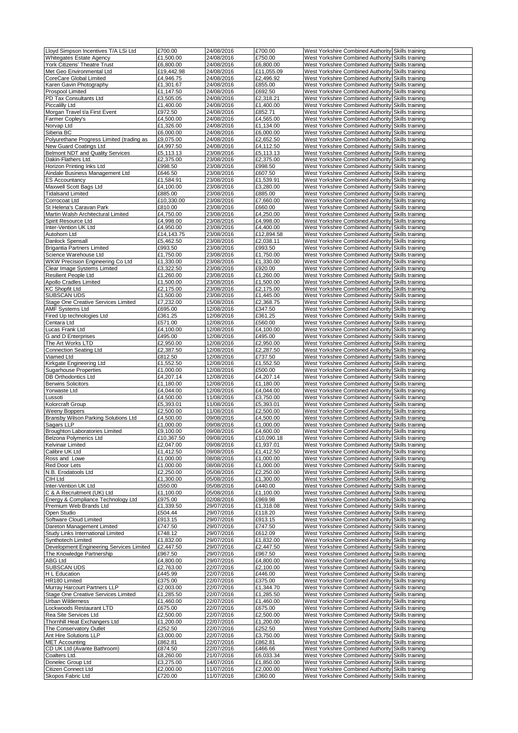| Lloyd Simpson Incentives T/A LSi Ltd      | £700.00    | 24/08/2016 | £700.00    | West Yorkshire Combined Authority Skills training |  |
|-------------------------------------------|------------|------------|------------|---------------------------------------------------|--|
| <b>Whitegates Estate Agency</b>           | £1,500.00  | 24/08/2016 | £750.00    | West Yorkshire Combined Authority Skills training |  |
| York Citizens' Theatre Trust              | £6,800.00  | 24/08/2016 | £6,800.00  | West Yorkshire Combined Authority Skills training |  |
| Met Geo Environmental Ltd                 | £19,442.98 | 24/08/2016 | £11,055.09 | West Yorkshire Combined Authority Skills training |  |
| CoreCare Global Limited                   | £4,946.75  | 24/08/2016 | £2,496.92  | West Yorkshire Combined Authority Skills training |  |
| Karen Gavin Photography                   | £1,301.67  | 24/08/2016 | £855.00    | West Yorkshire Combined Authority Skills training |  |
|                                           | £1,147.50  |            |            |                                                   |  |
| Prospool Limited                          |            | 24/08/2016 | £692.50    | West Yorkshire Combined Authority Skills training |  |
| PD Tax Consultants Ltd                    | £3,505.05  | 24/08/2016 | £2,318.21  | West Yorkshire Combined Authority Skills training |  |
| Piccalilly Ltd                            | £1,400.00  | 24/08/2016 | £1,400.00  | West Yorkshire Combined Authority Skills training |  |
| Morgan Travel t/a First Event             | £972.50    | 24/08/2016 | £852.71    | West Yorkshire Combined Authority Skills training |  |
| Farmer Copley's                           | £4,500.00  | 24/08/2016 | £4,565.00  | West Yorkshire Combined Authority Skills training |  |
| Norvap Ltd                                | £1,326.00  | 24/08/2016 | £1,134.00  | West Yorkshire Combined Authority Skills training |  |
| Siberia BC                                | £6,000.00  | 24/08/2016 | £6,000.00  | West Yorkshire Combined Authority Skills training |  |
| Polyurethane Progress Limited (trading as | £9,075.00  | 24/08/2016 | £2,652.50  | West Yorkshire Combined Authority Skills training |  |
| New Guard Coatings Ltd                    | £4,997.50  | 24/08/2016 | £4,112.50  | West Yorkshire Combined Authority Skills training |  |
| Belmont NDT and Quality Services          | £5,113.13  | 23/08/2016 | £5,113.13  | West Yorkshire Combined Authority Skills training |  |
| Dakin-Flathers Ltd.                       | £2,375.00  | 23/08/2016 | £2,375.00  | West Yorkshire Combined Authority Skills training |  |
| Horizon Printing Inks Ltd                 | £998.50    | 23/08/2016 | £998.50    | West Yorkshire Combined Authority Skills training |  |
| Aindale Business Management Ltd           | £646.50    | 23/08/2016 | £607.50    | West Yorkshire Combined Authority Skills training |  |
| <b>ES Accountancy</b>                     | £1,584.91  | 23/08/2016 | £1,539.91  | West Yorkshire Combined Authority Skills training |  |
| Maxwell Scott Bags Ltd                    | £4,100.00  | 23/08/2016 | £3,280.00  | West Yorkshire Combined Authority Skills training |  |
| <b>Tidalsand Limited</b>                  | £885.00    | 23/08/2016 | £885.00    | West Yorkshire Combined Authority Skills training |  |
| Corrocoat Ltd                             | £10,330.00 | 23/08/2016 | £7,660.00  | West Yorkshire Combined Authority Skills training |  |
| St Helena's Caravan Park                  | £810.00    | 23/08/2016 | £660.00    | West Yorkshire Combined Authority Skills training |  |
|                                           |            |            |            |                                                   |  |
| Martin Walsh Architectural Limited        | £4,750.00  | 23/08/2016 | £4,250.00  | West Yorkshire Combined Authority Skills training |  |
| Spirit Resource Ltd                       | £4,998.00  | 23/08/2016 | £4,998.00  | West Yorkshire Combined Authority Skills training |  |
| Inter-Vention UK Ltd                      | £4,950.00  | 23/08/2016 | £4.400.00  | West Yorkshire Combined Authority Skills training |  |
| Autohorn Ltd                              | £14,143.75 | 23/08/2016 | £12,894.58 | West Yorkshire Combined Authority Skills training |  |
| Danlock Spensall                          | £5,462.50  | 23/08/2016 | £2,038.11  | West Yorkshire Combined Authority Skills training |  |
| <b>Brigantia Partners Limited</b>         | £993.50    | 23/08/2016 | £993.50    | West Yorkshire Combined Authority Skills training |  |
| Science Warehouse Ltd                     | £1,750.00  | 23/08/2016 | £1,750.00  | West Yorkshire Combined Authority Skills training |  |
| WKW Precision Engineering Co Ltd          | £1,330.00  | 23/08/2016 | £1,330.00  | West Yorkshire Combined Authority Skills training |  |
| Clear Image Systems Limited               | £3,322.50  | 23/08/2016 | £920.00    | West Yorkshire Combined Authority Skills training |  |
| <b>Resilient People Ltd</b>               | £1,260.00  | 23/08/2016 | £1,260.00  | West Yorkshire Combined Authority Skills training |  |
| Apollo Cradles Limited                    | £1,500.00  | 23/08/2016 | £1,500.00  | West Yorkshire Combined Authority Skills training |  |
| <b>KC Shopfit Ltd</b>                     | £2,175.00  | 23/08/2016 | £2,175.00  | West Yorkshire Combined Authority Skills training |  |
| SUBSCAN UDS                               | £1,500.00  | 23/08/2016 | £1,445.00  | West Yorkshire Combined Authority Skills training |  |
| Stage One Creative Services Limited       | £7,232.00  | 15/08/2016 | £2,368.75  | West Yorkshire Combined Authority Skills training |  |
|                                           | £695.00    | 12/08/2016 | £347.50    |                                                   |  |
| <b>AMF Systems Ltd</b>                    |            |            |            | West Yorkshire Combined Authority Skills training |  |
| Fired Up technologies Ltd                 | £361.25    | 12/08/2016 | £361.25    | West Yorkshire Combined Authority Skills training |  |
| Centara Ltd                               | £571.00    | 12/08/2016 | £560.00    | West Yorkshire Combined Authority Skills training |  |
| Lucas Frank Ltd                           | £4,100.00  | 12/08/2016 | £4,100.00  | West Yorkshire Combined Authority Skills training |  |
| G and D Enterprises                       | £495.00    | 12/08/2016 | £495.00    | West Yorkshire Combined Authority Skills training |  |
| The Art Works LTD                         | £2,950.00  | 12/08/2016 | £2,950.00  | West Yorkshire Combined Authority Skills training |  |
| <b>Connection Seating Ltd</b>             | £2,387.50  | 12/08/2016 | £2,287.50  | West Yorkshire Combined Authority Skills training |  |
| Viamed Ltd                                | £812.50    | 12/08/2016 | £737.50    | West Yorkshire Combined Authority Skills training |  |
| Kirkgate Engineering Ltd                  | £1,552.50  | 12/08/2016 | £1,552.50  | West Yorkshire Combined Authority Skills training |  |
| <b>Sugarhouse Properties</b>              | £1,000.00  | 12/08/2016 | £500.00    | West Yorkshire Combined Authority Skills training |  |
| <b>DB Orthodontics Ltd</b>                | £4,207.14  | 12/08/2016 | £4,207.14  | West Yorkshire Combined Authority Skills training |  |
| <b>Berwins Solicitors</b>                 | £1,180.00  | 12/08/2016 | £1,180.00  | West Yorkshire Combined Authority Skills training |  |
| Yorwaste Ltd                              | £4,044.00  | 12/08/2016 | £4,044.00  | West Yorkshire Combined Authority Skills training |  |
| Lussoti                                   | £4,500.00  | 11/08/2016 | £3,750.00  | West Yorkshire Combined Authority Skills training |  |
| Kolorcraft Group                          | £5,393.01  | 11/08/2016 | £5,393.01  | West Yorkshire Combined Authority Skills training |  |
| <b>Weeny Boppers</b>                      |            |            | £2,500.00  |                                                   |  |
|                                           | £2,500.00  | 11/08/2016 |            | West Yorkshire Combined Authority Skills training |  |
| Bransby Wilson Parking Solutions Ltd      | £4,500.00  | 09/08/2016 | £4,500.00  | West Yorkshire Combined Authority Skills training |  |
| Sagars LLP                                | £1.000.00  | 09/08/2016 | £1,000.00  | West Yorkshire Combined Authority Skills training |  |
| <b>Broughton Laboratories Limited</b>     | £9,100.00  | 09/08/2016 | £4,600.00  | West Yorkshire Combined Authority Skills training |  |
| Beizona Polymerics Ltd                    | £10,367.50 | 09/08/2016 | £10,090.18 | West Yorkshire Combined Authority Skills training |  |
| Kelvinair Limited                         | £2,047.00  | 09/08/2016 | £1,937.01  | West Yorkshire Combined Authority Skills training |  |
| Calibre UK Ltd                            | £1,412.50  | 09/08/2016 | £1,412.50  | West Yorkshire Combined Authority Skills training |  |
| Ross and Lowe                             | £1,000.00  | 08/08/2016 | £1,000.00  | West Yorkshire Combined Authority Skills training |  |
| Red Door Lets                             | £1,000.00  | 08/08/2016 | £1,000.00  | West Yorkshire Combined Authority Skills training |  |
| N.B. Erodatools Ltd                       | £2,250.00  | 05/08/2016 | £2,250.00  | West Yorkshire Combined Authority Skills training |  |
| CIH Ltd                                   | £1,300.00  | 05/08/2016 | £1,300.00  | West Yorkshire Combined Authority Skills training |  |
| Inter-Vention UK Ltd                      | £550.00    | 05/08/2016 | £440.00    | West Yorkshire Combined Authority Skills training |  |
| C & A Recruitment (UK) Ltd                | £1,100.00  | 05/08/2016 | £1,100.00  | West Yorkshire Combined Authority Skills training |  |
| Energy & Compliance Technology Ltd        | £975.00    | 02/08/2016 | £969.98    | West Yorkshire Combined Authority Skills training |  |
| Premium Web Brands Ltd                    | £1,339.50  | 29/07/2016 | £1,318.08  | West Yorkshire Combined Authority Skills training |  |
| Open Studio                               | £504.44    | 29/07/2016 | £118.20    | West Yorkshire Combined Authority Skills training |  |
| Software Cloud Limited                    | £913.15    | 29/07/2016 | £913.15    | West Yorkshire Combined Authority Skills training |  |
| Dareton Management Limited                | £747.50    | 29/07/2016 | £747.50    | West Yorkshire Combined Authority Skills training |  |
| Study Links International Limited         | £748.12    | 29/07/2016 | £612.09    | West Yorkshire Combined Authority Skills training |  |
| Synthotech Limited                        | £1,832.00  | 29/07/2016 | £1,832.00  | West Yorkshire Combined Authority Skills training |  |
|                                           |            | 29/07/2016 |            |                                                   |  |
| Development Engineering Services Limited  | £2,447.50  |            | £2,447.50  | West Yorkshire Combined Authority Skills training |  |
| The Knowledge Partnership                 | £967.50    | 29/07/2016 | £967.50    | West Yorkshire Combined Authority Skills training |  |
| ABG Ltd                                   | £4,800.00  | 29/07/2016 | £4,800.00  | West Yorkshire Combined Authority Skills training |  |
| SUBSCAN UDS                               | £2,763.00  | 22/07/2016 | £2,100.00  | West Yorkshire Combined Authority Skills training |  |
| H L Education                             | £445.99    | 22/07/2016 | £446.00    | West Yorkshire Combined Authority Skills training |  |
| HR180 Limited                             | £375.00    | 22/07/2016 | £375.00    | West Yorkshire Combined Authority Skills training |  |
| Murray Harcourt Partners LLP              | £2,003.00  | 22/07/2016 | £1,344.70  | West Yorkshire Combined Authority Skills training |  |
| Stage One Creative Services Limited       | £1,285.50  | 22/07/2016 | £1,285.50  | West Yorkshire Combined Authority Skills training |  |
| <b>Urban Wilderness</b>                   | £1,460.00  | 22/07/2016 | £1,460.00  | West Yorkshire Combined Authority Skills training |  |
| Lockwoods Restaurant LTD                  | £675.00    | 22/07/2016 | £675.00    | West Yorkshire Combined Authority Skills training |  |
| Rea Site Services Ltd                     | £2,500.00  | 22/07/2016 | £2,500.00  | West Yorkshire Combined Authority Skills training |  |
| Thornhill Heat Exchangers Ltd             | £1,200.00  | 22/07/2016 | £1,200.00  | West Yorkshire Combined Authority Skills training |  |
| The Conservatory Outlet                   | £252.50    | 22/07/2016 | £252.50    | West Yorkshire Combined Authority Skills training |  |
| Ant Hire Solutions LLP                    | £3,000.00  | 22/07/2016 | £3,750.00  | West Yorkshire Combined Authority Skills training |  |
| <b>MET Accounting</b>                     | £862.81    | 22/07/2016 | £862.81    | West Yorkshire Combined Authority Skills training |  |
| CD UK Ltd (Avante Bathroom)               | £874.50    | 22/07/2016 | £466.66    | West Yorkshire Combined Authority Skills training |  |
| Coalters Ltd.                             | £8,260.00  | 21/07/2016 | £6,033.34  | West Yorkshire Combined Authority Skills training |  |
| Donelec Group Ltd                         | £3,275.00  | 14/07/2016 |            |                                                   |  |
|                                           |            |            | £1,850.00  | West Yorkshire Combined Authority Skills training |  |
| Citizen Connect Ltd                       | £2,000.00  | 11/07/2016 | £2,000.00  | West Yorkshire Combined Authority Skills training |  |
| Skopos Fabric Ltd                         | £720.00    | 11/07/2016 | £360.00    | West Yorkshire Combined Authority Skills training |  |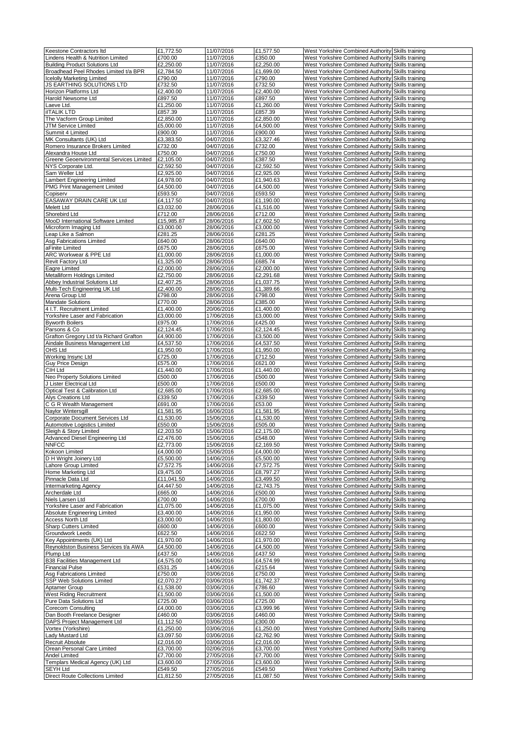| Keestone Contractors Itd                            | £1,772.50               | 11/07/2016               | £1,577.50            |                                                                                                        |  |
|-----------------------------------------------------|-------------------------|--------------------------|----------------------|--------------------------------------------------------------------------------------------------------|--|
|                                                     |                         |                          |                      | West Yorkshire Combined Authority Skills training                                                      |  |
| Lindens Health & Nutrition Limited                  | £700.00                 | 11/07/2016               | £350.00              | West Yorkshire Combined Authority Skills training                                                      |  |
| <b>Building Product Solutions Ltd</b>               | £2,250.00               | 11/07/2016               | £2,250.00            | West Yorkshire Combined Authority Skills training                                                      |  |
| Broadhead Peel Rhodes Limited t/a BPR               | $\overline{£2}$ ,784.50 | 11/07/2016               | £1,699.00            | West Yorkshire Combined Authority Skills training                                                      |  |
| <b>Icelolly Marketing Limited</b>                   | £790.00                 | 11/07/2016               | £790.00              | West Yorkshire Combined Authority Skills training                                                      |  |
| JS EARTHING SOLUTIONS LTD                           | £732.50                 | 11/07/2016               | £732.50              | West Yorkshire Combined Authority Skills training                                                      |  |
|                                                     |                         |                          |                      |                                                                                                        |  |
| Horizon Platforms Ltd                               | £2,400.00               | 11/07/2016               | £2,400.00            | West Yorkshire Combined Authority Skills training                                                      |  |
| Harold Newsome Ltd                                  | £897.50                 | 11/07/2016               | £897.50              | West Yorkshire Combined Authority Skills training                                                      |  |
| Laeve Ltd.                                          | £1,250.00               | 11/07/2016               | £1,260.00            | West Yorkshire Combined Authority Skills training                                                      |  |
| <b>ilTALIK LTD</b>                                  | £857.39                 | 11/07/2016               | £857.39              | West Yorkshire Combined Authority Skills training                                                      |  |
| The Vacform Group Limited                           | £2,850.00               |                          | £2,850.00            | West Yorkshire Combined Authority Skills training                                                      |  |
|                                                     |                         | 11/07/2016               |                      |                                                                                                        |  |
| JTM Service Limited                                 | £5,000.00               | 11/07/2016               | £4,500.00            | West Yorkshire Combined Authority Skills training                                                      |  |
| Summit 4 Limited                                    | £900.00                 | 11/07/2016               | £900.00              | West Yorkshire Combined Authority Skills training                                                      |  |
| MK Consultants (UK) Ltd                             | £3,383.50               | 04/07/2016               | £3,327.46            | West Yorkshire Combined Authority Skills training                                                      |  |
| Romero Insurance Brokers Limited                    | £732.00                 | 04/07/2016               | £732.00              | West Yorkshire Combined Authority Skills training                                                      |  |
|                                                     |                         |                          |                      |                                                                                                        |  |
| Alexandra House Ltd                                 | £750.00                 | 04/07/2016               | £750.00              | West Yorkshire Combined Authority Skills training                                                      |  |
| Greene Geoenvironmental Services Limited            | £2,105.00               | 04/07/2016               | £387.50              | West Yorkshire Combined Authority Skills training                                                      |  |
| NYS Corporate Ltd.                                  | £2,592.50               | 04/07/2016               | £2,592.50            | West Yorkshire Combined Authority Skills training                                                      |  |
| Sam Weller Ltd                                      | £2,925.00               | 04/07/2016               | £2,925.00            | West Yorkshire Combined Authority Skills training                                                      |  |
| Lambert Engineering Limited                         | £4,978.00               | 04/07/2016               | £1,940.63            | West Yorkshire Combined Authority Skills training                                                      |  |
|                                                     |                         |                          |                      |                                                                                                        |  |
| PMG Print Management Limited                        | £4,500.00               | 04/07/2016               | £4,500.00            | West Yorkshire Combined Authority Skills training                                                      |  |
| Copiserv                                            | £593.50                 | 04/07/2016               | £593.50              | West Yorkshire Combined Authority Skills training                                                      |  |
| EASAWAY DRAIN CARE UK Ltd                           | £4,117.50               | 04/07/2016               | £1,190.00            | West Yorkshire Combined Authority Skills training                                                      |  |
| Melett Ltd                                          | £3,032.00               | 28/06/2016               | £1,516.00            | West Yorkshire Combined Authority Skills training                                                      |  |
|                                                     |                         |                          |                      |                                                                                                        |  |
| Shorebird Ltd                                       | £712.00                 | 28/06/2016               | £712.00              | West Yorkshire Combined Authority Skills training                                                      |  |
| MooD International Software Limited                 | £15,985.87              | 28/06/2016               | £7,602.50            | West Yorkshire Combined Authority Skills training                                                      |  |
| Microform Imaging Ltd                               | £3,000.00               | 28/06/2016               | £3,000.00            | West Yorkshire Combined Authority Skills training                                                      |  |
| Leap Like a Salmon                                  | £281.25                 | 28/06/2016               | £281.25              | West Yorkshire Combined Authority Skills training                                                      |  |
| Asq Fabrications Limited                            | £640.00                 | 28/06/2016               | £640.00              | West Yorkshire Combined Authority Skills training                                                      |  |
|                                                     |                         |                          |                      |                                                                                                        |  |
| aFinite Limited                                     | £675.00                 | 28/06/2016               | £675.00              | West Yorkshire Combined Authority Skills training                                                      |  |
| ARC Workwear & PPE Ltd                              | £1,000.00               | 28/06/2016               | £1,000.00            | West Yorkshire Combined Authority Skills training                                                      |  |
| Revit Factory Ltd                                   | £1,325.00               | 28/06/2016               | £685.74              | West Yorkshire Combined Authority Skills training                                                      |  |
| Eagre Limited                                       | £2,000.00               | 28/06/2016               | £2,000.00            | West Yorkshire Combined Authority Skills training                                                      |  |
|                                                     |                         |                          |                      |                                                                                                        |  |
| Metalliform Holdings Limited                        | £2,750.00               | 28/06/2016               | £2,291.68            | West Yorkshire Combined Authority Skills training                                                      |  |
| Abbey Industrial Solutions Ltd                      | £2,407.25               | 28/06/2016               | £1,037.75            | West Yorkshire Combined Authority Skills training                                                      |  |
| Multi-Tech Engineering UK Ltd                       | £2,400.00               | 28/06/2016               | £1,389.66            | West Yorkshire Combined Authority Skills training                                                      |  |
| Arena Group Ltd                                     | £798.00                 | 28/06/2016               | £798.00              | West Yorkshire Combined Authority Skills training                                                      |  |
|                                                     |                         |                          |                      |                                                                                                        |  |
| <b>Mandate Solutions</b>                            | £770.00                 | 28/06/2016               | £385.00              | West Yorkshire Combined Authority Skills training                                                      |  |
| 4 I.T. Recruitment Limited                          | £1,400.00               | 20/06/2016               | £1,400.00            | West Yorkshire Combined Authority Skills training                                                      |  |
| Yorkshire Laser and Fabrication                     | £3,000.00               | 17/06/2016               | £3,000.00            | West Yorkshire Combined Authority Skills training                                                      |  |
| <b>Byworth Boilers</b>                              | £975.00                 | 17/06/2016               | £425.00              | West Yorkshire Combined Authority Skills training                                                      |  |
|                                                     |                         |                          |                      |                                                                                                        |  |
| Parsons & Co                                        | £2,124.45               | 17/06/2016               | £2,124.45            | West Yorkshire Combined Authority Skills training                                                      |  |
| Grafton Gregory Ltd t/a Richard Grafton             | £4,900.00               | 17/06/2016               | £3,500.00            | West Yorkshire Combined Authority Skills training                                                      |  |
| Aindale Business Management Ltd                     | £4,537.50               | 17/06/2016               | £4,537.50            | West Yorkshire Combined Authority Skills training                                                      |  |
| OHS Ltd                                             | £1,950.00               | 17/06/2016               | £1,950.00            | West Yorkshire Combined Authority Skills training                                                      |  |
|                                                     |                         |                          |                      |                                                                                                        |  |
| Working Insync Ltd                                  | £725.00                 | 17/06/2016               | £712.50              | West Yorkshire Combined Authority Skills training                                                      |  |
| Guy Price Design                                    | £575.00                 | 17/06/2016               | £621.00              | West Yorkshire Combined Authority Skills training                                                      |  |
| CIH Ltd                                             | £1,440.00               | 17/06/2016               | £1,440.00            | West Yorkshire Combined Authority Skills training                                                      |  |
| Neo Property Solutions Limited                      | £500.00                 | 17/06/2016               | £500.00              | West Yorkshire Combined Authority Skills training                                                      |  |
| J Lister Electrical Ltd                             | £500.00                 | 17/06/2016               | £500.00              | West Yorkshire Combined Authority Skills training                                                      |  |
|                                                     |                         |                          |                      |                                                                                                        |  |
| Optical Test & Calibration Ltd                      | £2,685.00               | 17/06/2016               | £2,685.00            | West Yorkshire Combined Authority Skills training                                                      |  |
| Alys Creations Ltd                                  | £339.50                 | 17/06/2016               | £339.50              | West Yorkshire Combined Authority Skills training                                                      |  |
| C G R Wealth Management                             | £691.00                 | 17/06/2016               | £53.00               | West Yorkshire Combined Authority Skills training                                                      |  |
| Naylor Wintersgill                                  | £1,581.95               | 16/06/2016               | £1,581.95            | West Yorkshire Combined Authority Skills training                                                      |  |
|                                                     |                         |                          |                      |                                                                                                        |  |
| Corporate Document Services Ltd                     | £1,530.00               | 15/06/2016               | £1,530.00            | West Yorkshire Combined Authority Skills training                                                      |  |
| Automotive Logistics Limited                        | £550.00                 | 15/06/2016               | £505.00              | West Yorkshire Combined Authority Skills training                                                      |  |
| Sleigh & Story Limited                              | £2,203.50               | 15/06/2016               | £2,175.00            | West Yorkshire Combined Authority Skills training                                                      |  |
|                                                     |                         |                          | £548.00              |                                                                                                        |  |
| Advanced Diesel Engineering Ltd                     | £2,476.00               | 15/06/2016               |                      | West Yorkshire Combined Authority Skills training                                                      |  |
| <b>NNFCC</b>                                        | £2,773.00               | 15/06/2016               | £2,169.50            | West Yorkshire Combined Authority Skills training                                                      |  |
| Kokoon Limited                                      | £4,000.00               | 15/06/2016               | £4,000.00            | West Yorkshire Combined Authority Skills training                                                      |  |
| D H Wright Joinery Ltd                              | £5,500.00               | 14/06/2016               | £5,500.00            | West Yorkshire Combined Authority Skills training                                                      |  |
| Lahore Group Limited                                | £7,572.75               | 14/06/2016               | £7,572.75            | West Yorkshire Combined Authority Skills training                                                      |  |
| Home Marketing Ltd                                  | £9,475.00               | 14/06/2016               | £8,797.27            | West Yorkshire Combined Authority Skills training                                                      |  |
|                                                     |                         |                          |                      |                                                                                                        |  |
| Pinnacle Data Ltd                                   | £11,041.50              | 14/06/2016               | £3,499.50            | West Yorkshire Combined Authority Skills training                                                      |  |
| Intermarketing Agency                               | £4,447.50               | 14/06/2016               | £2,743.75            | West Yorkshire Combined Authority Skills training                                                      |  |
| Archerdale Ltd                                      | £665.00                 | 14/06/2016               | £500.00              | West Yorkshire Combined Authority Skills training                                                      |  |
| Niels Larsen Ltd                                    | £700.00                 | 14/06/2016               | £700.00              | West Yorkshire Combined Authority Skills training                                                      |  |
| Yorkshire Laser and Fabrication                     |                         |                          |                      |                                                                                                        |  |
|                                                     | £1,075.00               | 14/06/2016               | £1,075.00            | West Yorkshire Combined Authority Skills training                                                      |  |
| Absolute Engineering Limited                        | £3,400.00               | 14/06/2016               | £1,950.00            | West Yorkshire Combined Authority Skills training                                                      |  |
| Access North Ltd                                    | £3,000.00               | 14/06/2016               | £1,800.00            | West Yorkshire Combined Authority Skills training                                                      |  |
| <b>Sharp Cutters Limited</b>                        | £600.00                 | 14/06/2016               | £600.00              | West Yorkshire Combined Authority Skills training                                                      |  |
| Groundwork Leeds                                    | £622.50                 | 14/06/2016               | £622.50              | West Yorkshire Combined Authority Skills training                                                      |  |
|                                                     |                         |                          |                      |                                                                                                        |  |
| Key Appointments (UK) Ltd                           | £1,970.00               | 14/06/2016               | £1,970.00            | West Yorkshire Combined Authority Skills training                                                      |  |
| Reynoldston Business Services t/a AWA               | £4,500.00               | 14/06/2016               | £4,500.00            | West Yorkshire Combined Authority Skills training                                                      |  |
| Plump Ltd                                           | £437.50                 | 14/06/2016               | £437.50              | West Yorkshire Combined Authority Skills training                                                      |  |
| B38 Facilities Management Ltd                       | £4,575.00               | 14/06/2016               | £4,574.99            | West Yorkshire Combined Authority Skills training                                                      |  |
|                                                     | £531.25                 |                          | £215.64              |                                                                                                        |  |
| <b>Financial Pulse</b>                              |                         | 14/06/2016               |                      | West Yorkshire Combined Authority Skills training                                                      |  |
| Asg Fabrications Limited                            | £750.00                 | 03/06/2016               | £750.00              | West Yorkshire Combined Authority Skills training                                                      |  |
| SSP Web Solutions Limited                           |                         |                          | £1,742.37            | West Yorkshire Combined Authority Skills training                                                      |  |
| Aptamer Group                                       | £2,070.27               | 03/06/2016               |                      |                                                                                                        |  |
|                                                     | £1,538.00               | 03/06/2016               | £786.60              | West Yorkshire Combined Authority Skills training                                                      |  |
|                                                     |                         |                          |                      |                                                                                                        |  |
| West Riding Recruitment                             | £1,500.00               | 03/06/2016               | £1,500.00            | West Yorkshire Combined Authority Skills training                                                      |  |
| Pure Data Solutions Ltd                             | £725.00                 | 03/06/2016               | £725.00              | West Yorkshire Combined Authority Skills training                                                      |  |
| <b>Corecom Consulting</b>                           | £4,000.00               | 03/06/2016               | £3,999.96            | West Yorkshire Combined Authority Skills training                                                      |  |
| Dan Booth Freelance Designer                        | £460.00                 | 03/06/2016               | £460.00              | West Yorkshire Combined Authority Skills training                                                      |  |
|                                                     |                         |                          |                      |                                                                                                        |  |
| DAPS Project Management Ltd                         | £1,112.50               | 03/06/2016               | £300.00              | West Yorkshire Combined Authority Skills training                                                      |  |
| Vortex (Yorkshire)                                  | £1,250.00               | 03/06/2016               | £1,250.00            | West Yorkshire Combined Authority Skills training                                                      |  |
| Lady Mustard Ltd                                    | £3,097.50               | 03/06/2016               | £2,762.90            | West Yorkshire Combined Authority Skills training                                                      |  |
| Recruit Absolute                                    | £2,016.00               | 03/06/2016               | £2,016.00            | West Yorkshire Combined Authority Skills training                                                      |  |
|                                                     |                         |                          |                      |                                                                                                        |  |
| Orean Personal Care Limited                         | £3,700.00               | 02/06/2016               | £3,700.00            | West Yorkshire Combined Authority Skills training                                                      |  |
| <b>Andel Limited</b>                                | £7,700.00               | 27/05/2016               | £7,700.00            | West Yorkshire Combined Authority Skills training                                                      |  |
| Templars Medical Agency (UK) Ltd                    | £3,600.00               | 27/05/2016               | £3,600.00            | West Yorkshire Combined Authority Skills training                                                      |  |
| <b>SEYH Ltd</b><br>Direct Route Collections Limited | £549.50<br>£1,812.50    | 27/05/2016<br>27/05/2016 | £549.50<br>£1,087.50 | West Yorkshire Combined Authority Skills training<br>West Yorkshire Combined Authority Skills training |  |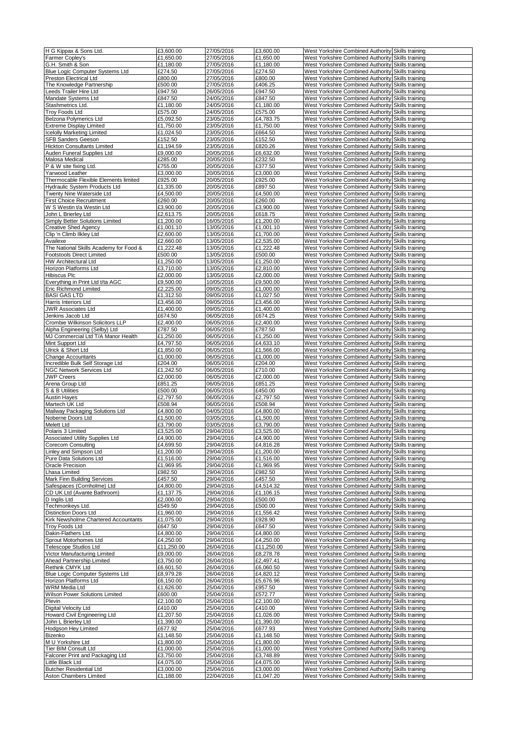| H G Kippax & Sons Ltd.                                         | £3,600.00               | 27/05/2016               | £3,600.00               | West Yorkshire Combined Authority Skills training                                                      |  |
|----------------------------------------------------------------|-------------------------|--------------------------|-------------------------|--------------------------------------------------------------------------------------------------------|--|
| Farmer Copley's                                                | £1,650.00               | 27/05/2016               | £1,650.00               | West Yorkshire Combined Authority Skills training                                                      |  |
| G.H. Smith & Son                                               | £1.180.00               | 27/05/2016               | £1,180.00               | West Yorkshire Combined Authority Skills training                                                      |  |
| <b>Blue Logic Computer Systems Ltd</b>                         | £274.50                 | 27/05/2016               | £274.50                 | West Yorkshire Combined Authority Skills training                                                      |  |
| Preston Electrical Ltd                                         | £800.00                 | 27/05/2016               | £800.00                 | West Yorkshire Combined Authority Skills training                                                      |  |
| The Knowledge Partnership                                      | £500.00                 | 27/05/2016               | £406.25                 | West Yorkshire Combined Authority Skills training                                                      |  |
| Leeds Trailer Hire Ltd                                         | £947.50<br>£847.50      | 26/05/2016               | £947.50                 | West Yorkshire Combined Authority Skills training                                                      |  |
| Mandate Systems Ltd<br>Stashmetrics Ltd.                       |                         | 24/05/2016               | £847.50                 | West Yorkshire Combined Authority Skills training                                                      |  |
|                                                                | £1,180.00               | 24/05/2016               | £1,180.00               | West Yorkshire Combined Authority Skills training                                                      |  |
| <b>Troy Foods Ltd</b><br>Belzona Polymerics Ltd                | £575.00<br>£5,092.50    | 24/05/2016<br>23/05/2016 | £575.00<br>£4,783.75    | West Yorkshire Combined Authority Skills training<br>West Yorkshire Combined Authority Skills training |  |
| <b>Extreme Display Limited</b>                                 | £1,750.00               | 23/05/2016               | £1,750.00               | West Yorkshire Combined Authority Skills training                                                      |  |
| <b>Icelolly Marketing Limited</b>                              | £1,024.50               | 23/05/2016               | £664.50                 | West Yorkshire Combined Authority Skills training                                                      |  |
| SFB Sanders Geeson                                             | £152.50                 | 23/05/2016               | £152.50                 | West Yorkshire Combined Authority Skills training                                                      |  |
| Hickton Consultants Limited                                    | £1,194.59               | 23/05/2016               | £820.26                 | West Yorkshire Combined Authority Skills training                                                      |  |
| Auden Funeral Supplies Ltd                                     | £9,000.00               | 20/05/2016               | £6,632.00               | West Yorkshire Combined Authority Skills training                                                      |  |
| Malosa Medical                                                 | £285.00                 | 20/05/2016               | £232.50                 | West Yorkshire Combined Authority Skills training                                                      |  |
| P & W site fixing Ltd.                                         | £755.00                 | 20/05/2016               | £377.50                 | West Yorkshire Combined Authority Skills training                                                      |  |
| Yarwood Leather                                                | £3,000.00               | 20/05/2016               | £3,000.00               | West Yorkshire Combined Authority Skills training                                                      |  |
| Thermocable Flexible Elements limited                          | £925.00                 | 20/05/2016               | £925.00                 | West Yorkshire Combined Authority Skills training                                                      |  |
| <b>Hydraulic System Products Ltd</b>                           | £1,335.00               | 20/05/2016               | £897.50                 | West Yorkshire Combined Authority Skills training                                                      |  |
| Twenty Nine Waterside Ltd                                      | £4,500.00               | 20/05/2016               | £4,500.00               | West Yorkshire Combined Authority Skills training                                                      |  |
| <b>First Choice Recruitment</b>                                | £260.00                 | 20/05/2016               | £260.00                 | West Yorkshire Combined Authority Skills training                                                      |  |
| W S Westin t/a Westin Ltd                                      | £3,900.00               | 20/05/2016               | £3,900.00               | West Yorkshire Combined Authority Skills training                                                      |  |
| John L Brierley Ltd                                            | £2,613.75               | 20/05/2016<br>16/05/2016 | £618.75                 | West Yorkshire Combined Authority Skills training<br>West Yorkshire Combined Authority Skills training |  |
| Simply Better Solutions Limited<br><b>Creative Shed Agency</b> | £1,200.00<br>£1,001.10  |                          | £1,200.00<br>£1,001.10  | West Yorkshire Combined Authority Skills training                                                      |  |
| Clip 'n Climb Ilkley Ltd                                       | £2,600.00               | 13/05/2016<br>13/05/2016 | £1,700.00               | West Yorkshire Combined Authority Skills training                                                      |  |
| Availexe                                                       | £2,660.00               | 13/05/2016               | £2,535.00               | West Yorkshire Combined Authority Skills training                                                      |  |
| The National Skills Academy for Food &                         | £1,222.48               | 13/05/2016               | £1,222.48               | West Yorkshire Combined Authority Skills training                                                      |  |
| <b>Footstools Direct Limited</b>                               | £500.00                 | 13/05/2016               | £500.00                 | West Yorkshire Combined Authority Skills training                                                      |  |
| HW Architectural Ltd                                           | £1,250.00               | 13/05/2016               | £1,250.00               | West Yorkshire Combined Authority Skills training                                                      |  |
| Horizon Platforms Ltd                                          | £3,710.00               | 13/05/2016               | £2,810.00               | West Yorkshire Combined Authority Skills training                                                      |  |
| Hibiscus Plc                                                   | £2,000.00               | 13/05/2016               | £2,000.00               | West Yorkshire Combined Authority Skills training                                                      |  |
| Everything in Print Ltd t/ta AGC                               | £9,500.00               | 10/05/2016               | £9,500.00               | West Yorkshire Combined Authority Skills training                                                      |  |
| Eric Richmond Limited                                          | £2,225.00               | 09/05/2016               | £1,000.00               | West Yorkshire Combined Authority Skills training                                                      |  |
| <b>BASI GAS LTD</b>                                            | £1,312.50               | 09/05/2016               | £1,027.50               | West Yorkshire Combined Authority Skills training                                                      |  |
| Harris Interiors Ltd                                           | £3,456.00               | 09/05/2016               | £3,456.00               | West Yorkshire Combined Authority Skills training                                                      |  |
| <b>JWR Associates Ltd</b>                                      | £1,400.00               | 09/05/2016               | £1,400.00               | West Yorkshire Combined Authority Skills training                                                      |  |
| Jenkins Jacob Ltd                                              | £674.50                 | 06/05/2016               | £674.25                 | West Yorkshire Combined Authority Skills training                                                      |  |
| Crombie Wilkinson Solicitors LLP                               | £2,400.00               | 06/05/2016               | £2,400.00               | West Yorkshire Combined Authority Skills training                                                      |  |
| Alpha Engineering (Selby) Ltd                                  | £787.50                 | 06/05/2016               | £787.50                 | West Yorkshire Combined Authority Skills training                                                      |  |
| MJ Commercial Ltd T/A Manor Health                             | £1,250.00               | 06/05/2016               | £1,250.00               | West Yorkshire Combined Authority Skills training                                                      |  |
| Mint Support Ltd<br>Ulrick & Short Ltd                         | £4,797.50<br>£1,850.00  | 06/05/2016<br>06/05/2016 | £4,633.10<br>£1,566.00  | West Yorkshire Combined Authority Skills training<br>West Yorkshire Combined Authority Skills training |  |
| <b>Change Accountants</b>                                      | £1,000.00               | 06/05/2016               | £1,000.00               | West Yorkshire Combined Authority Skills training                                                      |  |
| Incredible Bulk Self Storage Ltd                               | £204.00                 | 06/05/2016               | £204.00                 | West Yorkshire Combined Authority Skills training                                                      |  |
| NGC Network Services Ltd                                       | £1,242.50               | 06/05/2016               | £710.00                 | West Yorkshire Combined Authority Skills training                                                      |  |
| <b>JWP Creers</b>                                              | £2,000.00               | 06/05/2016               | £2,000.00               | West Yorkshire Combined Authority Skills training                                                      |  |
| Arena Group Ltd                                                | £851.25                 | 06/05/2016               | £851.25                 | West Yorkshire Combined Authority Skills training                                                      |  |
| S & B Utilities                                                | £500.00                 | 06/05/2016               | £450.00                 | West Yorkshire Combined Authority Skills training                                                      |  |
| <b>Austin Hayes</b>                                            | £2,797.50               | 06/05/2016               | £2,797.50               | West Yorkshire Combined Authority Skills training                                                      |  |
| Martech UK Ltd                                                 | £508.94                 | 06/05/2016               | £508.94                 | West Yorkshire Combined Authority Skills training                                                      |  |
| Mailway Packaging Solutions Ltd                                | £4,800.00               | 04/05/2016               | £4,800.00               | West Yorkshire Combined Authority Skills training                                                      |  |
| Noberne Doors Ltd                                              | £1,500.00               | 03/05/2016               | £1,500.00               | West Yorkshire Combined Authority Skills training                                                      |  |
| <b>Melett Ltd</b>                                              | £3,790.00               | 03/05/2016               | £3,790.00               | West Yorkshire Combined Authority Skills training                                                      |  |
| Polaris 3 Limited                                              | £3.525.00               | 29/04/2016               | £3,525.00               | West Yorkshire Combined Authority Skills training                                                      |  |
| <b>Associated Utility Supplies Ltd</b>                         | £4,900.00               | 29/04/2016               | £4,900.00               | West Yorkshire Combined Authority Skills training                                                      |  |
| Corecom Consulting                                             | £4,699.50               | 29/04/2016<br>29/04/2016 | £4,816.28               | West Yorkshire Combined Authority Skills training                                                      |  |
| Linley and Simpson Ltd<br>Pure Data Solutions Ltd              | £1,200.00<br>£1,516.00  | 29/04/2016               | £1,200.00<br>£1,516.00  | West Yorkshire Combined Authority Skills training<br>West Yorkshire Combined Authority Skills training |  |
| Oracle Precision                                               | £1.969.95               | 29/04/2016               | £1,969.95               | West Yorkshire Combined Authority Skills training                                                      |  |
| Lhasa Limited                                                  | £982.50                 | 29/04/2016               | £982.50                 | West Yorkshire Combined Authority Skills training                                                      |  |
| Mark Finn Building Services                                    | £457.50                 | 29/04/2016               | £457.50                 | West Yorkshire Combined Authority Skills training                                                      |  |
| Safespaces (Cornholme) Ltd                                     | £4,800.00               | 29/04/2016               | £4,514.32               | West Yorkshire Combined Authority Skills training                                                      |  |
| CD UK Ltd (Avante Bathroom)                                    | £1,137.75               | 29/04/2016               | £1,106.15               | West Yorkshire Combined Authority Skills training                                                      |  |
| D Inglis Ltd                                                   | £2,000.00               | 29/04/2016               | £500.00                 | West Yorkshire Combined Authority Skills training                                                      |  |
| Techmonkeys Ltd.                                               | £549.50                 | 29/04/2016               | £500.00                 | West Yorkshire Combined Authority Skills training                                                      |  |
| Distinction Doors Ltd                                          | £1,960.00               | 29/04/2016               | £1,556.42               | West Yorkshire Combined Authority Skills training                                                      |  |
| Kirk Newsholme Chartered Accountants                           | £1,075.00               | 29/04/2016               | £928.90                 | West Yorkshire Combined Authority Skills training                                                      |  |
| <b>Troy Foods Ltd</b>                                          | £647.50                 | 29/04/2016               | £647.50                 | West Yorkshire Combined Authority Skills training                                                      |  |
| Dakin-Flathers Ltd.<br>Sprout Motorhomes Ltd                   | £4,800.00               | 29/04/2016               | £4,800.00               | West Yorkshire Combined Authority Skills training                                                      |  |
| Telescope Studios Ltd                                          | £4,250.00<br>£11,250.00 | 29/04/2016<br>26/04/2016 | £4,250.00<br>£11,250.00 | West Yorkshire Combined Authority Skills training<br>West Yorkshire Combined Authority Skills training |  |
| Victor Manufacturing Limited                                   | £9,000.00               | 26/04/2016               | £8,278.78               | West Yorkshire Combined Authority Skills training                                                      |  |
| Ahead Partnership Limited                                      | £3,750.00               | 26/04/2016               | £2,497.41               | West Yorkshire Combined Authority Skills training                                                      |  |
| Rethink CMYK Ltd                                               | £6,601.50               | 26/04/2016               | £6,060.50               | West Yorkshire Combined Authority Skills training                                                      |  |
| Blue Logic Computer Systems Ltd                                | £8,979.28               | 26/04/2016               | £4,820.12               | West Yorkshire Combined Authority Skills training                                                      |  |
| Horizon Platforms Ltd                                          | £6,150.00               | 26/04/2016               | £5,676.96               | West Yorkshire Combined Authority Skills training                                                      |  |
| WRM Media Ltd                                                  | £1,626.00               | 25/04/2016               | £957.50                 | West Yorkshire Combined Authority Skills training                                                      |  |
| Wilson Power Solutions Limited                                 | £600.00                 | 25/04/2016               | £572.77                 | West Yorkshire Combined Authority Skills training                                                      |  |
| Plevin                                                         | £2,100.00               | 25/04/2016               | £2,100.00               | West Yorkshire Combined Authority Skills training                                                      |  |
| Digital Velocity Ltd                                           | £410.00                 | 25/04/2016               | £410.00                 | West Yorkshire Combined Authority Skills training                                                      |  |
| Howard Civil Engineering Ltd                                   | £1,207.50               | 25/04/2016               | £1,026.00               | West Yorkshire Combined Authority Skills training                                                      |  |
| John L Brierley Ltd                                            | £1,390.00               | 25/04/2016               | £1,390.00               | West Yorkshire Combined Authority Skills training                                                      |  |
| <b>Hodgson Hey Limited</b>                                     | £677.92                 | 25/04/2016               | £677.93                 | West Yorkshire Combined Authority Skills training                                                      |  |
| Bizenko<br>M U Yorkshire Ltd                                   | £1,148.50<br>£1,800.00  | 25/04/2016<br>25/04/2016 | £1,148.50<br>£1,800.00  | West Yorkshire Combined Authority Skills training<br>West Yorkshire Combined Authority Skills training |  |
| Tier BIM Consult Ltd                                           | £1,000.00               | 25/04/2016               | £1,000.00               | West Yorkshire Combined Authority Skills training                                                      |  |
| Falconer Print and Packaging Ltd                               | £3,750.00               | 25/04/2016               | £3,748.89               | West Yorkshire Combined Authority Skills training                                                      |  |
| Little Black Ltd                                               | £4,075.00               | 25/04/2016               | £4,075.00               | West Yorkshire Combined Authority Skills training                                                      |  |
| <b>Butcher Residential Ltd</b>                                 | £3,000.00               | 25/04/2016               | £3,000.00               | West Yorkshire Combined Authority Skills training                                                      |  |
| Aston Chambers Limited                                         | £1,188.00               | 22/04/2016               | £1,047.20               | West Yorkshire Combined Authority Skills training                                                      |  |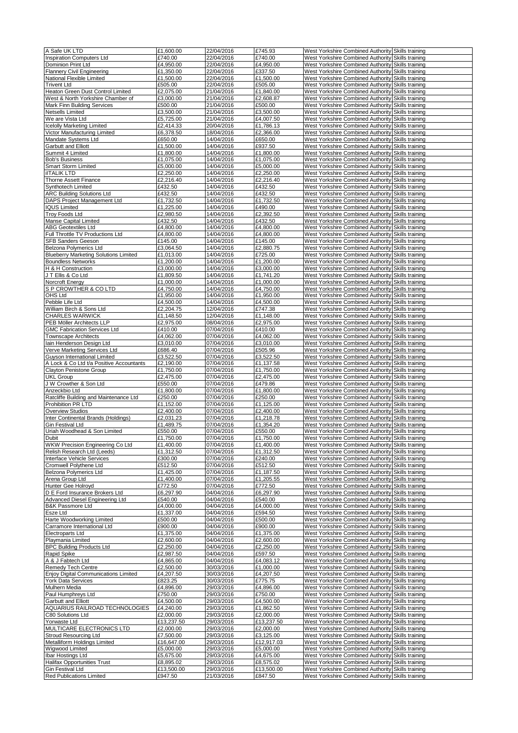| A Safe UK LTD                                       | £1,600.00             | 22/04/2016               | £745.93               | West Yorkshire Combined Authority Skills training                                                      |  |
|-----------------------------------------------------|-----------------------|--------------------------|-----------------------|--------------------------------------------------------------------------------------------------------|--|
|                                                     | £740.00               |                          | £740.00               |                                                                                                        |  |
| <b>Inspiration Computers Ltd</b>                    |                       | 22/04/2016               |                       | West Yorkshire Combined Authority Skills training                                                      |  |
| Dominion Print Ltd                                  | £4,950.00             | 22/04/2016               | £4,950.00             | West Yorkshire Combined Authority Skills training                                                      |  |
| <b>Flannery Civil Engineering</b>                   | £1,350.00             | 22/04/2016               | £337.50               | West Yorkshire Combined Authority Skills training                                                      |  |
| National Flexible Limited                           | £1,500.00             | 22/04/2016               | £1,500.00             | West Yorkshire Combined Authority Skills training                                                      |  |
| <b>Trivent Ltd</b>                                  | £505.00               | 22/04/2016               | £505.00               | West Yorkshire Combined Authority Skills training                                                      |  |
| Heaton Green Dust Control Limited                   | £2,075.00             | 21/04/2016               | £1,840.00             | West Yorkshire Combined Authority Skills training                                                      |  |
| West & North Yorkshire Chamber of                   | £3,000.00             | 21/04/2016               | £2,608.87             | West Yorkshire Combined Authority Skills training                                                      |  |
|                                                     |                       |                          |                       |                                                                                                        |  |
| Mark Finn Building Services                         | £500.00               | 21/04/2016               | £500.00               | West Yorkshire Combined Authority Skills training                                                      |  |
| Netsells Limited                                    | £3,500.00             | 21/04/2016               | £3,500.00             | West Yorkshire Combined Authority Skills training                                                      |  |
| We are Vista Ltd                                    | £5,725.00             | 21/04/2016               | £4,007.50             | West Yorkshire Combined Authority Skills training                                                      |  |
| <b>Icelolly Marketing Limited</b>                   | £2,414.33             | 20/04/2016               | £1,786.13             | West Yorkshire Combined Authority Skills training                                                      |  |
| Victor Manufacturing Limited                        | £6,378.50             | 18/04/2016               | £2,366.00             | West Yorkshire Combined Authority Skills training                                                      |  |
| Mandate Systems Ltd                                 | £650.00               | 14/04/2016               | £650.00               | West Yorkshire Combined Authority Skills training                                                      |  |
|                                                     |                       |                          |                       |                                                                                                        |  |
| <b>Garbutt and Elliott</b>                          | £1,500.00             | 14/04/2016               | £937.50               | West Yorkshire Combined Authority Skills training                                                      |  |
| Summit 4 Limited                                    | £1,800.00             | 14/04/2016               | £1,800.00             | West Yorkshire Combined Authority Skills training                                                      |  |
| <b>Bob's Business</b>                               | £1,075.00             | 14/04/2016               | £1,075.00             | West Yorkshire Combined Authority Skills training                                                      |  |
| Smart Storm Limited                                 | £5,000.00             | 14/04/2016               | £5,000.00             | West Yorkshire Combined Authority Skills training                                                      |  |
| <b>ilTALIK LTD</b>                                  | £2,250.00             | 14/04/2016               | £2,250.00             | West Yorkshire Combined Authority Skills training                                                      |  |
| Thorne Assett Finance                               | £2,216.40             | 14/04/2016               | £2,216.40             | West Yorkshire Combined Authority Skills training                                                      |  |
| Synthotech Limited                                  | £432.50               | 14/04/2016               | £432.50               | West Yorkshire Combined Authority Skills training                                                      |  |
|                                                     |                       |                          |                       |                                                                                                        |  |
| <b>ARC Building Solutions Ltd</b>                   | £432.50               | 14/04/2016               | £432.50               | West Yorkshire Combined Authority Skills training                                                      |  |
| DAPS Project Management Ltd                         | £1,732.50             | 14/04/2016               | £1,732.50             | West Yorkshire Combined Authority Skills training                                                      |  |
| <b>IQUS Limited</b>                                 | £1,225.00             | 14/04/2016               | £490.00               | West Yorkshire Combined Authority Skills training                                                      |  |
| <b>Troy Foods Ltd</b>                               | £2,980.50             | 14/04/2016               | £2,392.50             | West Yorkshire Combined Authority Skills training                                                      |  |
| Manse Capital Limited                               | £432.50               | 14/04/2016               | £432.50               | West Yorkshire Combined Authority Skills training                                                      |  |
| <b>ABG Geotextiles Ltd</b>                          | £4,800.00             | 14/04/2016               | £4,800.00             | West Yorkshire Combined Authority Skills training                                                      |  |
|                                                     |                       | 14/04/2016               |                       |                                                                                                        |  |
| Full Throttle TV Productions Ltd                    | £4,800.00             |                          | £4,800.00             | West Yorkshire Combined Authority Skills training                                                      |  |
| <b>SFB Sanders Geeson</b>                           | £145.00               | 14/04/2016               | £145.00               | West Yorkshire Combined Authority Skills training                                                      |  |
| <b>Belzona Polymerics Ltd</b>                       | £3,064.50             | 14/04/2016               | £2,880.75             | West Yorkshire Combined Authority Skills training                                                      |  |
| <b>Blueberry Marketing Solutions Limited</b>        | £1,013.00             | 14/04/2016               | £725.00               | West Yorkshire Combined Authority Skills training                                                      |  |
| <b>Boundless Networks</b>                           | £1,200.00             | 14/04/2016               | £1,200.00             | West Yorkshire Combined Authority Skills training                                                      |  |
| H & H Construction                                  | £3,000.00             | 14/04/2016               | £3,000.00             | West Yorkshire Combined Authority Skills training                                                      |  |
| JT Ellis & Co Ltd                                   |                       | 14/04/2016               | £1,741.20             |                                                                                                        |  |
|                                                     | £1,809.50             |                          |                       | West Yorkshire Combined Authority Skills training                                                      |  |
| Norcroft Energy                                     | £1,000.00             | 14/04/2016               | £1,000.00             | West Yorkshire Combined Authority Skills training                                                      |  |
| S P CROWTHER & CO LTD                               | £4,750.00             | 14/04/2016               | £4,750.00             | West Yorkshire Combined Authority Skills training                                                      |  |
| OHS Ltd                                             | £1,950.00             | 14/04/2016               | £1,950.00             | West Yorkshire Combined Authority Skills training                                                      |  |
| Pebble Life Ltd                                     | £4,500.00             | 14/04/2016               | £4,500.00             | West Yorkshire Combined Authority Skills training                                                      |  |
| William Birch & Sons Ltd                            | £2,204.75             | 12/04/2016               | £747.38               | West Yorkshire Combined Authority Skills training                                                      |  |
|                                                     |                       |                          |                       |                                                                                                        |  |
| <b>CHARLES WARWICK</b>                              | £1,148.50             | 12/04/2016               | £1,148.00             | West Yorkshire Combined Authority Skills training                                                      |  |
| PEB Möller Architects LLP                           | £2,975.00             | 08/04/2016               | £2,975.00             | West Yorkshire Combined Authority Skills training                                                      |  |
| <b>GMC Fabrication Services Ltd</b>                 | £410.00               | 07/04/2016               | £410.00               | West Yorkshire Combined Authority Skills training                                                      |  |
| <b>Townscape Architects</b>                         | £4,062.00             | 07/04/2016               | £4,062.00             | West Yorkshire Combined Authority Skills training                                                      |  |
| Iain Henderson Design Ltd                           | £3,010.00             | 07/04/2016               | £3,010.00             | West Yorkshire Combined Authority Skills training                                                      |  |
| Verve Marketing Services Ltd                        | £686.40               | 07/04/2016               | £505.96               | West Yorkshire Combined Authority Skills training                                                      |  |
|                                                     |                       |                          |                       |                                                                                                        |  |
| Guyson International Limited                        | £3,522.50             | 07/04/2016               | £3,522.50             | West Yorkshire Combined Authority Skills training                                                      |  |
| A Lock & Co Ltd t/a Positive Accountants            | £2,190.00             | 07/04/2016               | £1,137.58             | West Yorkshire Combined Authority Skills training                                                      |  |
| Clayton Penistone Group                             | £1,750.00             | 07/04/2016               | £1,750.00             | West Yorkshire Combined Authority Skills training                                                      |  |
| <b>UKL Group</b>                                    | £2,475.00             | 07/04/2016               | £2,475.00             | West Yorkshire Combined Authority Skills training                                                      |  |
| J W Crowther & Son Ltd                              | £550.00               | 07/04/2016               | £479.86               | West Yorkshire Combined Authority Skills training                                                      |  |
| Anzeckbio Ltd                                       | £1,800.00             | 07/04/2016               | £1,800.00             | West Yorkshire Combined Authority Skills training                                                      |  |
| Ratcliffe Building and Maintenance Ltd              | £250.00               | 07/04/2016               | £250.00               | West Yorkshire Combined Authority Skills training                                                      |  |
|                                                     |                       |                          |                       |                                                                                                        |  |
| Prohibition PR LTD                                  | £1,152.00             | 07/04/2016               | £1,125.00             | West Yorkshire Combined Authority Skills training                                                      |  |
| <b>Overview Studios</b>                             | £2,400.00             | 07/04/2016               | £2,400.00             | West Yorkshire Combined Authority Skills training                                                      |  |
| Inter Continental Brands (Holdings)                 | £2,031.23             | 07/04/2016               | £1,218.78             | West Yorkshire Combined Authority Skills training                                                      |  |
| Gin Festival Ltd                                    | £1,489.75             | 07/04/2016               | £1,354.20             | West Yorkshire Combined Authority Skills training                                                      |  |
| Uriah Woodhead & Son Limited                        | £550.00               | 07/04/2016               | £550.00               | West Yorkshire Combined Authority Skills training                                                      |  |
| Dubit                                               | £1,750.00             | 07/04/2016               | £1,750.00             |                                                                                                        |  |
|                                                     |                       |                          |                       | West Yorkshire Combined Authority Skills training                                                      |  |
| WKW Precision Engineering Co Ltd                    | £1,400.00             | 07/04/2016               | £1,400.00             | West Yorkshire Combined Authority Skills training                                                      |  |
| Relish Research Ltd (Leeds)                         | £1,312.50             | 07/04/2016               | £1,312.50             | West Yorkshire Combined Authority Skills training                                                      |  |
| Interface Vehicle Services                          | £300.00               | 07/04/2016               | £240.00               | West Yorkshire Combined Authority Skills training                                                      |  |
| Cromwell Polythene Ltd                              | £512.50               | 07/04/2016               | £512.50               | West Yorkshire Combined Authority Skills training                                                      |  |
| Belzona Polymerics Ltd                              | £1,425.00             | 07/04/2016               | £1,187.50             | West Yorkshire Combined Authority Skills training                                                      |  |
| Arena Group Ltd                                     | £1,400.00             | 07/04/2016               | £1,205.55             | West Yorkshire Combined Authority Skills training                                                      |  |
| Hunter Gee Holroyd                                  | £772.50               | 07/04/2016               | £772.50               | West Yorkshire Combined Authority Skills training                                                      |  |
| D E Ford Insurance Brokers Ltd                      | £6,297.90             |                          |                       |                                                                                                        |  |
|                                                     |                       | 04/04/2016               | £6,297.90             | West Yorkshire Combined Authority Skills training                                                      |  |
| Advanced Diesel Engineering Ltd                     | £540.00               | 04/04/2016               | £540.00               | West Yorkshire Combined Authority Skills training                                                      |  |
| B&K Passmore Ltd                                    | £4,000.00             | 04/04/2016               | £4,000.00             | West Yorkshire Combined Authority Skills training                                                      |  |
| Esze Ltd                                            | £1,337.00             | 04/04/2016               | £594.50               | West Yorkshire Combined Authority Skills training                                                      |  |
| Harte Woodworking Limited                           | £500.00               | 04/04/2016               | £500.00               | West Yorkshire Combined Authority Skills training                                                      |  |
| Carramore International Ltd                         | £900.00               | 04/04/2016               | £900.00               | West Yorkshire Combined Authority Skills training                                                      |  |
| Electroparts Ltd                                    | £1,375.00             | 04/04/2016               | £1,375.00             | West Yorkshire Combined Authority Skills training                                                      |  |
| Playmania Limited                                   | £2,600.00             | 04/04/2016               | £2,600.00             | West Yorkshire Combined Authority Skills training                                                      |  |
|                                                     |                       |                          |                       |                                                                                                        |  |
| <b>BPC Building Products Ltd</b>                    | £2,250.00             | 04/04/2016               | £2,250.00             | West Yorkshire Combined Authority Skills training                                                      |  |
| Rapid Spike                                         | £2,987.50             | 04/04/2016               | £597.50               | West Yorkshire Combined Authority Skills training                                                      |  |
| A & J Fabtech Ltd                                   | £4,865.00             | 04/04/2016               | £4,083.12             | West Yorkshire Combined Authority Skills training                                                      |  |
| Remedy Tech Centre                                  | £2,500.00             | 30/03/2016               | £1,000.00             | West Yorkshire Combined Authority Skills training                                                      |  |
| Enjoy Digital Communications Limited                | £4,207.50             | 30/03/2016               | £4,207.50             | West Yorkshire Combined Authority Skills training                                                      |  |
| York Data Services                                  | £823.25               | 30/03/2016               | £775.75               | West Yorkshire Combined Authority Skills training                                                      |  |
|                                                     |                       |                          |                       |                                                                                                        |  |
| Mulhern Media                                       | £4,896.00             | 29/03/2016               | £4,896.00             | West Yorkshire Combined Authority Skills training                                                      |  |
| Paul Humphreys Ltd                                  | £750.00               | 29/03/2016               | £750.00               | West Yorkshire Combined Authority Skills training                                                      |  |
| Garbutt and Elliott                                 | £4,500.00             | 29/03/2016               | £4,500.00             | West Yorkshire Combined Authority Skills training                                                      |  |
| AQUARIUS RAILROAD TECHNOLOGIES                      | £4,240.00             | 29/03/2016               | £1,862.50             | West Yorkshire Combined Authority Skills training                                                      |  |
| C80 Solutions Ltd                                   | £2,000.00             | 29/03/2016               | £2,000.00             | West Yorkshire Combined Authority Skills training                                                      |  |
| Yorwaste Ltd                                        | £13,237.50            | 29/03/2016               | £13,237.50            | West Yorkshire Combined Authority Skills training                                                      |  |
| MULTICARE ELECTRONICS LTD                           | £2,000.00             | 29/03/2016               | £2,000.00             | West Yorkshire Combined Authority Skills training                                                      |  |
|                                                     |                       |                          |                       |                                                                                                        |  |
| Stroud Resourcing Ltd                               | £7,500.00             | 29/03/2016               | £3,125.00             | West Yorkshire Combined Authority Skills training                                                      |  |
| Metalliform Holdings Limited                        | £16,647.00            | 29/03/2016               | £12,917.03            | West Yorkshire Combined Authority Skills training                                                      |  |
| Wigwood Limited                                     |                       |                          |                       |                                                                                                        |  |
|                                                     | £5,000.00             | 29/03/2016               | £5,000.00             | West Yorkshire Combined Authority Skills training                                                      |  |
|                                                     |                       |                          |                       |                                                                                                        |  |
| Ibar Hostings Ltd                                   | £5,675.00             | 29/03/2016               | £4,675.00             | West Yorkshire Combined Authority Skills training                                                      |  |
| Halifax Opportunities Trust                         | £8,895.02             | 29/03/2016               | £8,575.02             | West Yorkshire Combined Authority Skills training                                                      |  |
| Gin Festival Ltd<br><b>Red Publications Limited</b> | £13,500.00<br>£947.50 | 29/03/2016<br>21/03/2016 | £13,500.00<br>£847.50 | West Yorkshire Combined Authority Skills training<br>West Yorkshire Combined Authority Skills training |  |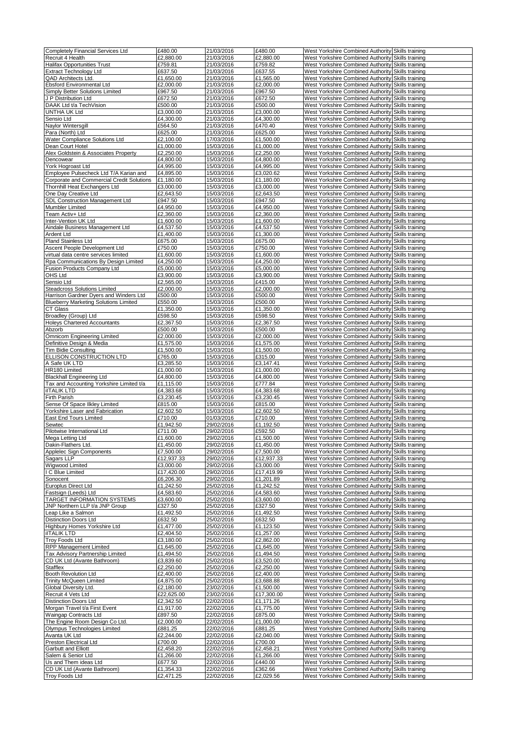| Completely Financial Services Ltd                    | £480.00                | 21/03/2016               | £480.00              | West Yorkshire Combined Authority Skills training                                                      |  |
|------------------------------------------------------|------------------------|--------------------------|----------------------|--------------------------------------------------------------------------------------------------------|--|
| Recruit 4 Health                                     | £2,880.00              | 21/03/2016               | £2,880.00            | West Yorkshire Combined Authority Skills training                                                      |  |
| <b>Halifax Opportunities Trust</b>                   | £759.81                | 21/03/2016               | £759.82              | West Yorkshire Combined Authority Skills training                                                      |  |
| <b>Extract Technology Ltd</b>                        | £637.50                | 21/03/2016               | £637.55              | West Yorkshire Combined Authority Skills training                                                      |  |
| QAD Architects Ltd.                                  | £1,650.00              | 21/03/2016               | £1,565.00            | West Yorkshire Combined Authority Skills training                                                      |  |
| Ebsford Environmental Ltd                            | £2,000.00              | 21/03/2016               | £2,000.00            | West Yorkshire Combined Authority Skills training                                                      |  |
| <b>Simply Better Solutions Limited</b>               | £967.50                | 21/03/2016               | £967.50              | West Yorkshire Combined Authority Skills training                                                      |  |
|                                                      |                        | 21/03/2016               | £672.50              | West Yorkshire Combined Authority Skills training                                                      |  |
| J P Distribution Ltd                                 | £672.50                |                          |                      |                                                                                                        |  |
| DAAK Ltd t/a TechVision                              | £500.00                | 21/03/2016               | £500.00              | West Yorkshire Combined Authority Skills training                                                      |  |
| UNTHA UK Ltd                                         | £3,000.00              | 21/03/2016               | £3,000.00            | West Yorkshire Combined Authority Skills training                                                      |  |
| Sensio Ltd                                           | £4,300.00              | 21/03/2016               | £4,300.00            | West Yorkshire Combined Authority Skills training                                                      |  |
| Naylor Wintersgill                                   | £564.50                | 21/03/2016               | £470.40              | West Yorkshire Combined Authority Skills training                                                      |  |
| Para (North) Ltd                                     | £625.00                | 21/03/2016               | £625.00              | West Yorkshire Combined Authority Skills training                                                      |  |
| Water Compliance Solutions Ltd                       | £2,100.00              | 17/03/2016               | £1,500.00            | West Yorkshire Combined Authority Skills training                                                      |  |
| Dean Court Hotel                                     | £1,000.00              | 15/03/2016               | £1,000.00            | West Yorkshire Combined Authority Skills training                                                      |  |
| Alex Goldstein & Associates Property                 | £2,250.00              | 15/03/2016               | £2,250.00            | West Yorkshire Combined Authority Skills training                                                      |  |
| Dencowear                                            | £4,800.00              | 15/03/2016               | £4,800.00            | West Yorkshire Combined Authority Skills training                                                      |  |
| York Hogroast Ltd                                    | £4,995.00              | 15/03/2016               | £4,995.00            | West Yorkshire Combined Authority Skills training                                                      |  |
| Employee Pulsecheck Ltd T/A Karian and               | £4,895.00              | 15/03/2016               | £3,020.62            | West Yorkshire Combined Authority Skills training                                                      |  |
| Corporate and Commercial Credit Solutions            | £1,180.00              | 15/03/2016               | £1,180.00            | West Yorkshire Combined Authority Skills training                                                      |  |
| Thornhill Heat Exchangers Ltd                        | £3,000.00              | 15/03/2016               | £3,000.00            | West Yorkshire Combined Authority Skills training                                                      |  |
| One Day Creative Ltd                                 | £2,643.50              | 15/03/2016               | £2,643.50            | West Yorkshire Combined Authority Skills training                                                      |  |
| SDL Construction Management Ltd                      | £947.50                | 15/03/2016               | £947.50              | West Yorkshire Combined Authority Skills training                                                      |  |
| Mumbler Limited                                      | £4,950.00              | 15/03/2016               | £4,950.00            | West Yorkshire Combined Authority Skills training                                                      |  |
| Team Activ+ Ltd                                      | £2,360.00              | 15/03/2016               | £2,360.00            | West Yorkshire Combined Authority Skills training                                                      |  |
| Inter-Vention UK Ltd                                 | £1,600.00              | 15/03/2016               | £1,600.00            | West Yorkshire Combined Authority Skills training                                                      |  |
| Aindale Business Management Ltd                      | £4,537.50              | 15/03/2016               | £4,537.50            | West Yorkshire Combined Authority Skills training                                                      |  |
| Ardent Ltd                                           | £1,400.00              | 15/03/2016               | £1,300.00            | West Yorkshire Combined Authority Skills training                                                      |  |
| Pland Stainless Ltd                                  | £675.00                | 15/03/2016               | £675.00              | West Yorkshire Combined Authority Skills training                                                      |  |
| Ascent People Development Ltd                        | £750.00                | 15/03/2016               | £750.00              | West Yorkshire Combined Authority Skills training                                                      |  |
| virtual data centre services limited                 | £1,600.00              | 15/03/2016               | £1,600.00            | West Yorkshire Combined Authority Skills training                                                      |  |
| Rpa Communications By Design Limited                 | £4,250.00              | 15/03/2016               | £4,250.00            | West Yorkshire Combined Authority Skills training                                                      |  |
|                                                      |                        |                          |                      | West Yorkshire Combined Authority Skills training                                                      |  |
| Fusion Products Company Ltd                          | £5,000.00              | 15/03/2016               | £5,000.00            |                                                                                                        |  |
| OHS Ltd                                              | £3,900.00              | 15/03/2016               | £3,900.00            | West Yorkshire Combined Authority Skills training                                                      |  |
| Sensio Ltd                                           | £2,565.00              | 15/03/2016               | £415.00              | West Yorkshire Combined Authority Skills training                                                      |  |
| <b>Steadcross Solutions Limited</b>                  | £2,000.00              | 15/03/2016               | £2,000.00            | West Yorkshire Combined Authority Skills training                                                      |  |
| Harrison Gardner Dyers and Winders Ltd               | £500.00                | 15/03/2016               | £500.00              | West Yorkshire Combined Authority Skills training                                                      |  |
| <b>Blueberry Marketing Solutions Limited</b>         | £550.00                | 15/03/2016               | £500.00              | West Yorkshire Combined Authority Skills training                                                      |  |
| CT Glass                                             | £1,350.00              | 15/03/2016               | £1,350.00            | West Yorkshire Combined Authority Skills training                                                      |  |
| Broadley (Group) Ltd                                 | £598.50                | 15/03/2016               | £598.50              | West Yorkshire Combined Authority Skills training                                                      |  |
| <b>Holeys Chartered Accountants</b>                  | £2,367.50              | 15/03/2016               | £2,367.50            | West Yorkshire Combined Authority Skills training                                                      |  |
| Abzorb                                               | £500.00                | 15/03/2016               | £500.00              | West Yorkshire Combined Authority Skills training                                                      |  |
| <b>Omnicom Engineering Limited</b>                   | £2,000.00              | 15/03/2016               | £2,000.00            | West Yorkshire Combined Authority Skills training                                                      |  |
| Definitive Design & Media                            | £1,575.00              | 15/03/2016               | £1,575.00            | West Yorkshire Combined Authority Skills training                                                      |  |
| Tim Bidie Consulting                                 | £1,500.00              | 15/03/2016               | £1,500.00            | West Yorkshire Combined Authority Skills training                                                      |  |
| ELLISON CONSTRUCTION LTD                             | £765.00                | 15/03/2016               | £315.00              | West Yorkshire Combined Authority Skills training                                                      |  |
| A Safe UK LTD                                        | £3,285.50              | 15/03/2016               | £3,147.41            | West Yorkshire Combined Authority Skills training                                                      |  |
| HR180 Limited                                        | £1,000.00              | 15/03/2016               | £1,000.00            | West Yorkshire Combined Authority Skills training                                                      |  |
| <b>Blackhall Engineering Ltd</b>                     | £4,800.00              | 15/03/2016               | £4,800.00            | West Yorkshire Combined Authority Skills training                                                      |  |
| Tax and Accounting Yorkshire Limited t/a             | £1,115.00              | 15/03/2016               | £777.84              | West Yorkshire Combined Authority Skills training                                                      |  |
| <b>ilTALIK LTD</b>                                   | £4,383.68              | 15/03/2016               | £4,383.68            | West Yorkshire Combined Authority Skills training                                                      |  |
| Firth Parish                                         | £3,230.45              | 15/03/2016               | £3,230.45            | West Yorkshire Combined Authority Skills training                                                      |  |
| Sense Of Space Ilkley Limited                        | £815.00                | 15/03/2016               | £815.00              | West Yorkshire Combined Authority Skills training                                                      |  |
| Yorkshire Laser and Fabrication                      | £2,602.50              | 15/03/2016               | £2,602.50            | West Yorkshire Combined Authority Skills training                                                      |  |
|                                                      | £710.00                | 01/03/2016               | £710.00              |                                                                                                        |  |
| East End Tours Limited                               |                        |                          |                      | West Yorkshire Combined Authority Skills training                                                      |  |
| Sewtec                                               | £1,942.50              | 29/02/2016<br>29/02/2016 | £1,192.50            | West Yorkshire Combined Authority Skills training                                                      |  |
| Pilotwise International Ltd                          | £711.00                | 29/02/2016               | £592.50              | West Yorkshire Combined Authority Skills training                                                      |  |
| Mega Letting Ltd                                     | £1,600.00              |                          | £1,500.00            | West Yorkshire Combined Authority Skills training                                                      |  |
| Dakin-Flathers Ltd.                                  | £1,450.00              | 29/02/2016               | £1,450.00            | West Yorkshire Combined Authority Skills training                                                      |  |
| Applelec Sign Components                             | £7,500.00              | 29/02/2016               | £7,500.00            | West Yorkshire Combined Authority Skills training                                                      |  |
| Sagars LLP                                           | £12,937.33             | 29/02/2016               | £12,937.33           | West Yorkshire Combined Authority Skills training                                                      |  |
| Wiawood Limited                                      | £3,000.00              | 29/02/2016               | £3,000.00            | West Yorkshire Combined Authority Skills training                                                      |  |
| I C Blue Limited                                     | £17,420.00             | 29/02/2016               | £17,419.99           | West Yorkshire Combined Authority Skills training                                                      |  |
| Sonocent                                             | £6,206.30              | 29/02/2016               | £1,201.89            | West Yorkshire Combined Authority Skills training                                                      |  |
| Europlus Direct Ltd                                  | £1,242.50              | 25/02/2016               | £1,242.52            | West Yorkshire Combined Authority Skills training                                                      |  |
| Fastsign (Leeds) Ltd                                 | £4,583.60              | 25/02/2016               | £4,583.60            | West Yorkshire Combined Authority Skills training                                                      |  |
| TARGET INFORMATION SYSTEMS                           | £3,600.00              | 25/02/2016               | £3,600.00            | West Yorkshire Combined Authority Skills training                                                      |  |
| JNP Northern LLP t/a JNP Group                       | £327.50                | 25/02/2016               | £327.50              | West Yorkshire Combined Authority Skills training                                                      |  |
| Leap Like a Salmon                                   | £1,492.50              | 25/02/2016               | £1,492.50            | West Yorkshire Combined Authority Skills training                                                      |  |
| <b>Distinction Doors Ltd</b>                         | £632.50                | 25/02/2016               | £632.50              | West Yorkshire Combined Authority Skills training                                                      |  |
| Highbury Homes Yorkshire Ltd                         | £1,477.00              | 25/02/2016               | £1,123.50            | West Yorkshire Combined Authority Skills training                                                      |  |
| <b>ilTALIK LTD</b>                                   | £2,404.50              | 25/02/2016               | £1,257.00            | West Yorkshire Combined Authority Skills training                                                      |  |
| <b>Troy Foods Ltd</b>                                | £3,180.00              | 25/02/2016               | £2,862.00            | West Yorkshire Combined Authority Skills training                                                      |  |
| <b>RPP Management Limited</b>                        | £1,645.00              | 25/02/2016               | £1,645.00            | West Yorkshire Combined Authority Skills training                                                      |  |
| Tax Advisory Partnership Limited                     | £1,494.50              | 25/02/2016               | £1,494.50            | West Yorkshire Combined Authority Skills training                                                      |  |
| CD UK Ltd (Avante Bathroom)                          | £3,839.60              | 25/02/2016               | £3,520.00            | West Yorkshire Combined Authority Skills training                                                      |  |
| <b>Stafflex</b>                                      | £2,250.00              | 25/02/2016               | £2,250.00            | West Yorkshire Combined Authority Skills training                                                      |  |
| <b>Booth Revolution Ltd</b>                          | £2,400.00              | 25/02/2016               | £2,400.00            | West Yorkshire Combined Authority Skills training                                                      |  |
| <b>Trinity McQueen Limited</b>                       | £4,875.00              | 25/02/2016               | £3,688.88            | West Yorkshire Combined Authority Skills training                                                      |  |
| Global Diversity Ltd.                                | £2,180.00              | 23/02/2016               | £1,500.00            | West Yorkshire Combined Authority Skills training                                                      |  |
| Recruit 4 Vets Ltd                                   | £22,625.00             | 23/02/2016               | £17,300.00           | West Yorkshire Combined Authority Skills training                                                      |  |
| <b>Distinction Doors Ltd</b>                         | £2,342.50              | 22/02/2016               | £1,171.26            | West Yorkshire Combined Authority Skills training                                                      |  |
| Morgan Travel t/a First Event                        | £1,917.00              | 22/02/2016               | £1,775.00            | West Yorkshire Combined Authority Skills training                                                      |  |
| Waingap Contracts Ltd                                | £897.50                | 22/02/2016               | £875.00              | West Yorkshire Combined Authority Skills training                                                      |  |
| The Engine Room Design Co Ltd.                       | £2,000.00              | 22/02/2016               | £1,000.00            | West Yorkshire Combined Authority Skills training                                                      |  |
| Olympus Technologies Limited                         | £881.25                | 22/02/2016               | £881.25              | West Yorkshire Combined Authority Skills training                                                      |  |
| Avanta UK Ltd                                        | £2,244.00              | 22/02/2016               | £2,040.00            | West Yorkshire Combined Authority Skills training                                                      |  |
|                                                      | £700.00                | 22/02/2016               | £700.00              |                                                                                                        |  |
| Preston Electrical Ltd                               |                        |                          |                      | West Yorkshire Combined Authority Skills training                                                      |  |
| Garbutt and Elliott                                  | £2,458.20              | 22/02/2016               | £2,458.21            | West Yorkshire Combined Authority Skills training                                                      |  |
| Salem & Senior Ltd                                   | £1,266.00              | 22/02/2016               | £1,266.00            | West Yorkshire Combined Authority Skills training                                                      |  |
| Us and Them ideas Ltd                                |                        | 22/02/2016               | £440.00              | West Yorkshire Combined Authority Skills training                                                      |  |
|                                                      | £677.50                |                          |                      |                                                                                                        |  |
| CD UK Ltd (Avante Bathroom)<br><b>Troy Foods Ltd</b> | £1,354.33<br>£2,471.25 | 22/02/2016<br>22/02/2016 | £362.66<br>£2,029.56 | West Yorkshire Combined Authority Skills training<br>West Yorkshire Combined Authority Skills training |  |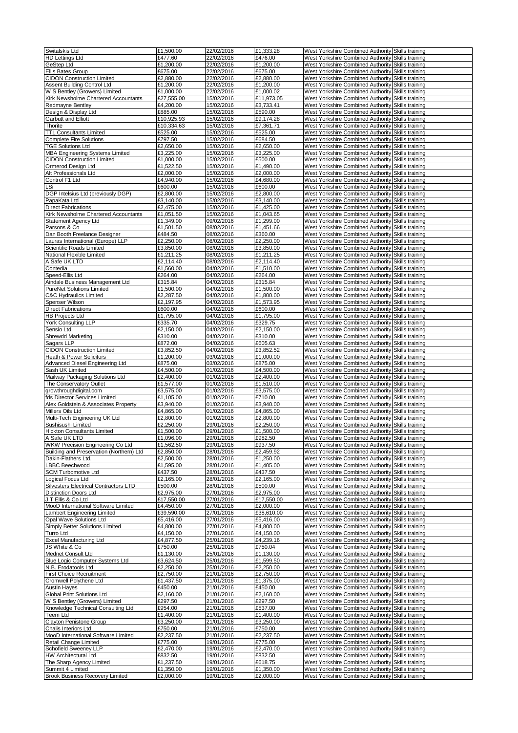| Switalskis Ltd                                             | £1,500.00               | 22/02/2016               | £1,333.28              | West Yorkshire Combined Authority Skills training |  |
|------------------------------------------------------------|-------------------------|--------------------------|------------------------|---------------------------------------------------|--|
| <b>HD Lettings Ltd</b>                                     | £477.60                 | 22/02/2016               | £476.00                | West Yorkshire Combined Authority Skills training |  |
| GeStep Ltd                                                 | £1,200.00               | 22/02/2016               | £1,200.00              | West Yorkshire Combined Authority Skills training |  |
| Ellis Bates Group                                          | £675.00                 | 22/02/2016               | £675.00                | West Yorkshire Combined Authority Skills training |  |
| <b>CIDON Construction Limited</b>                          | £2,880.00               | 22/02/2016               | £2,880.00              | West Yorkshire Combined Authority Skills training |  |
| <b>Assent Building Control Ltd</b>                         | £1,200.00               | 22/02/2016               | £1,200.00              | West Yorkshire Combined Authority Skills training |  |
| W S Bentley (Growers) Limited                              |                         |                          |                        |                                                   |  |
|                                                            | £1,000.00               | 22/02/2016               | £1,000.02              | West Yorkshire Combined Authority Skills training |  |
| Kirk Newsholme Chartered Accountants                       | £27,555.00              | 15/02/2016               | £11,973.05             | West Yorkshire Combined Authority Skills training |  |
| <b>Redmayne Bentley</b>                                    | £4,200.00               | 15/02/2016               | £3,733.41              | West Yorkshire Combined Authority Skills training |  |
| Design & Display Ltd                                       | £885.00                 | 15/02/2016               | £590.00                | West Yorkshire Combined Authority Skills training |  |
| Garbutt and Elliott                                        | £10,925.93              | 15/02/2016               | £9,174.28              | West Yorkshire Combined Authority Skills training |  |
| Thorite                                                    | £10,334.63              | 15/02/2016               | £7,361.71              | West Yorkshire Combined Authority Skills training |  |
| <b>TTL Consultants Limited</b>                             | £525.00                 | 15/02/2016               | £525.00                | West Yorkshire Combined Authority Skills training |  |
| <b>Complete Fire Solutions</b>                             | £797.50                 | 15/02/2016               | £684.50                | West Yorkshire Combined Authority Skills training |  |
| <b>TGE Solutions Ltd</b>                                   | £2,650.00               | 15/02/2016               | £2,650.00              | West Yorkshire Combined Authority Skills training |  |
| <b>MBA Engineering Systems Limited</b>                     | £3,225.00               | 15/02/2016               | £3,225.00              | West Yorkshire Combined Authority Skills training |  |
| <b>CIDON Construction Limited</b>                          | £1,000.00               | 15/02/2016               | £500.00                | West Yorkshire Combined Authority Skills training |  |
| Ormerod Design Ltd                                         | £1,522.50               | 15/02/2016               | £1,490.00              | West Yorkshire Combined Authority Skills training |  |
| Alt Professionals Ltd                                      | £2,000.00               | 15/02/2016               | £2,000.00              | West Yorkshire Combined Authority Skills training |  |
| Control F1 Ltd                                             | £4,940.00               | 15/02/2016               | £4,680.00              | West Yorkshire Combined Authority Skills training |  |
| LSi                                                        | £600.00                 | 15/02/2016               | £600.00                | West Yorkshire Combined Authority Skills training |  |
| DGP Intelsius Ltd (previously DGP)                         | £2,800.00               | 15/02/2016               | £2,800.00              | West Yorkshire Combined Authority Skills training |  |
| PapaKata Ltd                                               | £3,140.00               | 15/02/2016               | £3,140.00              | West Yorkshire Combined Authority Skills training |  |
| <b>Direct Fabrications</b>                                 | £2,475.00               | 15/02/2016               | £1,425.00              | West Yorkshire Combined Authority Skills training |  |
|                                                            |                         |                          |                        |                                                   |  |
| Kirk Newsholme Chartered Accountants                       | £1,051.50               | 15/02/2016               | £1,043.65              | West Yorkshire Combined Authority Skills training |  |
| Statement Agency Ltd                                       | £1,349.00               | 09/02/2016               | £1,299.00              | West Yorkshire Combined Authority Skills training |  |
| Parsons & Co                                               | £1,501.50               | 08/02/2016               | £1,451.66              | West Yorkshire Combined Authority Skills training |  |
| Dan Booth Freelance Designer                               | £484.50                 | 08/02/2016               | £360.00                | West Yorkshire Combined Authority Skills training |  |
| Lauras International (Europe) LLP                          | £2,250.00               | 08/02/2016               | £2,250.00              | West Yorkshire Combined Authority Skills training |  |
| Scientific Roads Limited                                   | £3,850.00               | 08/02/2016               | £3,850.00              | West Yorkshire Combined Authority Skills training |  |
| National Flexible Limited                                  | $\overline{£1}$ ,211.25 | 08/02/2016               | £1,211.25              | West Yorkshire Combined Authority Skills training |  |
| A Safe UK LTD                                              | £2,114.40               | 08/02/2016               | £2,114.40              | West Yorkshire Combined Authority Skills training |  |
| Contedia                                                   | £1,560.00               | 04/02/2016               | £1,510.00              | West Yorkshire Combined Authority Skills training |  |
| Speed-Ellis Ltd                                            | £264.00                 | 04/02/2016               | £264.00                | West Yorkshire Combined Authority Skills training |  |
| Aindale Business Management Ltd                            | £315.84                 | 04/02/2016               | £315.84                | West Yorkshire Combined Authority Skills training |  |
| <b>PureNet Solutions Limited</b>                           | £1,500.00               | 04/02/2016               | £1,500.00              | West Yorkshire Combined Authority Skills training |  |
| C&C Hydraulics Limited                                     | £2,287.50               | 04/02/2016               | £1,800.00              | West Yorkshire Combined Authority Skills training |  |
| Spenser Wilson                                             | £2,197.95               | 04/02/2016               | £1,573.95              | West Yorkshire Combined Authority Skills training |  |
|                                                            |                         | 04/02/2016               |                        |                                                   |  |
| <b>Direct Fabrications</b>                                 | £600.00                 |                          | £600.00                | West Yorkshire Combined Authority Skills training |  |
| <b>HB Projects Ltd</b>                                     | £1,795.00               | 04/02/2016               | £1,795.00              | West Yorkshire Combined Authority Skills training |  |
| York Consulting LLP                                        | £335.70                 | 04/02/2016               | £329.75                | West Yorkshire Combined Authority Skills training |  |
| Sensio Ltd                                                 | £2,150.00               | 04/02/2016               | £2,150.00              | West Yorkshire Combined Authority Skills training |  |
| Shrewdd Marketing                                          | £310.00                 | 04/02/2016               | £310.00                | West Yorkshire Combined Authority Skills training |  |
| Sagars LLP                                                 | £872.00                 | 04/02/2016               | £605.63                | West Yorkshire Combined Authority Skills training |  |
| <b>CIDON Construction Limited</b>                          | £3,852.50               | 04/02/2016               | £3,852.52              | West Yorkshire Combined Authority Skills training |  |
| Heath & Power Solicitors                                   | £1,200.00               | 03/02/2016               | £1,000.00              | West Yorkshire Combined Authority Skills training |  |
| Advanced Diesel Engineering Ltd                            | £875.00                 | 03/02/2016               | £875.00                | West Yorkshire Combined Authority Skills training |  |
| Sash UK Limited                                            | £4,500.00               | 01/02/2016               | £4,500.00              | West Yorkshire Combined Authority Skills training |  |
| Mailway Packaging Solutions Ltd                            | £2,400.00               | 01/02/2016               | £2,400.00              | West Yorkshire Combined Authority Skills training |  |
| The Conservatory Outlet                                    | £1,577.00               | 01/02/2016               | £1,510.00              | West Yorkshire Combined Authority Skills training |  |
| growthroughdigital.com                                     | £3,575.00               | 01/02/2016               | £3,575.00              | West Yorkshire Combined Authority Skills training |  |
| fds Director Services Limited                              | £1,105.00               | 01/02/2016               | £710.00                | West Yorkshire Combined Authority Skills training |  |
| Alex Goldstein & Associates Property                       | £3,940.00               | 01/02/2016               | £3,940.00              | West Yorkshire Combined Authority Skills training |  |
| Millers Oils Ltd                                           | £4,865.00               | 01/02/2016               | £4,865.00              | West Yorkshire Combined Authority Skills training |  |
| Multi-Tech Engineering UK Ltd                              | £2,800.00               | 01/02/2016               | £2,800.00              | West Yorkshire Combined Authority Skills training |  |
|                                                            |                         |                          |                        |                                                   |  |
| Sushisushi Limited                                         | £2,250.00               | 29/01/2016               | £2,250.00              | West Yorkshire Combined Authority Skills training |  |
| <b>Hickton Consultants Limited</b>                         | £1,500.00               | 29/01/2016               | £1,500.00              | West Yorkshire Combined Authority Skills training |  |
| IA Safe UK LTD                                             | £1,096.00               | 29/01/2016               | £982.50                | West Yorkshire Combined Authority Skills training |  |
| WKW Precision Engineering Co Ltd                           | £1,562.50               | 29/01/2016               | £937.50                | West Yorkshire Combined Authority Skills training |  |
| Building and Preservation (Northern) Ltd                   | £2,850.00               | 28/01/2016               | £2,459.92              | West Yorkshire Combined Authority Skills training |  |
| Dakin-Flathers Ltd.                                        | £2,500.00               | 28/01/2016               | £1,250.00              | West Yorkshire Combined Authority Skills training |  |
| <b>LBBC Beechwood</b>                                      | £1,595.00               | 28/01/2016               | £1,405.00              | West Yorkshire Combined Authority Skills training |  |
| SCM Turbomotive Ltd                                        | £437.50                 | 28/01/2016               | £437.50                | West Yorkshire Combined Authority Skills training |  |
| Logical Focus Ltd                                          | £2,165.00               | 28/01/2016               | £2,165.00              | West Yorkshire Combined Authority Skills training |  |
| <b>Silvesters Electrical Contractors LTD</b>               | £500.00                 | 28/01/2016               | £500.00                | West Yorkshire Combined Authority Skills training |  |
| <b>Distinction Doors Ltd</b>                               | £2,975.00               | 27/01/2016               | £2,975.00              | West Yorkshire Combined Authority Skills training |  |
| JT Ellis & Co Ltd                                          | £17,550.00              | 27/01/2016               | £17,550.00             | West Yorkshire Combined Authority Skills training |  |
| MooD International Software Limited                        | £4,450.00               | 27/01/2016               | £2,000.00              | West Yorkshire Combined Authority Skills training |  |
| Lambert Engineering Limited                                | £39,590.00              | 27/01/2016               | £38,610.00             | West Yorkshire Combined Authority Skills training |  |
| Opal Wave Solutions Ltd                                    | £5,416.00               | 27/01/2016               | £5,416.00              | West Yorkshire Combined Authority Skills training |  |
| Simply Better Solutions Limited                            | £4,800.00               | 27/01/2016               | £4,800.00              | West Yorkshire Combined Authority Skills training |  |
| Turro Ltd                                                  | £4,150.00               | 27/01/2016               | £4,150.00              | West Yorkshire Combined Authority Skills training |  |
| <b>Excel Manufacturing Ltd</b>                             | £4,877.50               | 25/01/2016               | £4,239.16              | West Yorkshire Combined Authority Skills training |  |
| JS White & Co                                              | £750.00                 | 25/01/2016               | £750.04                | West Yorkshire Combined Authority Skills training |  |
| Mednet Consult Ltd                                         | £1,130.00               | 25/01/2016               | £1,130.00              | West Yorkshire Combined Authority Skills training |  |
|                                                            |                         |                          |                        |                                                   |  |
| Blue Logic Computer Systems Ltd                            | £3,624.50               | 25/01/2016               | £1,599.50              | West Yorkshire Combined Authority Skills training |  |
| N.B. Erodatools Ltd                                        | £2,250.00               | 25/01/2016               | £2,250.00              | West Yorkshire Combined Authority Skills training |  |
| <b>First Choice Recruitment</b>                            | £2,750.00               | 21/01/2016               | £2,750.00              | West Yorkshire Combined Authority Skills training |  |
| Cromwell Polythene Ltd                                     | £1,437.50               | 21/01/2016               | £1,375.00              | West Yorkshire Combined Authority Skills training |  |
| <b>Austin Hayes</b>                                        | £450.00                 | 21/01/2016               | £450.00                | West Yorkshire Combined Authority Skills training |  |
| Global Print Solutions Ltd                                 | £2,160.00               | 21/01/2016               | £2,160.00              | West Yorkshire Combined Authority Skills training |  |
| W S Bentley (Growers) Limited                              | £297.50                 | 21/01/2016               | £297.50                | West Yorkshire Combined Authority Skills training |  |
| Knowledge Technical Consulting Ltd                         | £954.00                 | 21/01/2016               | £537.00                | West Yorkshire Combined Authority Skills training |  |
| Teem Ltd                                                   | £1,400.00               | 21/01/2016               | £1,400.00              | West Yorkshire Combined Authority Skills training |  |
| Clayton Penistone Group                                    | £3,250.00               | 21/01/2016               | £3,250.00              | West Yorkshire Combined Authority Skills training |  |
| Chalis Interiors Ltd                                       | £750.00                 | 21/01/2016               | £750.00                | West Yorkshire Combined Authority Skills training |  |
| MooD International Software Limited                        | £2,237.50               | 21/01/2016               | £2,237.50              | West Yorkshire Combined Authority Skills training |  |
| Retail Change Limited                                      | £775.00                 | 19/01/2016               | £775.00                | West Yorkshire Combined Authority Skills training |  |
| Schofield Sweeney LLP                                      | £2,470.00               | 19/01/2016               | £2,470.00              | West Yorkshire Combined Authority Skills training |  |
| <b>HW Architectural Ltd</b>                                | £832.50                 | 19/01/2016               | £832.50                | West Yorkshire Combined Authority Skills training |  |
|                                                            | £1,237.50               | 19/01/2016               | £618.75                | West Yorkshire Combined Authority Skills training |  |
| The Sharp Agency Limited                                   |                         |                          |                        | West Yorkshire Combined Authority Skills training |  |
|                                                            |                         |                          |                        |                                                   |  |
| Summit 4 Limited<br><b>Brook Business Recovery Limited</b> | £1,350.00<br>£2,000.00  | 19/01/2016<br>19/01/2016 | £1,350.00<br>£2,000.00 | West Yorkshire Combined Authority Skills training |  |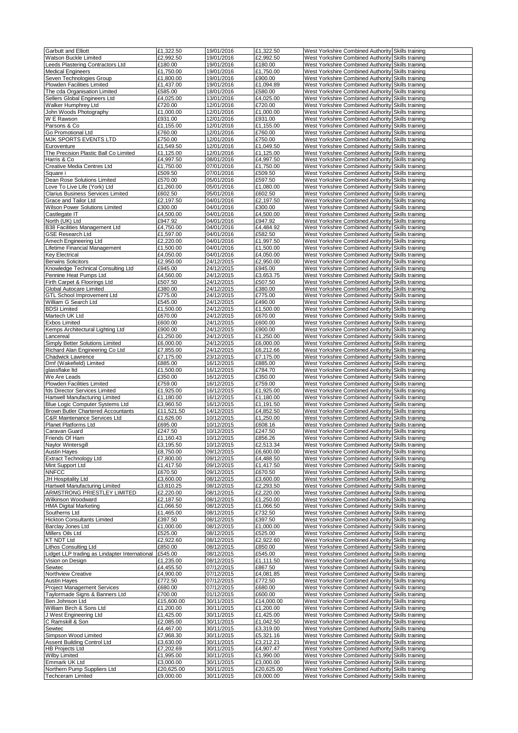| <b>Garbutt and Elliott</b>                              | $\overline{£1,}322.50$  | 19/01/2016               | £1.322.50               |                                                                                                        |  |
|---------------------------------------------------------|-------------------------|--------------------------|-------------------------|--------------------------------------------------------------------------------------------------------|--|
|                                                         |                         |                          |                         | West Yorkshire Combined Authority Skills training                                                      |  |
| Watson Buckle Limited                                   | £2,992.50               | 19/01/2016               | £2,992.50               | West Yorkshire Combined Authority Skills training                                                      |  |
| Leeds Plastering Contractors Ltd                        | £180.00                 | 19/01/2016               | £180.00                 | West Yorkshire Combined Authority Skills training                                                      |  |
| <b>Medical Engineers</b>                                | £1,750.00               | 19/01/2016               | £1,750.00               | West Yorkshire Combined Authority Skills training                                                      |  |
| Seven Technologies Group                                | £1,800.00               | 19/01/2016               | £900.00                 | West Yorkshire Combined Authority Skills training                                                      |  |
| Plowden Facilities Limited                              | £1,437.00               | 19/01/2016               | £1,094.89               | West Yorkshire Combined Authority Skills training                                                      |  |
|                                                         |                         |                          |                         |                                                                                                        |  |
| The cda Organisation Limited                            | £585.00                 | 18/01/2016               | £580.00                 | West Yorkshire Combined Authority Skills training                                                      |  |
| Sellers Global Engineers Ltd                            | £4,025.00               | 13/01/2016               | £4,025.00               | West Yorkshire Combined Authority Skills training                                                      |  |
| Walker Humphrey Ltd                                     | £720.00                 | 12/01/2016               | £720.00                 | West Yorkshire Combined Authority Skills training                                                      |  |
| John Woods Photography                                  | £1,000.00               | 12/01/2016               | £1,000.00               | West Yorkshire Combined Authority Skills training                                                      |  |
| W E Rawson                                              | £931.00                 | 12/01/2016               | £931.00                 | West Yorkshire Combined Authority Skills training                                                      |  |
|                                                         |                         |                          |                         |                                                                                                        |  |
| Parsons & Co                                            | £1,155.00               | 12/01/2016               | £1,155.00               | West Yorkshire Combined Authority Skills training                                                      |  |
| Go Promotional Ltd                                      | £760.00                 | 12/01/2016               | £760.00                 | West Yorkshire Combined Authority Skills training                                                      |  |
| MJK SPORTS EVENTS LTD                                   | £750.00                 | 12/01/2016               | £750.00                 | West Yorkshire Combined Authority Skills training                                                      |  |
| Euroventure                                             | £1,549.50               | 12/01/2016               | £1,049.50               | West Yorkshire Combined Authority Skills training                                                      |  |
| The Precision Plastic Ball Co Limited                   | £1,125.00               | 12/01/2016               | £1,125.00               | West Yorkshire Combined Authority Skills training                                                      |  |
| Harris & Co                                             | £4,997.50               | 08/01/2016               | £4,997.50               | West Yorkshire Combined Authority Skills training                                                      |  |
|                                                         |                         |                          |                         |                                                                                                        |  |
| Creative Media Centres Ltd                              | £1,750.00               | 07/01/2016               | £1,750.00               | West Yorkshire Combined Authority Skills training                                                      |  |
| Square i                                                | £509.50                 | 07/01/2016               | £509.50                 | West Yorkshire Combined Authority Skills training                                                      |  |
| Dean Rose Solutions Limited                             | £570.00                 | 05/01/2016               | £597.50                 | West Yorkshire Combined Authority Skills training                                                      |  |
| Love To Live Life (York) Ltd                            | £1,260.00               | 05/01/2016               | £1,080.00               | West Yorkshire Combined Authority Skills training                                                      |  |
| Clarius Business Services Limited                       | £602.50                 | 05/01/2016               | £602.50                 | West Yorkshire Combined Authority Skills training                                                      |  |
| Grace and Tailor Ltd                                    | £2,197.50               | 04/01/2016               | £2,197.50               | West Yorkshire Combined Authority Skills training                                                      |  |
|                                                         |                         |                          |                         |                                                                                                        |  |
| Wilson Power Solutions Limited                          | £300.00                 | 04/01/2016               | £300.00                 | West Yorkshire Combined Authority Skills training                                                      |  |
| Castlegate IT                                           | £4,500.00               | 04/01/2016               | £4,500.00               | West Yorkshire Combined Authority Skills training                                                      |  |
| North (UK) Ltd                                          | £947.92                 | 04/01/2016               | £947.92                 | West Yorkshire Combined Authority Skills training                                                      |  |
| B38 Facilities Management Ltd                           | £4,750.00               | 04/01/2016               | £4,484.92               | West Yorkshire Combined Authority Skills training                                                      |  |
| <b>GSE Research Ltd</b>                                 | £1,597.00               | 04/01/2016               | £582.50                 | West Yorkshire Combined Authority Skills training                                                      |  |
|                                                         | £2,220.00               | 04/01/2016               |                         |                                                                                                        |  |
| Amech Engineering Ltd                                   |                         |                          | £1,997.50               | West Yorkshire Combined Authority Skills training                                                      |  |
| Lifetime Financial Management                           | £1,500.00               | 04/01/2016               | £1,500.00               | West Yorkshire Combined Authority Skills training                                                      |  |
| Key Electrical                                          | £4,050.00               | 04/01/2016               | £4,050.00               | West Yorkshire Combined Authority Skills training                                                      |  |
| <b>Berwins Solicitors</b>                               | £2,950.00               | 24/12/2015               | £2,950.00               | West Yorkshire Combined Authority Skills training                                                      |  |
| Knowledge Technical Consulting Ltd                      | £945.00                 | 24/12/2015               | £945.00                 | West Yorkshire Combined Authority Skills training                                                      |  |
|                                                         |                         |                          |                         |                                                                                                        |  |
| Pennine Heat Pumps Ltd                                  | £4,560.00               | 24/12/2015               | £3,653.75               | West Yorkshire Combined Authority Skills training                                                      |  |
| Firth Carpet & Floorings Ltd                            | £507.50                 | 24/12/2015               | £507.50                 | West Yorkshire Combined Authority Skills training                                                      |  |
| Global Autocare Limited                                 | £380.00                 | 24/12/2015               | £380.00                 | West Yorkshire Combined Authority Skills training                                                      |  |
| GTL School Improvement Ltd                              | £775.00                 | 24/12/2015               | £775.00                 | West Yorkshire Combined Authority Skills training                                                      |  |
| William G Search Ltd                                    | £545.00                 | 24/12/2015               | £490.00                 | West Yorkshire Combined Authority Skills training                                                      |  |
|                                                         |                         |                          |                         |                                                                                                        |  |
| <b>BDSI Limited</b>                                     | £1,500.00               | 24/12/2015               | £1,500.00               | West Yorkshire Combined Authority Skills training                                                      |  |
| Martech UK Ltd                                          | £670.00                 | 24/12/2015               | £670.00                 | West Yorkshire Combined Authority Skills training                                                      |  |
| Exbos Limited                                           | £600.00                 | 24/12/2015               | £600.00                 | West Yorkshire Combined Authority Skills training                                                      |  |
| Kemps Architectural Lighting Ltd                        | £900.00                 | 24/12/2015               | £900.00                 | West Yorkshire Combined Authority Skills training                                                      |  |
| Lancereal                                               | £1,250.00               | 24/12/2015               | £1,250.00               | West Yorkshire Combined Authority Skills training                                                      |  |
|                                                         |                         |                          |                         |                                                                                                        |  |
| Simply Better Solutions Limited                         | £6,000.00               | 24/12/2015               | £6,000.00               | West Yorkshire Combined Authority Skills training                                                      |  |
| Richard Alan Engineering Co Ltd                         | £7,855.00               | 24/12/2015               | £6,212.66               | West Yorkshire Combined Authority Skills training                                                      |  |
| Chadwick Lawrence                                       | £7,175.00               | 23/12/2015               | £7,175.00               | West Yorkshire Combined Authority Skills training                                                      |  |
| Dmf (Wakefield) Limited                                 | £885.00                 | 16/12/2015               | £885.00                 | West Yorkshire Combined Authority Skills training                                                      |  |
| glassflake Itd                                          | £1,500.00               | 16/12/2015               | £784.70                 | West Yorkshire Combined Authority Skills training                                                      |  |
| We Are Leads                                            | £350.00                 | 16/12/2015               | £350.00                 |                                                                                                        |  |
|                                                         |                         |                          |                         | West Yorkshire Combined Authority Skills training                                                      |  |
| Plowden Facilities Limited                              | £759.00                 | 16/12/2015               | £759.00                 | West Yorkshire Combined Authority Skills training                                                      |  |
| fds Director Services Limited                           | £1,925.00               | 16/12/2015               | £1,925.00               | West Yorkshire Combined Authority Skills training                                                      |  |
| Hartwell Manufacturing Limited                          | £1,180.00               | 16/12/2015               | £1,180.00               | West Yorkshire Combined Authority Skills training                                                      |  |
| Blue Logic Computer Systems Ltd                         | £3,960.50               | 16/12/2015               | £1,191.50               | West Yorkshire Combined Authority Skills training                                                      |  |
|                                                         |                         |                          |                         |                                                                                                        |  |
| Brown Butler Chartered Accountants                      | £11,521.50              | 14/12/2015               | £4,852.50               | West Yorkshire Combined Authority Skills training                                                      |  |
| C&R Maintenance Services Ltd                            | £1,626.00               | 10/12/2015               | £1,250.00               | West Yorkshire Combined Authority Skills training                                                      |  |
| Planet Platforms Ltd                                    | £695.00                 | 10/12/2015               | £608.16                 | West Yorkshire Combined Authority Skills training                                                      |  |
| Caravan Guard                                           | £247.50                 | 10/12/2015               | £247.50                 | West Yorkshire Combined Authority Skills training                                                      |  |
| Friends Of Ham                                          | £1,160.43               | 10/12/2015               | £856.26                 |                                                                                                        |  |
|                                                         |                         |                          |                         | West Yorkshire Combined Authority Skills training                                                      |  |
| Naylor Wintersgill                                      | £3,195.50               | 10/12/2015               | £2,513.34               | West Yorkshire Combined Authority Skills training                                                      |  |
| <b>Austin Hayes</b>                                     | £8,750.00               | 09/12/2015               | £6,600.00               | West Yorkshire Combined Authority Skills training                                                      |  |
| <b>Extract Technology Ltd</b>                           | £7,800.00               | 09/12/2015               | £4,488.50               | West Yorkshire Combined Authority Skills training                                                      |  |
| Mint Support Ltd                                        | £1,417.50               | 09/12/2015               | £1,417.50               | West Yorkshire Combined Authority Skills training                                                      |  |
| <b>NNFCC</b>                                            | £670.50                 | 09/12/2015               | £670.50                 | West Yorkshire Combined Authority Skills training                                                      |  |
| JH Hospitality Ltd                                      | £3,600.00               | 08/12/2015               | £3,600.00               | West Yorkshire Combined Authority Skills training                                                      |  |
|                                                         |                         |                          |                         |                                                                                                        |  |
| Hartwell Manufacturing Limited                          | £3,810.25               | 08/12/2015               | £2,293.50               | West Yorkshire Combined Authority Skills training                                                      |  |
| ARMSTRONG PRIESTLEY LIMITED                             | £2,220.00               | 08/12/2015               | £2,220.00               | West Yorkshire Combined Authority Skills training                                                      |  |
| Wilkinson Woodward                                      | £2,187.50               | 08/12/2015               | £1,250.00               | West Yorkshire Combined Authority Skills training                                                      |  |
| <b>HMA Digital Marketing</b>                            | £1,066.50               | 08/12/2015               | £1,066.50               | West Yorkshire Combined Authority Skills training                                                      |  |
| Southerns Ltd                                           | £1,465.00               | 08/12/2015               | £732.50                 | West Yorkshire Combined Authority Skills training                                                      |  |
| <b>Hickton Consultants Limited</b>                      | £397.50                 | 08/12/2015               | £397.50                 | West Yorkshire Combined Authority Skills training                                                      |  |
|                                                         |                         |                          |                         |                                                                                                        |  |
| Barclay Jones Ltd                                       | £1,000.00               | 08/12/2015               | £1,000.00               | West Yorkshire Combined Authority Skills training                                                      |  |
| Millers Oils Ltd                                        | £525.00                 | 08/12/2015               | £525.00                 | West Yorkshire Combined Authority Skills training                                                      |  |
| <b>KT NDT Ltd</b>                                       | £2,922.60               | 08/12/2015               | £2,922.60               | West Yorkshire Combined Authority Skills training                                                      |  |
| Lithos Consulting Ltd                                   | £850.00                 | 08/12/2015               | £850.00                 | West Yorkshire Combined Authority Skills training                                                      |  |
| Lidget LLP trading as Lindapter International           |                         |                          |                         |                                                                                                        |  |
|                                                         |                         |                          |                         |                                                                                                        |  |
| Vision on Design                                        | £545.00                 | 08/12/2015               | £545.00                 | West Yorkshire Combined Authority Skills training                                                      |  |
|                                                         | £1,235.00               | 08/12/2015               | £1,111.50               | West Yorkshire Combined Authority Skills training                                                      |  |
| Sewtec                                                  | £4,455.50               | 07/12/2015               | £867.50                 | West Yorkshire Combined Authority Skills training                                                      |  |
| Northview Creative                                      | $\sqrt{24,900.00}$      | 07/12/2015               | £4,081.85               | West Yorkshire Combined Authority Skills training                                                      |  |
| <b>Austin Hayes</b>                                     | £772.50                 | 07/12/2015               | £772.50                 | West Yorkshire Combined Authority Skills training                                                      |  |
|                                                         |                         |                          |                         |                                                                                                        |  |
| <b>Project Management Services</b>                      | £680.00                 | 07/12/2015               | £680.00                 | West Yorkshire Combined Authority Skills training                                                      |  |
| Taylormade Signs & Banners Ltd                          | £700.00                 | 01/12/2015               | £600.00                 | West Yorkshire Combined Authority Skills training                                                      |  |
| Ben Johnson Ltd                                         | £15,600.00              | 30/11/2015               | £14,000.00              | West Yorkshire Combined Authority Skills training                                                      |  |
| William Birch & Sons Ltd                                | £1,200.00               | 30/11/2015               | £1,200.00               | West Yorkshire Combined Authority Skills training                                                      |  |
| J West Engineering Ltd                                  | £1,425.00               |                          | £1,425.00               | West Yorkshire Combined Authority Skills training                                                      |  |
|                                                         |                         | 30/11/2015               |                         |                                                                                                        |  |
| C Ramskill & Son                                        | £2,085.00               | 30/11/2015               | £1,042.50               | West Yorkshire Combined Authority Skills training                                                      |  |
| Sewtec                                                  | £4,467.00               | 30/11/2015               | £3,319.00               | West Yorkshire Combined Authority Skills training                                                      |  |
| Simpson Wood Limited                                    | £7,968.30               | 30/11/2015               | £5,321.16               | West Yorkshire Combined Authority Skills training                                                      |  |
| Assent Building Control Ltd                             | £3,630.00               | 30/11/2015               | £3,212.21               | West Yorkshire Combined Authority Skills training                                                      |  |
| <b>HB Projects Ltd</b>                                  | £7,202.69               | 30/11/2015               | £4,907.47               | West Yorkshire Combined Authority Skills training                                                      |  |
|                                                         |                         |                          |                         |                                                                                                        |  |
| Wilby Limited                                           | £1,995.00               | 30/11/2015               | £1,990.00               | West Yorkshire Combined Authority Skills training                                                      |  |
| Emmark UK Ltd                                           | £3,000.00               | 30/11/2015               | £3,000.00               | West Yorkshire Combined Authority Skills training                                                      |  |
| Northern Pump Suppliers Ltd<br><b>Techceram Limited</b> | £20,625.00<br>£9,000.00 | 30/11/2015<br>30/11/2015 | £20,625.00<br>£9,000.00 | West Yorkshire Combined Authority Skills training<br>West Yorkshire Combined Authority Skills training |  |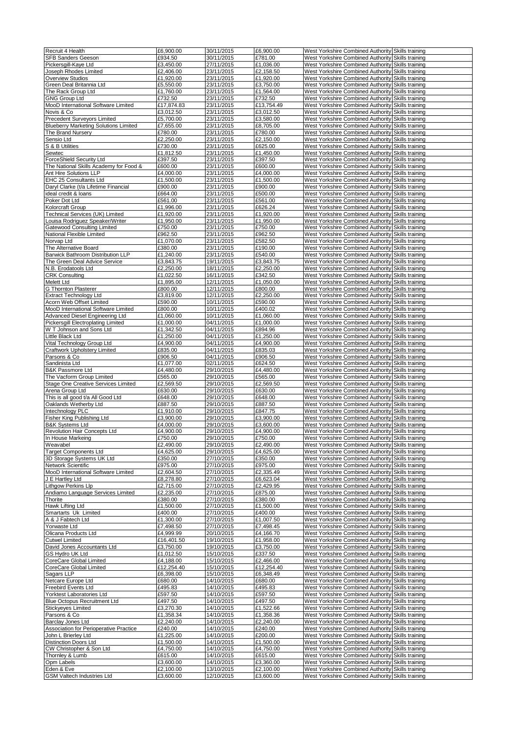| Recruit 4 Health                                   | £6,900.00               | 30/11/2015               | £6,900.00               | West Yorkshire Combined Authority Skills training                                                      |  |
|----------------------------------------------------|-------------------------|--------------------------|-------------------------|--------------------------------------------------------------------------------------------------------|--|
| SFB Sanders Geeson                                 | £934.50                 | 30/11/2015               | £781.00                 | West Yorkshire Combined Authority Skills training                                                      |  |
| Pickersgill-Kaye Ltd                               | £3,450.00               | 27/11/2015               | £1,036.00               | West Yorkshire Combined Authority Skills training                                                      |  |
| Joseph Rhodes Limited                              | £2,406.00               | 23/11/2015               | £2,158.50               | West Yorkshire Combined Authority Skills training                                                      |  |
| <b>Overview Studios</b>                            | £1,920.00               | 23/11/2015               | £1,920.00               | West Yorkshire Combined Authority Skills training                                                      |  |
| Green Deal Britannia Ltd                           | £5,550.00               | 23/11/2015               | £3,750.00               | West Yorkshire Combined Authority Skills training                                                      |  |
| The Rack Group Ltd                                 | £1,760.00               | 23/11/2015               | £1,564.00               | West Yorkshire Combined Authority Skills training                                                      |  |
| <b>GNG Group Ltd</b>                               | £732.50                 | 23/11/2015               | £732.50                 | West Yorkshire Combined Authority Skills training                                                      |  |
| MooD International Software Limited<br>Novis & Co  | £17,874.83<br>£3,012.50 | 23/11/2015<br>23/11/2015 | £13,754.49<br>£3,012.50 | West Yorkshire Combined Authority Skills training<br>West Yorkshire Combined Authority Skills training |  |
| Precedent Surveyors Limited                        | £5,700.00               | 23/11/2015               | £3,580.00               | West Yorkshire Combined Authority Skills training                                                      |  |
| <b>Blueberry Marketing Solutions Limited</b>       | £7,655.00               | 23/11/2015               | £8,705.00               | West Yorkshire Combined Authority Skills training                                                      |  |
| The Brand Nursery                                  | £780.00                 | 23/11/2015               | £780.00                 | West Yorkshire Combined Authority Skills training                                                      |  |
| Sensio Ltd                                         | £2,250.00               | 23/11/2015               | £2,150.00               | West Yorkshire Combined Authority Skills training                                                      |  |
| S & B Utilities                                    | £730.00                 | 23/11/2015               | £625.00                 | West Yorkshire Combined Authority Skills training                                                      |  |
| Sewtec                                             | £1,812.50               | 23/11/2015               | £1,450.00               | West Yorkshire Combined Authority Skills training                                                      |  |
| ForceShield Security Ltd                           | £397.50                 | 23/11/2015               | £397.50                 | West Yorkshire Combined Authority Skills training                                                      |  |
| The National Skills Academy for Food &             | £600.00                 | 23/11/2015               | £600.00                 | West Yorkshire Combined Authority Skills training                                                      |  |
| Ant Hire Solutions LLP                             | £4,000.00               | 23/11/2015               | £4,000.00               | West Yorkshire Combined Authority Skills training                                                      |  |
| EHC 25 Consultants Ltd                             | £1,500.00               | 23/11/2015               | £1,500.00               | West Yorkshire Combined Authority Skills training                                                      |  |
| Daryl Clarke (t/a Lifetime Financial               | £900.00                 | 23/11/2015               | £900.00                 | West Yorkshire Combined Authority Skills training                                                      |  |
| ideal credit & loans<br>Poker Dot Ltd              | £664.00<br>£561.00      | 23/11/2015<br>23/11/2015 | £500.00<br>£561.00      | West Yorkshire Combined Authority Skills training<br>West Yorkshire Combined Authority Skills training |  |
| Kolorcraft Group                                   | £1,996.00               | 23/11/2015               | £626.24                 | West Yorkshire Combined Authority Skills training                                                      |  |
| Technical Services (UK) Limited                    | £1,920.00               | 23/11/2015               | £1,920.00               | West Yorkshire Combined Authority Skills training                                                      |  |
| Louisa Rodriguez Speaker/Writer                    | £1,950.00               | 23/11/2015               | £1,950.00               | West Yorkshire Combined Authority Skills training                                                      |  |
| Gatewood Consulting Limited                        | £750.00                 | 23/11/2015               | £750.00                 | West Yorkshire Combined Authority Skills training                                                      |  |
| National Flexible Limited                          | £962.50                 | 23/11/2015               | £962.50                 | West Yorkshire Combined Authority Skills training                                                      |  |
| Norvap Ltd                                         | £1,070.00               | 23/11/2015               | £582.50                 | West Yorkshire Combined Authority Skills training                                                      |  |
| The Alternative Board                              | £380.00                 | 23/11/2015               | £190.00                 | West Yorkshire Combined Authority Skills training                                                      |  |
| <b>Barwick Bathroom Distribution LLP</b>           | £1.240.00               | 23/11/2015               | £540.00                 | West Yorkshire Combined Authority Skills training                                                      |  |
| The Green Deal Advice Service                      | £3,843.75               | 19/11/2015               | £3,843.75               | West Yorkshire Combined Authority Skills training                                                      |  |
| N.B. Erodatools Ltd                                | £2,250.00               | 18/11/2015               | £2,250.00               | West Yorkshire Combined Authority Skills training                                                      |  |
| <b>CRK Consulting</b><br>Melett Ltd                | £1,022.50               | 16/11/2015<br>12/11/2015 | £342.50                 | West Yorkshire Combined Authority Skills training<br>West Yorkshire Combined Authority Skills training |  |
| <b>G</b> Thornton Plasterer                        | £1,895.00<br>£800.00    | 12/11/2015               | £1,050.00<br>£800.00    | West Yorkshire Combined Authority Skills training                                                      |  |
| <b>Extract Technology Ltd</b>                      | £3,819.00               | 12/11/2015               | £2,250.00               | West Yorkshire Combined Authority Skills training                                                      |  |
| Acorn Web Offset Limited                           | £590.00                 | 10/11/2015               | £590.00                 | West Yorkshire Combined Authority Skills training                                                      |  |
| MooD International Software Limited                | £800.00                 | 10/11/2015               | £400.02                 | West Yorkshire Combined Authority Skills training                                                      |  |
| Advanced Diesel Engineering Ltd                    | £1,060.00               | 10/11/2015               | £1,060.00               | West Yorkshire Combined Authority Skills training                                                      |  |
| Pickersgill Electroplating Limited                 | £1,000.00               | 04/11/2015               | £1,000.00               | West Yorkshire Combined Authority Skills training                                                      |  |
| W T Johnson and Sons Ltd                           | £1,342.50               | 04/11/2015               | £894.96                 | West Yorkshire Combined Authority Skills training                                                      |  |
| Little Black Ltd                                   | £1,250.00               | 04/11/2015               | £1,250.00               | West Yorkshire Combined Authority Skills training                                                      |  |
| Vital Technology Group Ltd                         | £4,900.00               | 04/11/2015               | £4,900.00               | West Yorkshire Combined Authority Skills training                                                      |  |
| Craftwork Upholstery Limited                       | £835.00                 | 04/11/2015               | £835.03                 | West Yorkshire Combined Authority Skills training                                                      |  |
| Parsons & Co<br>Sandinista Ltd                     | £906.50<br>£1,077.00    | 04/11/2015<br>02/11/2015 | £906.50<br>£624.50      | West Yorkshire Combined Authority Skills training<br>West Yorkshire Combined Authority Skills training |  |
| B&K Passmore Ltd                                   | £4,480.00               | 29/10/2015               | £4,480.00               | West Yorkshire Combined Authority Skills training                                                      |  |
| The Vacform Group Limited                          | £565.00                 | 29/10/2015               | £565.00                 | West Yorkshire Combined Authority Skills training                                                      |  |
| Stage One Creative Services Limited                | £2,569.50               | 29/10/2015               | £2,569.50               | West Yorkshire Combined Authority Skills training                                                      |  |
| Arena Group Ltd                                    | £630.00                 | 29/10/2015               | £630.00                 | West Yorkshire Combined Authority Skills training                                                      |  |
| This is all good t/a All Good Ltd                  | £648.00                 | 29/10/2015               | £648.00                 | West Yorkshire Combined Authority Skills training                                                      |  |
| Oaklands Wetherby Ltd                              | £887.50                 | 29/10/2015               | £887.50                 | West Yorkshire Combined Authority Skills training                                                      |  |
| Intechnology PLC                                   | £1,910.00               | 29/10/2015               | £847.75                 | West Yorkshire Combined Authority Skills training                                                      |  |
| Fisher King Publishing Ltd                         | £3,900.00               | 29/10/2015               | £3,900.00               | West Yorkshire Combined Authority Skills training                                                      |  |
| <b>B&amp;K Systems Ltd</b>                         | £4,000.00<br>£4,900.00  | 29/10/2015<br>29/10/2015 | £3,600.00<br>£4,900.00  | West Yorkshire Combined Authority Skills training                                                      |  |
| Revolution Hair Concepts Ltd<br>IIn House Markeing | £750.00                 | 29/10/2015               | £750.00                 | West Yorkshire Combined Authority Skills training                                                      |  |
| Weavabel                                           | £2,490.00               | 29/10/2015               | £2,490.00               | West Yorkshire Combined Authority Skills training<br>West Yorkshire Combined Authority Skills training |  |
| Target Components Ltd                              | £4,625.00               | 29/10/2015               | £4,625.00               | West Yorkshire Combined Authority Skills training                                                      |  |
| 3D Storage Systems UK Ltd                          | £350.00                 | 27/10/2015               | £350.00                 | West Yorkshire Combined Authority Skills training                                                      |  |
| Network Scientific                                 | £975.00                 | 27/10/2015               | £975.00                 | West Yorkshire Combined Authority Skills training                                                      |  |
| MooD International Software Limited                | £2,604.50               | 27/10/2015               | £2,335.49               | West Yorkshire Combined Authority Skills training                                                      |  |
| J E Hartley Ltd                                    | £8,278.80               | 27/10/2015               | £6,623.04               | West Yorkshire Combined Authority Skills training                                                      |  |
| <b>Lithgow Perkins Llp</b>                         | £2,715.00               | 27/10/2015               | £2,429.95               | West Yorkshire Combined Authority Skills training                                                      |  |
| Andiamo Language Services Limited                  | £2,235.00               | 27/10/2015               | £875.00                 | West Yorkshire Combined Authority Skills training                                                      |  |
| Thorite                                            | £380.00                 | 27/10/2015               | £380.00                 | West Yorkshire Combined Authority Skills training                                                      |  |
| Hawk Lifting Ltd<br>Smartarts Uk Limited           | £1,500.00<br>£400.00    | 27/10/2015<br>27/10/2015 | £1,500.00<br>£400.00    | West Yorkshire Combined Authority Skills training<br>West Yorkshire Combined Authority Skills training |  |
| A & J Fabtech Ltd                                  | £1,300.00               | 27/10/2015               | £1,007.50               | West Yorkshire Combined Authority Skills training                                                      |  |
| Yorwaste Ltd                                       | £7,498.50               | 27/10/2015               | £7,498.45               | West Yorkshire Combined Authority Skills training                                                      |  |
| Olicana Products Ltd                               | £4,999.99               | 20/10/2015               | £4,166.70               | West Yorkshire Combined Authority Skills training                                                      |  |
| <b>Cutwel Limited</b>                              | £16,401.50              | 19/10/2015               | £1,958.00               | West Yorkshire Combined Authority Skills training                                                      |  |
| David Jones Accountants Ltd                        | £3,750.00               | 19/10/2015               | £3,750.00               | West Yorkshire Combined Authority Skills training                                                      |  |
| GS Hydro UK Ltd                                    | £1,012.50               | 15/10/2015               | £337.50                 | West Yorkshire Combined Authority Skills training                                                      |  |
| CoreCare Global Limited                            | £4,188.00               | 15/10/2015               | £2,466.00               | West Yorkshire Combined Authority Skills training                                                      |  |
| CoreCare Global Limited                            | £12,254.40              | 15/10/2015               | £12,254.40              | West Yorkshire Combined Authority Skills training                                                      |  |
| Sagars LLP                                         | £6,398.00               | 15/10/2015               | £6,348.49               | West Yorkshire Combined Authority Skills training                                                      |  |
| Netcare Europe Ltd                                 | £680.00                 | 14/10/2015               | £680.00                 | West Yorkshire Combined Authority Skills training                                                      |  |
| Freebird Events Ltd<br>Yorktest Laboratories Ltd   | £495.83<br>£597.50      | 14/10/2015<br>14/10/2015 | £495.83<br>£597.50      | West Yorkshire Combined Authority Skills training<br>West Yorkshire Combined Authority Skills training |  |
| <b>Blue Octopus Recruitment Ltd</b>                | £497.50                 | 14/10/2015               | £497.50                 | West Yorkshire Combined Authority Skills training                                                      |  |
| Stickyeyes Limited                                 | £3,270.30               | 14/10/2015               | £1,522.66               | West Yorkshire Combined Authority Skills training                                                      |  |
| Parsons & Co                                       | £1,358.34               | 14/10/2015               | £1,358.36               | West Yorkshire Combined Authority Skills training                                                      |  |
| Barclay Jones Ltd                                  | £2,240.00               | 14/10/2015               | £2,240.00               | West Yorkshire Combined Authority Skills training                                                      |  |
| Association for Perioperative Practice             | £240.00                 | 14/10/2015               | £240.00                 | West Yorkshire Combined Authority Skills training                                                      |  |
| John L Brierley Ltd                                | £1,225.00               | 14/10/2015               | £200.00                 | West Yorkshire Combined Authority Skills training                                                      |  |
| <b>Distinction Doors Ltd</b>                       | £1,500.00               | 14/10/2015               | £1,500.00               | West Yorkshire Combined Authority Skills training                                                      |  |
| CW Christopher & Son Ltd                           | £4,750.00               | 14/10/2015               | £4,750.00               | West Yorkshire Combined Authority Skills training                                                      |  |
| Thornley & Lumb                                    | £615.00                 | 14/10/2015               | £615.00                 | West Yorkshire Combined Authority Skills training                                                      |  |
| Opm Labels                                         | £3,600.00               | 14/10/2015               | £3,360.00               | West Yorkshire Combined Authority Skills training                                                      |  |
| Eden & Eve<br><b>GSM Valtech Industries Ltd</b>    | £2,100.00<br>£3,600.00  | 13/10/2015<br>12/10/2015 | £2,100.00<br>£3,600.00  | West Yorkshire Combined Authority Skills training<br>West Yorkshire Combined Authority Skills training |  |
|                                                    |                         |                          |                         |                                                                                                        |  |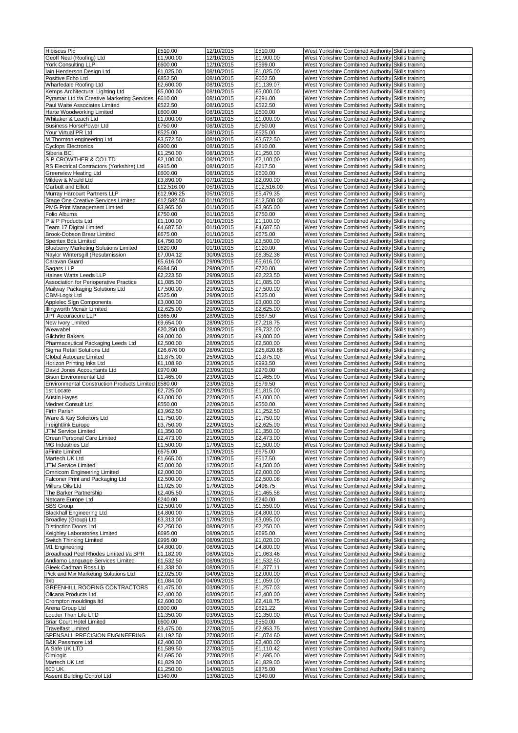| <b>Hibiscus Plc</b>                                                        | £510.00                | 12/10/2015               | £510.00                | West Yorkshire Combined Authority Skills training                                                      |  |
|----------------------------------------------------------------------------|------------------------|--------------------------|------------------------|--------------------------------------------------------------------------------------------------------|--|
| Geoff Neal (Roofing) Ltd                                                   | £1,900.00              | 12/10/2015               | £1,900.00              | West Yorkshire Combined Authority Skills training                                                      |  |
| York Consulting LLP                                                        | £600.00                | 12/10/2015               | £599.00                | West Yorkshire Combined Authority Skills training                                                      |  |
| lain Henderson Design Ltd                                                  | £1,025.00              | 08/10/2015               | £1,025.00              | West Yorkshire Combined Authority Skills training                                                      |  |
| Positive Echo Ltd                                                          | £852.50                | 08/10/2015               | £602.50                | West Yorkshire Combined Authority Skills training                                                      |  |
| Wharfedale Roofing Ltd                                                     | £2,600.00              | 08/10/2015               | £1,139.07              | West Yorkshire Combined Authority Skills training                                                      |  |
| Kemps Architectural Lighting Ltd                                           | £5,000.00              | 08/10/2015               | £5,000.00              | West Yorkshire Combined Authority Skills training                                                      |  |
| Pyramar Ltd t/a Creative Marketing Services                                | £610.00                | 08/10/2015               | £291.00                | West Yorkshire Combined Authority Skills training                                                      |  |
| Paul Waite Associates Limited                                              | £522.50                | 08/10/2015               | £522.50                | West Yorkshire Combined Authority Skills training                                                      |  |
| Harte Woodworking Limited<br>Whitaker & Leach Ltd                          | £600.00<br>£1,000.00   | 08/10/2015<br>08/10/2015 | £600.00<br>£1,000.00   | West Yorkshire Combined Authority Skills training<br>West Yorkshire Combined Authority Skills training |  |
| <b>Business HorsePower Ltd</b>                                             | £750.00                | 08/10/2015               | £750.00                | West Yorkshire Combined Authority Skills training                                                      |  |
| Your Virtual PR Ltd                                                        | £525.00                | 08/10/2015               | £525.00                | West Yorkshire Combined Authority Skills training                                                      |  |
| M. Thornton engineering Ltd                                                | £3,572.50              | 08/10/2015               | £3,572.50              | West Yorkshire Combined Authority Skills training                                                      |  |
| <b>Cyclops Electronics</b>                                                 | £900.00                | 08/10/2015               | £810.00                | West Yorkshire Combined Authority Skills training                                                      |  |
| Siberia BC                                                                 | £1,250.00              | 08/10/2015               | £1,250.00              | West Yorkshire Combined Authority Skills training                                                      |  |
| S P CROWTHER & CO LTD                                                      | £2,100.00              | 08/10/2015               | £2,100.00              | West Yorkshire Combined Authority Skills training                                                      |  |
| RS Electrical Contractors (Yorkshire) Ltd                                  | £915.00                | 08/10/2015               | £217.50                | West Yorkshire Combined Authority Skills training                                                      |  |
| <b>Greenview Heating Ltd</b>                                               | £600.00                | 08/10/2015               | £600.00                | West Yorkshire Combined Authority Skills training                                                      |  |
| Mildew & Mould Ltd                                                         | £3,890.00              | 07/10/2015               | £2,090.00              | West Yorkshire Combined Authority Skills training                                                      |  |
| Garbutt and Elliott                                                        | £12,516.00             | 05/10/2015               | £12,516.00             | West Yorkshire Combined Authority Skills training                                                      |  |
| Murray Harcourt Partners LLP                                               | £12,906.25             | 05/10/2015               | £5,479.35              | West Yorkshire Combined Authority Skills training                                                      |  |
| Stage One Creative Services Limited                                        | £12,582.50             | 01/10/2015               | £12,500.00             | West Yorkshire Combined Authority Skills training                                                      |  |
| <b>PMG Print Management Limited</b>                                        | £3,965.00              | 01/10/2015               | £3,965.00              | West Yorkshire Combined Authority Skills training                                                      |  |
| Folio Albums                                                               | £750.00                | 01/10/2015               | £750.00                | West Yorkshire Combined Authority Skills training                                                      |  |
| P & P Products Ltd                                                         | £1,100.00              | 01/10/2015               | £1,100.00              | West Yorkshire Combined Authority Skills training                                                      |  |
| Team 17 Digital Limited<br>Brook-Dobson Brear Limited                      | £4,687.50<br>£675.00   | 01/10/2015<br>01/10/2015 | £4,687.50<br>£675.00   | West Yorkshire Combined Authority Skills training<br>West Yorkshire Combined Authority Skills training |  |
| Spentex Bca Limited                                                        | £4,750.00              | 01/10/2015               | £3,500.00              | West Yorkshire Combined Authority Skills training                                                      |  |
| <b>Blueberry Marketing Solutions Limited</b>                               | £620.00                | 01/10/2015               | £120.00                | West Yorkshire Combined Authority Skills training                                                      |  |
| Naylor Wintersgill (Resubmission                                           | £7,004.12              | 30/09/2015               | £6,352.36              | West Yorkshire Combined Authority Skills training                                                      |  |
| Caravan Guard                                                              | £5,616.00              | 29/09/2015               | £5,616.00              | West Yorkshire Combined Authority Skills training                                                      |  |
| Sagars LLP                                                                 | £684.50                | 29/09/2015               | £720.00                | West Yorkshire Combined Authority Skills training                                                      |  |
| Haines Watts Leeds LLP                                                     | £2,223.50              | 29/09/2015               | £2,223.50              | West Yorkshire Combined Authority Skills training                                                      |  |
| Association for Perioperative Practice                                     | £1,085.00              | 29/09/2015               | £1,085.00              | West Yorkshire Combined Authority Skills training                                                      |  |
| Mailway Packaging Solutions Ltd                                            | £7.500.00              | 29/09/2015               | £7,500.00              | West Yorkshire Combined Authority Skills training                                                      |  |
| CBM-Logix Ltd                                                              | £525.00                | 29/09/2015               | £525.00                | West Yorkshire Combined Authority Skills training                                                      |  |
| Applelec Sign Components                                                   | £3,000.00              | 29/09/2015               | £3,000.00              | West Yorkshire Combined Authority Skills training                                                      |  |
| Illingworth Mcnair Limited                                                 | £2,625.00              | 29/09/2015               | £2,625.00              | West Yorkshire Combined Authority Skills training                                                      |  |
| JPT Accuracore LLP                                                         | £865.00                | 28/09/2015               | £687.50                | West Yorkshire Combined Authority Skills training                                                      |  |
| New Ivory Limited                                                          | £9,654.00              | 28/09/2015               | £7,218.75              | West Yorkshire Combined Authority Skills training                                                      |  |
| Weavabel                                                                   | £20,250.00             | 28/09/2015               | £9,732.00              | West Yorkshire Combined Authority Skills training                                                      |  |
| <b>Gilchrist Bakers</b>                                                    | £9,000.00              | 28/09/2015               | £9,000.00              | West Yorkshire Combined Authority Skills training                                                      |  |
| Pharmaceutical Packaging Leeds Ltd                                         | £2,500.00              | 28/09/2015               | £2,500.00              | West Yorkshire Combined Authority Skills training                                                      |  |
| Sigma Retail Solutions Ltd                                                 | £26,676.00             | 28/09/2015               | £25,820.86             | West Yorkshire Combined Authority Skills training                                                      |  |
| Global Autocare Limited<br>Horizon Printing Inks Ltd                       | £1,875.00<br>£1,108.90 | 25/09/2015<br>23/09/2015 | £1,875.00<br>£993.50   | West Yorkshire Combined Authority Skills training<br>West Yorkshire Combined Authority Skills training |  |
| David Jones Accountants Ltd                                                | £970.00                | 23/09/2015               | £970.00                | West Yorkshire Combined Authority Skills training                                                      |  |
| Bison Environmental Ltd                                                    | £1,465.00              | 23/09/2015               | £1,465.00              | West Yorkshire Combined Authority Skills training                                                      |  |
| Environmental Construction Products Limited £580.00                        |                        | 23/09/2015               | £579.50                | West Yorkshire Combined Authority Skills training                                                      |  |
| 1st Locate                                                                 | £2,725.00              | 22/09/2015               | £1,815.00              | West Yorkshire Combined Authority Skills training                                                      |  |
| <b>Austin Hayes</b>                                                        | £3,000.00              | 22/09/2015               | £3,000.00              | West Yorkshire Combined Authority Skills training                                                      |  |
| Mednet Consult Ltd                                                         | £550.00                | 22/09/2015               | £550.00                | West Yorkshire Combined Authority Skills training                                                      |  |
| Firth Parish                                                               | £3,962.50              | 22/09/2015               | £1,252.50              | West Yorkshire Combined Authority Skills training                                                      |  |
| Ware & Kay Solicitors Ltd                                                  | £1,750.00              | 22/09/2015               | £1,750.00              | West Yorkshire Combined Authority Skills training                                                      |  |
| <b>Freightlink Europe</b>                                                  | £3,750.00              | 22/09/2015               | £2,625.00              | West Yorkshire Combined Authority Skills training                                                      |  |
| JTM Service Limited                                                        | £1.350.00              | 21/09/2015               | £1.350.00              | West Yorkshire Combined Authority Skills training                                                      |  |
| Orean Personal Care Limited                                                | £2,473.00              | 21/09/2015               | £2,473.00              | West Yorkshire Combined Authority Skills training                                                      |  |
| MG Industries Ltd                                                          | £1,500.00              | 17/09/2015               | £1,500.00              | West Yorkshire Combined Authority Skills training                                                      |  |
| aFinite Limited                                                            | £675.00                | 17/09/2015               | £675.00                | West Yorkshire Combined Authority Skills training                                                      |  |
| Martech UK Ltd<br>JTM Service Limited                                      | £1,665.00<br>£5,000.00 | 17/09/2015<br>17/09/2015 | £517.50                | West Yorkshire Combined Authority Skills training<br>West Yorkshire Combined Authority Skills training |  |
| <b>Omnicom Engineering Limited</b>                                         | £2,000.00              | 17/09/2015               | £4,500.00<br>£2,000.00 | West Yorkshire Combined Authority Skills training                                                      |  |
| Falconer Print and Packaging Ltd                                           | £2,500.00              | 17/09/2015               | £2,500.08              | West Yorkshire Combined Authority Skills training                                                      |  |
| Millers Oils Ltd                                                           | £1,025.00              | 17/09/2015               | £496.75                | West Yorkshire Combined Authority Skills training                                                      |  |
| The Barker Partnership                                                     | £2,405.50              | 17/09/2015               | £1,465.58              | West Yorkshire Combined Authority Skills training                                                      |  |
| Netcare Europe Ltd                                                         | £240.00                | 17/09/2015               | £240.00                | West Yorkshire Combined Authority Skills training                                                      |  |
| <b>SBS Group</b>                                                           | £2,500.00              | 17/09/2015               | £1,550.00              | West Yorkshire Combined Authority Skills training                                                      |  |
| <b>Blackhall Engineering Ltd</b>                                           | £4,800.00              | 17/09/2015               | £4,800.00              | West Yorkshire Combined Authority Skills training                                                      |  |
| Broadley (Group) Ltd                                                       | £3,313.00              | 17/09/2015               | £3,095.00              | West Yorkshire Combined Authority Skills training                                                      |  |
| <b>Distinction Doors Ltd</b>                                               | £2,250.00              | 08/09/2015               | £2,250.00              | West Yorkshire Combined Authority Skills training                                                      |  |
| Keighley Laboratories Limited                                              | £695.00                | 08/09/2015               | £695.00                | West Yorkshire Combined Authority Skills training                                                      |  |
| Switch Thinking Limited                                                    | £995.00                | 08/09/2015               | £1,020.00              | West Yorkshire Combined Authority Skills training                                                      |  |
| M1 Engineering                                                             | £4,800.00              | 08/09/2015               | £4,800.00              | West Yorkshire Combined Authority Skills training                                                      |  |
| Broadhead Peel Rhodes Limited t/a BPR<br>Andiamo Language Services Limited | £1,182.00<br>£1,532.50 | 08/09/2015<br>08/09/2015 | £1,063.46<br>£1,532.50 | West Yorkshire Combined Authority Skills training<br>West Yorkshire Combined Authority Skills training |  |
| Gleek Cadman Ross Llp                                                      | £1,338.00              | 08/09/2015               | £1,377.11              | West Yorkshire Combined Authority Skills training                                                      |  |
| Pick and Mix Marketing Solutions Ltd                                       | £2,025.00              | 04/09/2015               | £2,000.00              | West Yorkshire Combined Authority Skills training                                                      |  |
| 9xb                                                                        | £1,084.00              | 04/09/2015               | £1,059.00              | West Yorkshire Combined Authority Skills training                                                      |  |
| GREENHILL ROOFING CONTRACTORS                                              | £1,475.00              | 03/09/2015               | £1,257.03              | West Yorkshire Combined Authority Skills training                                                      |  |
| Olicana Products Ltd                                                       | £2,400.00              | 03/09/2015               | £2,400.00              | West Yorkshire Combined Authority Skills training                                                      |  |
| Crompton mouldings Itd                                                     | £2,600.00              | 03/09/2015               | £2,418.75              | West Yorkshire Combined Authority Skills training                                                      |  |
| Arena Group Ltd                                                            |                        | 03/09/2015               | £621.22                | West Yorkshire Combined Authority Skills training                                                      |  |
| Louder Than Life LTD                                                       | £600.00                |                          |                        |                                                                                                        |  |
|                                                                            | £1,350.00              | 03/09/2015               | £1,350.00              | West Yorkshire Combined Authority Skills training                                                      |  |
| <b>Briar Court Hotel Limited</b>                                           | £600.00                | 03/09/2015               | £550.00                | West Yorkshire Combined Authority Skills training                                                      |  |
| <b>Travelfast Limited</b>                                                  | £3,475.00              | 27/08/2015               | £2,953.75              | West Yorkshire Combined Authority Skills training                                                      |  |
| SPENSALL PRECISION ENGINEERING                                             | £1,192.50              | 27/08/2015               | £1,074.60              | West Yorkshire Combined Authority Skills training                                                      |  |
| B&K Passmore Ltd                                                           | £2,400.00              | 27/08/2015               | £2,400.00              | West Yorkshire Combined Authority Skills training                                                      |  |
| A Safe UK LTD                                                              | £1,589.50              | 27/08/2015               | £1,110.42              | West Yorkshire Combined Authority Skills training                                                      |  |
| Cimlogic                                                                   | £1,695.00              | 27/08/2015               | £1,695.00              | West Yorkshire Combined Authority Skills training                                                      |  |
| Martech UK Ltd                                                             | £1,829.00              | 14/08/2015               | £1,829.00              | West Yorkshire Combined Authority Skills training                                                      |  |
| 600 UK<br>Assent Building Control Ltd                                      | £1,250.00<br>£340.00   | 14/08/2015<br>13/08/2015 | £875.00<br>£340.00     | West Yorkshire Combined Authority Skills training<br>West Yorkshire Combined Authority Skills training |  |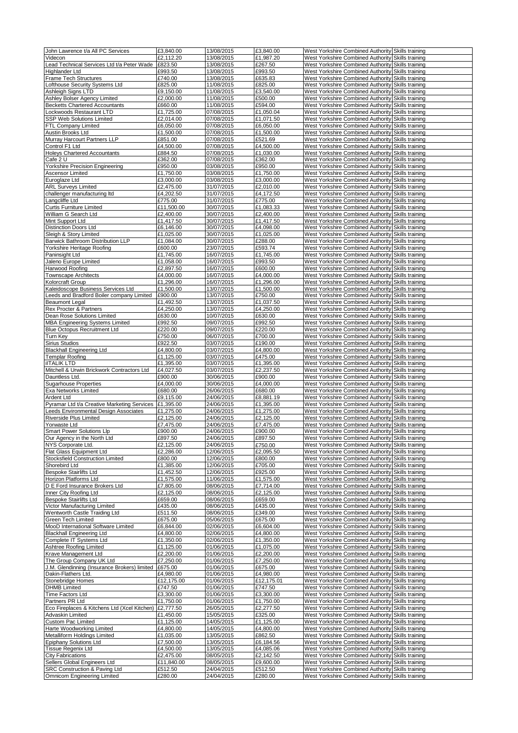|                                                        | £3,840.00  | 13/08/2015 | £3,840.00  | West Yorkshire Combined Authority Skills training |  |
|--------------------------------------------------------|------------|------------|------------|---------------------------------------------------|--|
| John Lawrence t/a All PC Services<br>Videcon           | £2,112.20  | 13/08/2015 | £1,987.20  | West Yorkshire Combined Authority Skills training |  |
| Lead Technical Services Ltd t/a Peter Wade             | £823.50    | 13/08/2015 | £267.50    | West Yorkshire Combined Authority Skills training |  |
| Highlander Ltd                                         | £993.50    | 13/08/2015 | £993.50    | West Yorkshire Combined Authority Skills training |  |
|                                                        |            |            |            | West Yorkshire Combined Authority Skills training |  |
| <b>Frame Tech Structures</b>                           | £740.00    | 13/08/2015 | £635.83    |                                                   |  |
| Lofthouse Security Systems Ltd                         | £825.00    | 11/08/2015 | £825.00    | West Yorkshire Combined Authority Skills training |  |
| Ashleigh Signs LTD                                     | £9,150.00  | 11/08/2015 | £3,540.00  | West Yorkshire Combined Authority Skills training |  |
| Ashley Bolser Agency Limited                           | £2,000.00  | 11/08/2015 | £500.00    | West Yorkshire Combined Authority Skills training |  |
| <b>Becketts Chartered Accountants</b>                  | £660.00    | 11/08/2015 | £594.00    | West Yorkshire Combined Authority Skills training |  |
| Lockwoods Restaurant LTD                               | £1,725.00  | 07/08/2015 | £1,050.04  | West Yorkshire Combined Authority Skills training |  |
| SSP Web Solutions Limited                              | £2,014.00  | 07/08/2015 | £1,071.50  | West Yorkshire Combined Authority Skills training |  |
| FTL Company Limited                                    | £6,050.00  | 07/08/2015 | £6,050.00  | West Yorkshire Combined Authority Skills training |  |
| Austin Brooks Ltd                                      | £1,500.00  | 07/08/2015 | £1,500.00  | West Yorkshire Combined Authority Skills training |  |
| Murray Harcourt Partners LLP                           | £851.00    | 07/08/2015 | £521.69    | West Yorkshire Combined Authority Skills training |  |
| Control F1 Ltd                                         | £4,500.00  | 07/08/2015 | £4,500.00  | West Yorkshire Combined Authority Skills training |  |
| <b>Holeys Chartered Accountants</b>                    | £884.50    | 07/08/2015 | £1,030.00  | West Yorkshire Combined Authority Skills training |  |
| Cafe 2 U                                               | £362.00    | 07/08/2015 | £362.00    | West Yorkshire Combined Authority Skills training |  |
| Yorkshire Precision Engineering                        | £950.00    | 03/08/2015 | £950.00    | West Yorkshire Combined Authority Skills training |  |
| Ascensor Limited                                       | £1,750.00  | 03/08/2015 | £1,750.00  | West Yorkshire Combined Authority Skills training |  |
| Euroglaze Ltd                                          | £3,000.00  | 03/08/2015 | £3,000.00  | West Yorkshire Combined Authority Skills training |  |
| <b>ARL Surveys Limited</b>                             | £2,475.00  | 31/07/2015 | £2,010.00  | West Yorkshire Combined Authority Skills training |  |
| challenger manufacturing Itd                           | £4,202.50  | 31/07/2015 | £4,172.50  | West Yorkshire Combined Authority Skills training |  |
| Langcliffe Ltd                                         | £775.00    | 31/07/2015 | £775.00    | West Yorkshire Combined Authority Skills training |  |
|                                                        |            |            |            |                                                   |  |
| <b>Curtis Furniture Limited</b>                        | £11,500.00 | 30/07/2015 | £1,083.33  | West Yorkshire Combined Authority Skills training |  |
| William G Search Ltd                                   | £2,400.00  | 30/07/2015 | £2,400.00  | West Yorkshire Combined Authority Skills training |  |
| Mint Support Ltd                                       | £1,417.50  | 30/07/2015 | £1,417.50  | West Yorkshire Combined Authority Skills training |  |
| <b>Distinction Doors Ltd</b>                           | £6,146.00  | 30/07/2015 | £4,098.00  | West Yorkshire Combined Authority Skills training |  |
| Sleigh & Story Limited                                 | £1,025.00  | 30/07/2015 | £1,025.00  | West Yorkshire Combined Authority Skills training |  |
| Barwick Bathroom Distribution LLP                      | £1,084.00  | 30/07/2015 | £288.00    | West Yorkshire Combined Authority Skills training |  |
| Yorkshire Heritage Roofing                             | £600.00    | 23/07/2015 | £593.74    | West Yorkshire Combined Authority Skills training |  |
| Paninsight Ltd                                         | £1,745.00  | 16/07/2015 | £1,745.00  | West Yorkshire Combined Authority Skills training |  |
| Jaleno Europe Limited                                  | £1,058.00  | 16/07/2015 | £993.50    | West Yorkshire Combined Authority Skills training |  |
| Harwood Roofing                                        | £2,897.50  | 16/07/2015 | £600.00    | West Yorkshire Combined Authority Skills training |  |
| Townscape Architects                                   | £4,000.00  | 16/07/2015 | £4,000.00  | West Yorkshire Combined Authority Skills training |  |
| Kolorcraft Group                                       | £1,296.00  | 16/07/2015 | £1,296.00  | West Yorkshire Combined Authority Skills training |  |
| Kaleidoscope Business Services Ltd                     | £1,500.00  | 13/07/2015 | £1,500.00  | West Yorkshire Combined Authority Skills training |  |
| Leeds and Bradford Boiler company Limited              | £900.00    | 13/07/2015 | £750.00    | West Yorkshire Combined Authority Skills training |  |
| <b>Beaumont Legal</b>                                  | £1,492.50  | 13/07/2015 | £1,037.50  | West Yorkshire Combined Authority Skills training |  |
|                                                        | £4,250.00  |            |            |                                                   |  |
| Rex Procter & Partners                                 |            | 13/07/2015 | £4,250.00  | West Yorkshire Combined Authority Skills training |  |
| Dean Rose Solutions Limited                            | £630.00    | 10/07/2015 | £630.00    | West Yorkshire Combined Authority Skills training |  |
| <b>MBA Engineering Systems Limited</b>                 | £992.50    | 09/07/2015 | £992.50    | West Yorkshire Combined Authority Skills training |  |
| Blue Octopus Recruitment Ltd                           | £220.00    | 09/07/2015 | £220.00    | West Yorkshire Combined Authority Skills training |  |
| Turn Key                                               | £750.00    | 06/07/2015 | £700.00    | West Yorkshire Combined Authority Skills training |  |
| Sirius Studios                                         | £922.50    | 03/07/2015 | £190.00    | West Yorkshire Combined Authority Skills training |  |
| <b>Blackhall Engineering Ltd</b>                       | £4,800.00  | 03/07/2015 | £4,800.00  | West Yorkshire Combined Authority Skills training |  |
| <b>Templar Roofing</b>                                 | £1,125.00  | 03/07/2015 | £475.00    | West Yorkshire Combined Authority Skills training |  |
| <b>iITALIK LTD</b>                                     | £1,395.00  | 03/07/2015 | £1,395.00  | West Yorkshire Combined Authority Skills training |  |
| Mitchell & Urwin Brickwork Contractors Ltd             | £4,027.50  | 03/07/2015 | £2,237.50  | West Yorkshire Combined Authority Skills training |  |
| Dauntless Ltd.                                         | £900.00    | 30/06/2015 | £900.00    |                                                   |  |
|                                                        |            |            |            | West Yorkshire Combined Authority Skills training |  |
|                                                        |            | 30/06/2015 |            |                                                   |  |
| <b>Sugarhouse Properties</b>                           | £4,000.00  |            | £4,000.00  | West Yorkshire Combined Authority Skills training |  |
| Exa Networks Limited                                   | £680.00    | 26/06/2015 | £680.00    | West Yorkshire Combined Authority Skills training |  |
| Ardent Ltd                                             | £9.115.00  | 24/06/2015 | £8,881.19  | West Yorkshire Combined Authority Skills training |  |
| Pyramar Ltd t/a Creative Marketing Services            | £1,395.00  | 24/06/2015 | £1,395.00  | West Yorkshire Combined Authority Skills training |  |
| Leeds Environmental Design Associates                  | £1,275.00  | 24/06/2015 | £1,275.00  | West Yorkshire Combined Authority Skills training |  |
| Riverside Plus Limited                                 | £2,125.00  | 24/06/2015 | £2,125.00  | West Yorkshire Combined Authority Skills training |  |
| Yorwaste Ltd                                           | £7,475.00  | 24/06/2015 | £7,475.00  | West Yorkshire Combined Authority Skills training |  |
| Smart Power Solutions Llp                              | £900.00    | 24/06/2015 | £900.00    | West Yorkshire Combined Authority Skills training |  |
| Our Agency in the North Ltd                            | £897.50    | 24/06/2015 | £897.50    | West Yorkshire Combined Authority Skills training |  |
| NYS Corporate Ltd.                                     | £2,125.00  | 24/06/2015 | £750.00    | West Yorkshire Combined Authority Skills training |  |
| Flat Glass Equipment Ltd                               | £2,286.00  | 12/06/2015 | £2,095.50  | West Yorkshire Combined Authority Skills training |  |
| Stocksfield Construction Limited                       | £800.00    | 12/06/2015 | £800.00    | West Yorkshire Combined Authority Skills training |  |
| Shorebird Ltd                                          | £1,385.00  | 12/06/2015 | £705.00    | West Yorkshire Combined Authority Skills training |  |
| <b>Bespoke Stairlifts Ltd</b>                          | £1,452.50  | 12/06/2015 | £925.00    | West Yorkshire Combined Authority Skills training |  |
| Horizon Platforms Ltd                                  | £1,575.00  | 11/06/2015 | £1,575.00  | West Yorkshire Combined Authority Skills training |  |
| D E Ford Insurance Brokers Ltd                         | £7,805.00  | 08/06/2015 | £7,714.00  | West Yorkshire Combined Authority Skills training |  |
| Inner City Roofing Ltd                                 | £2,125.00  | 08/06/2015 | £2,125.00  | West Yorkshire Combined Authority Skills training |  |
| <b>Bespoke Stairlifts Ltd</b>                          | £659.00    | 08/06/2015 | £659.00    | West Yorkshire Combined Authority Skills training |  |
| Victor Manufacturing Limited                           | £435.00    | 08/06/2015 | £435.00    | West Yorkshire Combined Authority Skills training |  |
| Wentworth Castle Traiding Ltd                          | £511.50    | 08/06/2015 | £349.00    | West Yorkshire Combined Authority Skills training |  |
| Green Tech Limited                                     | £675.00    | 05/06/2015 | £675.00    | West Yorkshire Combined Authority Skills training |  |
| MooD International Software Limited                    | £6,844.00  | 02/06/2015 | £6,604.00  | West Yorkshire Combined Authority Skills training |  |
| <b>Blackhall Engineering Ltd</b>                       | £4,800.00  | 02/06/2015 | £4,800.00  | West Yorkshire Combined Authority Skills training |  |
| Complete IT Systems Ltd                                | £1,350.00  | 02/06/2015 | £1,350.00  | West Yorkshire Combined Authority Skills training |  |
| Ashtree Roofing Limited                                | £1,125.00  | 01/06/2015 | £1,075.00  | West Yorkshire Combined Authority Skills training |  |
| Krave Management Ltd                                   | £2,200.00  | 01/06/2015 | £2,200.00  | West Yorkshire Combined Authority Skills training |  |
|                                                        |            |            |            |                                                   |  |
| The Group Company UK Ltd                               | £7,250.00  | 01/06/2015 | £7,250.00  | West Yorkshire Combined Authority Skills training |  |
| J.M. Glendinning (Insurance Brokers) limited           | £675.00    | 01/06/2015 | £675.00    | West Yorkshire Combined Authority Skills training |  |
| Dakin-Flathers Ltd.                                    | £4,980.00  | 01/06/2015 | £4,980.00  | West Yorkshire Combined Authority Skills training |  |
| Stonebridge Homes                                      | £12,175.00 | 01/06/2015 | £12,175.01 | West Yorkshire Combined Authority Skills training |  |
| <b>DHMB Limited</b>                                    | £747.50    | 01/06/2015 | £747.50    | West Yorkshire Combined Authority Skills training |  |
| Time Factors Ltd                                       | £3,300.00  | 01/06/2015 | £3,300.00  | West Yorkshire Combined Authority Skills training |  |
| Partners PR Ltd                                        | £1,750.00  | 01/06/2015 | £1,750.00  | West Yorkshire Combined Authority Skills training |  |
| Eco Fireplaces & Kitchens Ltd (Xcel Kitchen) £2,777.50 |            | 26/05/2015 | £2,277.50  | West Yorkshire Combined Authority Skills training |  |
| Advaskin Limited                                       | £1,450.00  | 15/05/2015 | £325.00    | West Yorkshire Combined Authority Skills training |  |
| Custom Pac Limited                                     | £1,125.00  | 14/05/2015 | £1,125.00  | West Yorkshire Combined Authority Skills training |  |
| Harte Woodworking Limited                              | £4,800.00  | 14/05/2015 | £4,800.00  | West Yorkshire Combined Authority Skills training |  |
| Metalliform Holdings Limited                           | £1,035.00  | 13/05/2015 | £862.50    | West Yorkshire Combined Authority Skills training |  |
| Epiphany Solutions Ltd                                 | £7,500.00  | 13/05/2015 | £6,184.56  | West Yorkshire Combined Authority Skills training |  |
| Tissue Regenix Ltd                                     | £4,500.00  | 13/05/2015 | £4,085.06  | West Yorkshire Combined Authority Skills training |  |
| <b>City Fabrications</b>                               | £2,475.00  | 08/05/2015 | £2,142.50  | West Yorkshire Combined Authority Skills training |  |
| Sellers Global Engineers Ltd                           | £11,840.00 | 08/05/2015 | £9,600.00  | West Yorkshire Combined Authority Skills training |  |
| SRC Construction & Paving Ltd                          | £512.50    | 24/04/2015 | £512.50    | West Yorkshire Combined Authority Skills training |  |